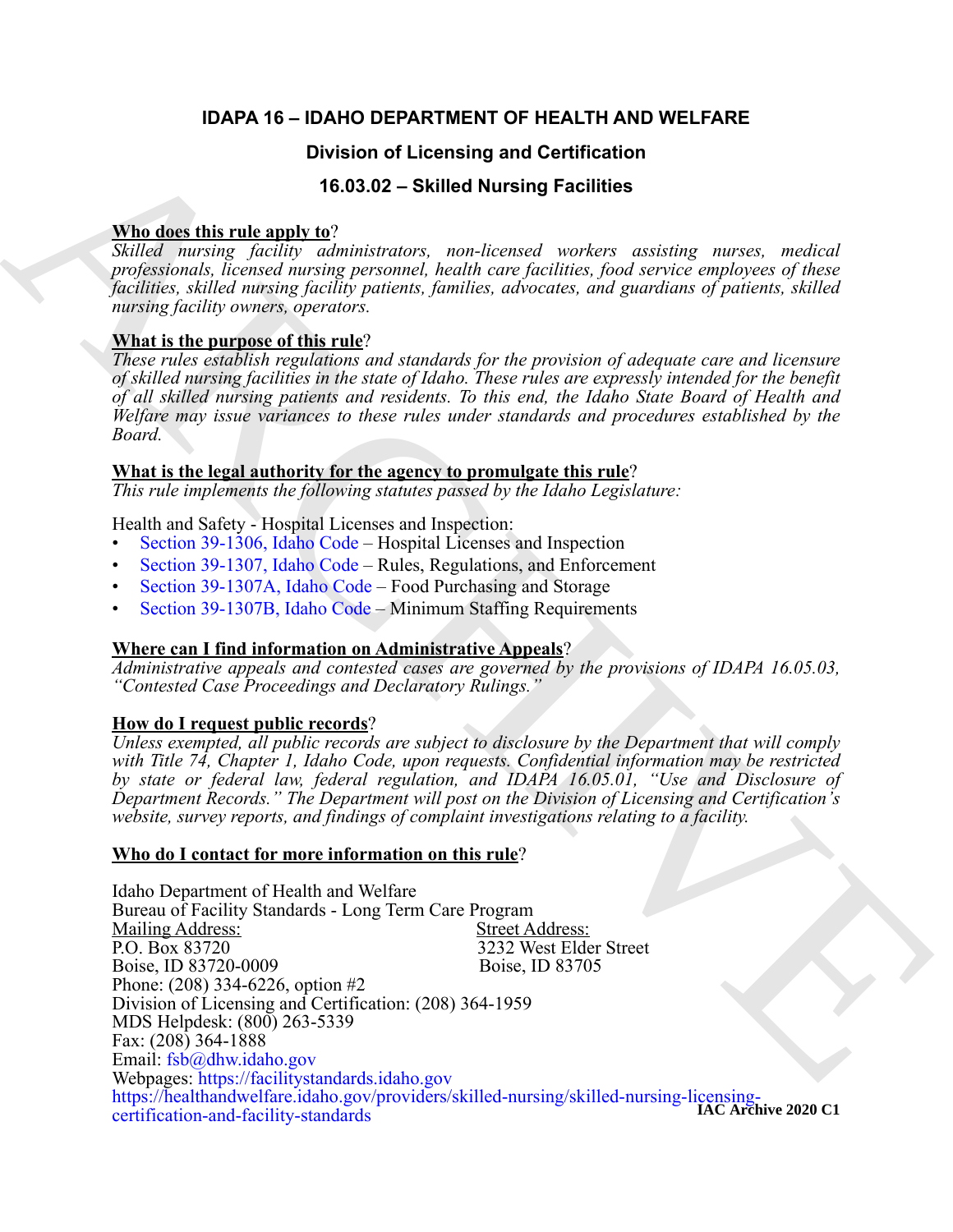# **IDAPA 16 – IDAHO DEPARTMENT OF HEALTH AND WELFARE**

# **Division of Licensing and Certification**

# **16.03.02 – Skilled Nursing Facilities**

# **Who does this rule apply to**?

*Skilled nursing facility administrators, non-licensed workers assisting nurses, medical professionals, licensed nursing personnel, health care facilities, food service employees of these facilities, skilled nursing facility patients, families, advocates, and guardians of patients, skilled nursing facility owners, operators.*

# **What is the purpose of this rule**?

*These rules establish regulations and standards for the provision of adequate care and licensure of skilled nursing facilities in the state of Idaho. These rules are expressly intended for the benefit of all skilled nursing patients and residents. To this end, the Idaho State Board of Health and Welfare may issue variances to these rules under standards and procedures established by the Board.*

# **What is the legal authority for the agency to promulgate this rule**?

*This rule implements the following statutes passed by the Idaho Legislature:*

Health and Safety - Hospital Licenses and Inspection:

- Section 39-1306, Idaho Code Hospital Licenses and Inspection
- Section 39-1307, Idaho Code Rules, Regulations, and Enforcement
- Section 39-1307A, Idaho Code Food Purchasing and Storage
- Section 39-1307B, Idaho Code Minimum Staffing Requirements

# **Where can I find information on Administrative Appeals**?

*Administrative appeals and contested cases are governed by the provisions of IDAPA 16.05.03, "Contested Case Proceedings and Declaratory Rulings."*

# **How do I request public records**?

*Unless exempted, all public records are subject to disclosure by the Department that will comply with Title 74, Chapter 1, Idaho Code, upon requests. Confidential information may be restricted by state or federal law, federal regulation, and IDAPA 16.05.01, "Use and Disclosure of Department Records." The Department will post on the Division of Licensing and Certification's website, survey reports, and findings of complaint investigations relating to a facility.*

# **Who do I contact for more information on this rule**?

**Division of Licensing and [C](https://legislature.idaho.gov/statutesrules/idstat/Title39/T39CH13/SECT39-1307A/)ertification**<br> **Which describes the SO 3.02 – Skilled Nursing Facilities**<br>
Which are interesting the state of the state of the state of the state of the state of the state of the state of the s Idaho Department of Health and Welfare Bureau of Facility Standards - Long Term Care Program<br>Mailing Address: Street Address: Mailing Address:<br>P.O. Box 83720 3232 West Elder Street<br>Boise, ID 83705 Boise, ID 83720-0009 Phone: (208) 334-6226, option #2 Division of Licensing and Certification: (208) 364-1959 MDS Helpdesk: (800) 263-5339 Fax: (208) 364-1888 Email: fsb@dhw.idaho.gov Webpages: https://facilitystandards.idaho.gov https://healthandwelfare.idaho.gov/providers/skilled-nursing/skilled-nursing-licensing-**IAC Archive 2020 C1**certification-and-facility-standards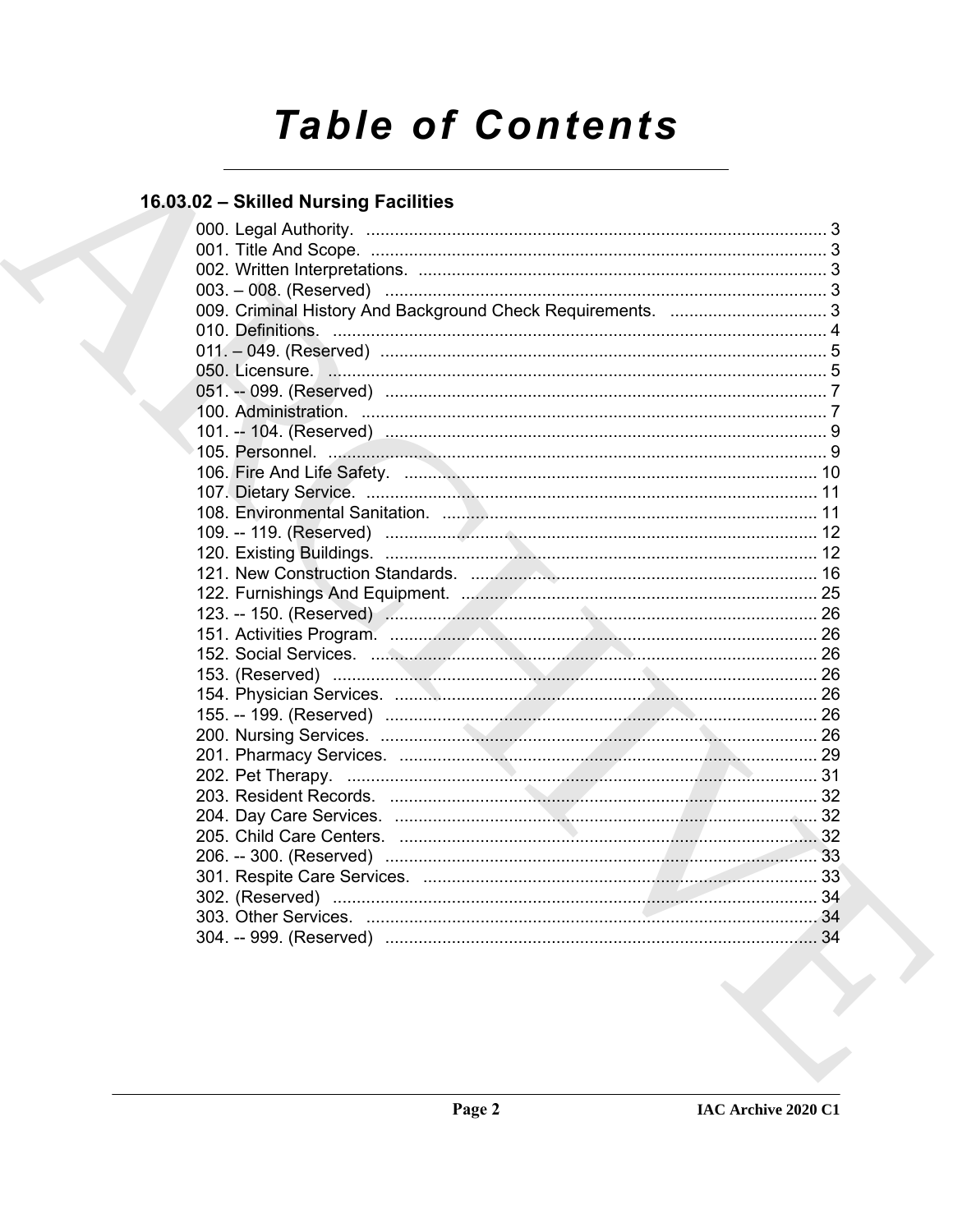# **Table of Contents**

# 16.03.02 - Skilled Nursing Facilities

| 105. Personnel. 30. 2008. 2009. 2010. 2010. 2010. 2010. 2010. 2010. 2010. 2010. 2010. 2010. 2010. 2010. 2010. 2010. 2010. 2010. 2010. 2010. 2010. 2010. 2010. 2010. 2010. 2010. 2010. 2010. 2010. 2010. 2010. 2010. 2010. 2010 |  |
|--------------------------------------------------------------------------------------------------------------------------------------------------------------------------------------------------------------------------------|--|
|                                                                                                                                                                                                                                |  |
|                                                                                                                                                                                                                                |  |
|                                                                                                                                                                                                                                |  |
|                                                                                                                                                                                                                                |  |
|                                                                                                                                                                                                                                |  |
|                                                                                                                                                                                                                                |  |
|                                                                                                                                                                                                                                |  |
|                                                                                                                                                                                                                                |  |
|                                                                                                                                                                                                                                |  |
|                                                                                                                                                                                                                                |  |
|                                                                                                                                                                                                                                |  |
|                                                                                                                                                                                                                                |  |
|                                                                                                                                                                                                                                |  |
|                                                                                                                                                                                                                                |  |
|                                                                                                                                                                                                                                |  |
|                                                                                                                                                                                                                                |  |
|                                                                                                                                                                                                                                |  |
|                                                                                                                                                                                                                                |  |
|                                                                                                                                                                                                                                |  |
|                                                                                                                                                                                                                                |  |
|                                                                                                                                                                                                                                |  |
|                                                                                                                                                                                                                                |  |
|                                                                                                                                                                                                                                |  |
|                                                                                                                                                                                                                                |  |
|                                                                                                                                                                                                                                |  |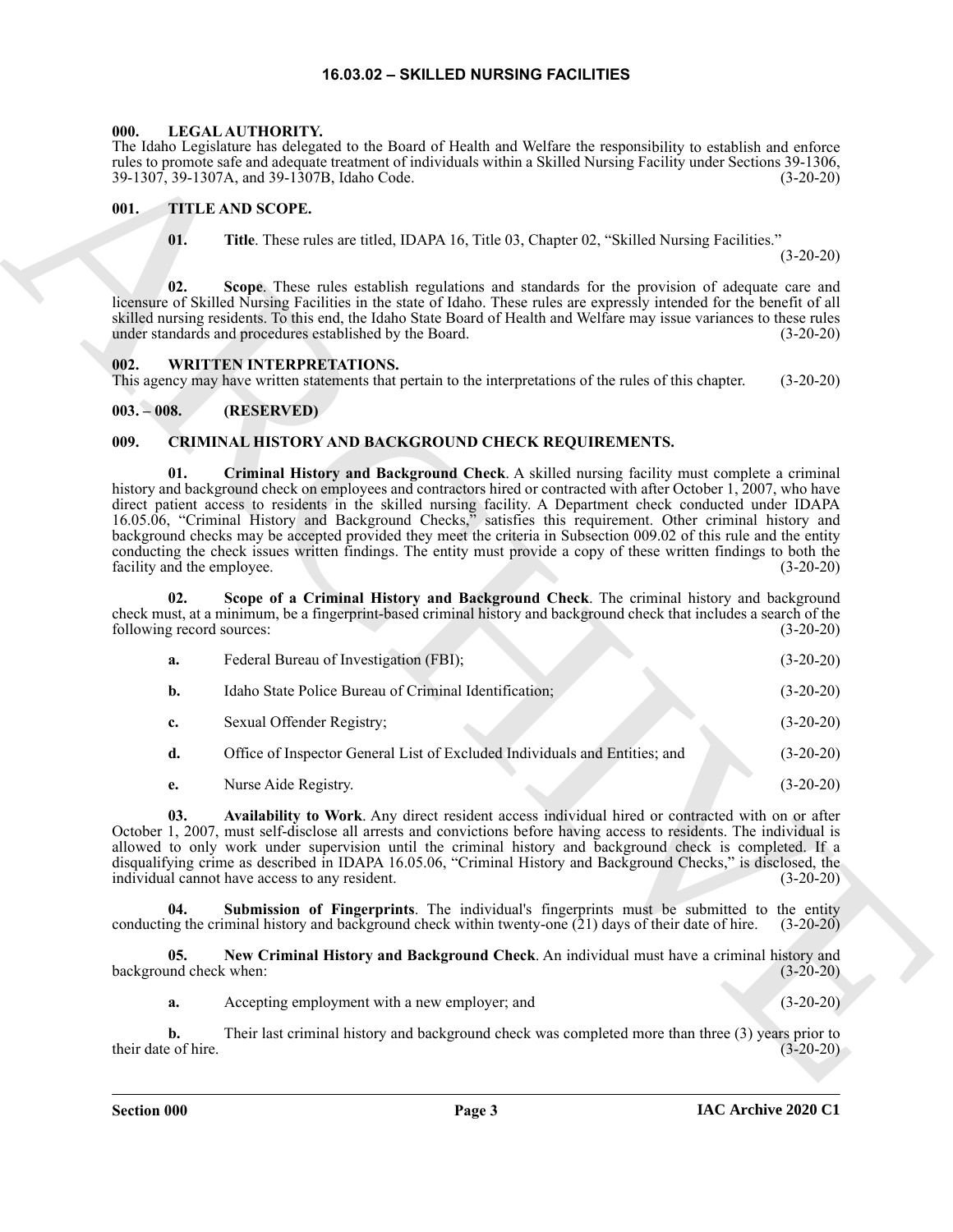#### **16.03.02 – SKILLED NURSING FACILITIES**

#### <span id="page-2-7"></span><span id="page-2-1"></span><span id="page-2-0"></span>**000. LEGAL AUTHORITY.**

#### <span id="page-2-8"></span><span id="page-2-2"></span>**001. TITLE AND SCOPE.**

#### <span id="page-2-9"></span><span id="page-2-3"></span>**002. WRITTEN INTERPRETATIONS.**

#### <span id="page-2-4"></span>**003. – 008. (RESERVED)**

#### <span id="page-2-6"></span><span id="page-2-5"></span>**009. CRIMINAL HISTORY AND BACKGROUND CHECK REQUIREMENTS.**

|                                   | The Idaho Legislature has delegated to the Board of Health and Welfare the responsibility to establish and enforce<br>rules to promote safe and adequate treatment of individuals within a Skilled Nursing Facility under Sections 39-1306,<br>39-1307, 39-1307A, and 39-1307B, Idaho Code.                                                                                                                                                                                                                                                                                                                                                                                                | $(3-20-20)$ |
|-----------------------------------|--------------------------------------------------------------------------------------------------------------------------------------------------------------------------------------------------------------------------------------------------------------------------------------------------------------------------------------------------------------------------------------------------------------------------------------------------------------------------------------------------------------------------------------------------------------------------------------------------------------------------------------------------------------------------------------------|-------------|
| 001.                              | TITLE AND SCOPE.                                                                                                                                                                                                                                                                                                                                                                                                                                                                                                                                                                                                                                                                           |             |
| 01.                               | Title. These rules are titled, IDAPA 16, Title 03, Chapter 02, "Skilled Nursing Facilities."                                                                                                                                                                                                                                                                                                                                                                                                                                                                                                                                                                                               | $(3-20-20)$ |
| 02.                               | Scope. These rules establish regulations and standards for the provision of adequate care and<br>licensure of Skilled Nursing Facilities in the state of Idaho. These rules are expressly intended for the benefit of all<br>skilled nursing residents. To this end, the Idaho State Board of Health and Welfare may issue variances to these rules<br>under standards and procedures established by the Board.                                                                                                                                                                                                                                                                            | $(3-20-20)$ |
| 002.                              | <b>WRITTEN INTERPRETATIONS.</b><br>This agency may have written statements that pertain to the interpretations of the rules of this chapter.                                                                                                                                                                                                                                                                                                                                                                                                                                                                                                                                               | $(3-20-20)$ |
| $003. - 008.$                     | (RESERVED)                                                                                                                                                                                                                                                                                                                                                                                                                                                                                                                                                                                                                                                                                 |             |
| 009.                              | CRIMINAL HISTORY AND BACKGROUND CHECK REQUIREMENTS.                                                                                                                                                                                                                                                                                                                                                                                                                                                                                                                                                                                                                                        |             |
| 01.<br>facility and the employee. | Criminal History and Background Check. A skilled nursing facility must complete a criminal<br>history and background check on employees and contractors hired or contracted with after October 1, 2007, who have<br>direct patient access to residents in the skilled nursing facility. A Department check conducted under IDAPA<br>16.05.06, "Criminal History and Background Checks," satisfies this requirement. Other criminal history and<br>background checks may be accepted provided they meet the criteria in Subsection 009.02 of this rule and the entity<br>conducting the check issues written findings. The entity must provide a copy of these written findings to both the | $(3-20-20)$ |
| 02.<br>following record sources:  | Scope of a Criminal History and Background Check. The criminal history and background<br>check must, at a minimum, be a fingerprint-based criminal history and background check that includes a search of the                                                                                                                                                                                                                                                                                                                                                                                                                                                                              | $(3-20-20)$ |
| a.                                | Federal Bureau of Investigation (FBI);                                                                                                                                                                                                                                                                                                                                                                                                                                                                                                                                                                                                                                                     | $(3-20-20)$ |
| b.                                | Idaho State Police Bureau of Criminal Identification;                                                                                                                                                                                                                                                                                                                                                                                                                                                                                                                                                                                                                                      | $(3-20-20)$ |
| c.                                | Sexual Offender Registry;                                                                                                                                                                                                                                                                                                                                                                                                                                                                                                                                                                                                                                                                  | $(3-20-20)$ |
| d.                                | Office of Inspector General List of Excluded Individuals and Entities; and                                                                                                                                                                                                                                                                                                                                                                                                                                                                                                                                                                                                                 | $(3-20-20)$ |
| e.                                | Nurse Aide Registry.                                                                                                                                                                                                                                                                                                                                                                                                                                                                                                                                                                                                                                                                       | $(3-20-20)$ |
| 03.                               | Availability to Work. Any direct resident access individual hired or contracted with on or after<br>October 1, 2007, must self-disclose all arrests and convictions before having access to residents. The individual is<br>allowed to only work under supervision until the criminal history and background check is completed. If a<br>disqualifying crime as described in IDAPA 16.05.06, "Criminal History and Background Checks," is disclosed, the<br>individual cannot have access to any resident.                                                                                                                                                                                 | $(3-20-20)$ |
| 04.                               | Submission of Fingerprints. The individual's fingerprints must be submitted to the entity<br>conducting the criminal history and background check within twenty-one $(21)$ days of their date of hire.                                                                                                                                                                                                                                                                                                                                                                                                                                                                                     | $(3-20-20)$ |
| 05.<br>background check when:     | New Criminal History and Background Check. An individual must have a criminal history and                                                                                                                                                                                                                                                                                                                                                                                                                                                                                                                                                                                                  | $(3-20-20)$ |
| a.                                | Accepting employment with a new employer; and                                                                                                                                                                                                                                                                                                                                                                                                                                                                                                                                                                                                                                              | $(3-20-20)$ |
| b.<br>their date of hire.         | Their last criminal history and background check was completed more than three $(3)$ years prior to                                                                                                                                                                                                                                                                                                                                                                                                                                                                                                                                                                                        | $(3-20-20)$ |
|                                   |                                                                                                                                                                                                                                                                                                                                                                                                                                                                                                                                                                                                                                                                                            |             |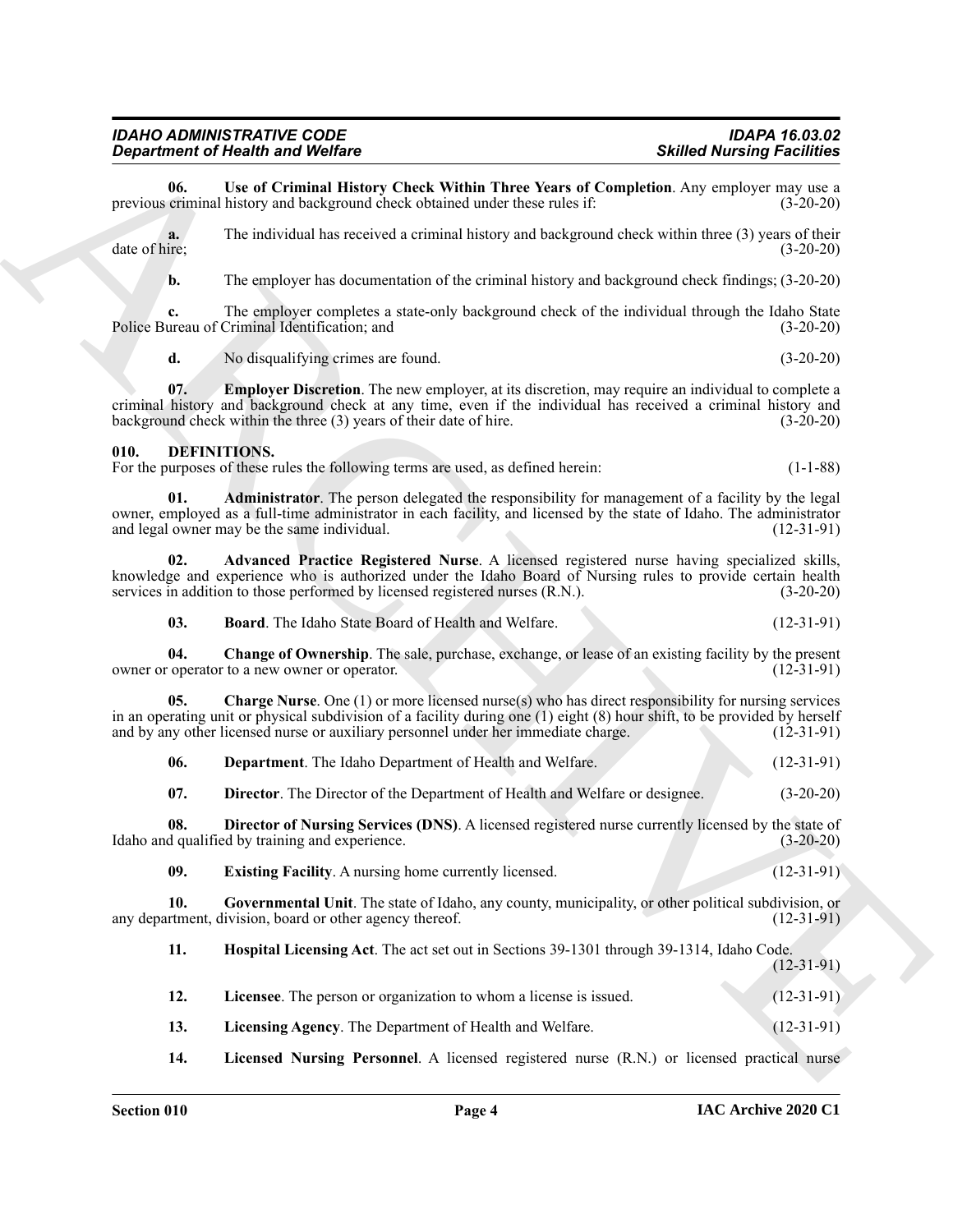| а. | No disqualifying crimes are found. | $(3-20-20)$ |
|----|------------------------------------|-------------|
|    |                                    |             |

# <span id="page-3-5"></span><span id="page-3-4"></span><span id="page-3-3"></span><span id="page-3-2"></span><span id="page-3-1"></span><span id="page-3-0"></span>**010. DEFINITIONS.**

|                     | <b>Department of Health and Welfare</b>                                                                                                                                                                                                                                                                                        | <b>Skilled Nursing Facilities</b> |
|---------------------|--------------------------------------------------------------------------------------------------------------------------------------------------------------------------------------------------------------------------------------------------------------------------------------------------------------------------------|-----------------------------------|
| 06.                 | Use of Criminal History Check Within Three Years of Completion. Any employer may use a<br>previous criminal history and background check obtained under these rules if:                                                                                                                                                        | $(3-20-20)$                       |
| a.<br>date of hire; | The individual has received a criminal history and background check within three (3) years of their                                                                                                                                                                                                                            | $(3-20-20)$                       |
| b.                  | The employer has documentation of the criminal history and background check findings; (3-20-20)                                                                                                                                                                                                                                |                                   |
| c.                  | The employer completes a state-only background check of the individual through the Idaho State<br>Police Bureau of Criminal Identification; and                                                                                                                                                                                | $(3-20-20)$                       |
| d.                  | No disqualifying crimes are found.                                                                                                                                                                                                                                                                                             | $(3-20-20)$                       |
| 07.                 | <b>Employer Discretion</b> . The new employer, at its discretion, may require an individual to complete a<br>criminal history and background check at any time, even if the individual has received a criminal history and<br>background check within the three (3) years of their date of hire.                               | $(3-20-20)$                       |
| 010.                | DEFINITIONS.<br>For the purposes of these rules the following terms are used, as defined herein:                                                                                                                                                                                                                               | $(1-1-88)$                        |
| 01.                 | Administrator. The person delegated the responsibility for management of a facility by the legal<br>owner, employed as a full-time administrator in each facility, and licensed by the state of Idaho. The administrator<br>and legal owner may be the same individual.                                                        | $(12-31-91)$                      |
| 02.                 | Advanced Practice Registered Nurse. A licensed registered nurse having specialized skills,<br>knowledge and experience who is authorized under the Idaho Board of Nursing rules to provide certain health<br>services in addition to those performed by licensed registered nurses (R.N.).                                     | $(3-20-20)$                       |
| 03.                 | <b>Board.</b> The Idaho State Board of Health and Welfare.                                                                                                                                                                                                                                                                     | $(12-31-91)$                      |
| 04.                 | Change of Ownership. The sale, purchase, exchange, or lease of an existing facility by the present<br>owner or operator to a new owner or operator.                                                                                                                                                                            | $(12-31-91)$                      |
| 05.                 | <b>Charge Nurse.</b> One $(1)$ or more licensed nurse(s) who has direct responsibility for nursing services<br>in an operating unit or physical subdivision of a facility during one (1) eight (8) hour shift, to be provided by herself<br>and by any other licensed nurse or auxiliary personnel under her immediate charge. | $(12-31-91)$                      |
| 06.                 | Department. The Idaho Department of Health and Welfare.                                                                                                                                                                                                                                                                        | $(12-31-91)$                      |
| 07.                 | Director. The Director of the Department of Health and Welfare or designee.                                                                                                                                                                                                                                                    | $(3-20-20)$                       |
| 08.                 | Director of Nursing Services (DNS). A licensed registered nurse currently licensed by the state of<br>Idaho and qualified by training and experience.                                                                                                                                                                          | $(3-20-20)$                       |
| 09.                 | Existing Facility. A nursing home currently licensed.                                                                                                                                                                                                                                                                          | $(12-31-91)$                      |
| 10.                 | Governmental Unit. The state of Idaho, any county, municipality, or other political subdivision, or<br>any department, division, board or other agency thereof.                                                                                                                                                                | $(12-31-91)$                      |
| 11.                 | Hospital Licensing Act. The act set out in Sections 39-1301 through 39-1314, Idaho Code.                                                                                                                                                                                                                                       | $(12-31-91)$                      |
| 12.                 | Licensee. The person or organization to whom a license is issued.                                                                                                                                                                                                                                                              | $(12-31-91)$                      |
| 13.                 | Licensing Agency. The Department of Health and Welfare.                                                                                                                                                                                                                                                                        | $(12-31-91)$                      |
| 14.                 | Licensed Nursing Personnel. A licensed registered nurse (R.N.) or licensed practical nurse                                                                                                                                                                                                                                     |                                   |

<span id="page-3-14"></span><span id="page-3-13"></span><span id="page-3-12"></span><span id="page-3-11"></span><span id="page-3-10"></span><span id="page-3-9"></span><span id="page-3-8"></span><span id="page-3-7"></span><span id="page-3-6"></span>

| 12. | <b>Licensee</b> . The person or organization to whom a license is issued. | $(12-31-91)$ |
|-----|---------------------------------------------------------------------------|--------------|
| 13. | Licensing Agency. The Department of Health and Welfare.                   | $(12-31-91)$ |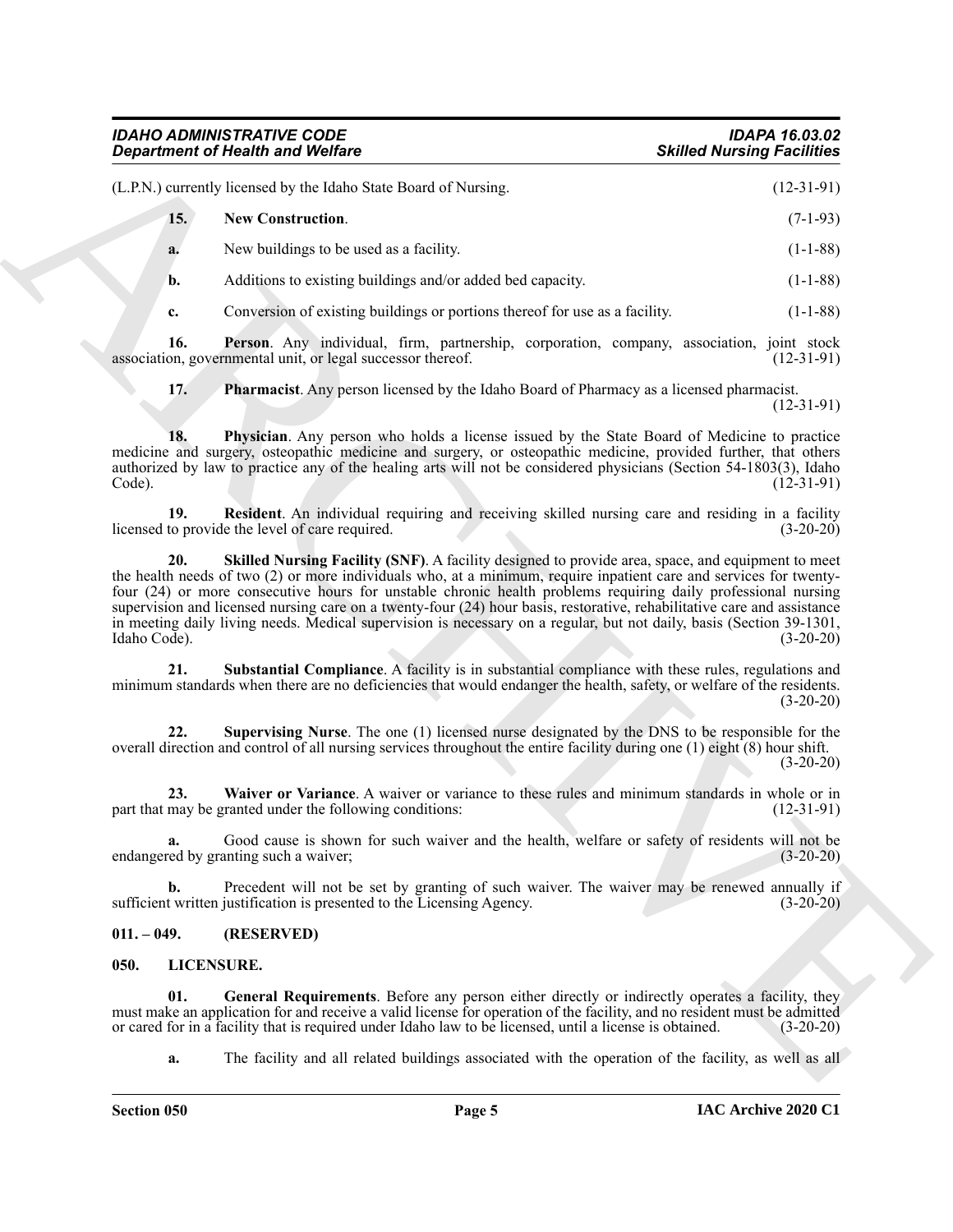<span id="page-4-6"></span><span id="page-4-5"></span><span id="page-4-4"></span><span id="page-4-3"></span><span id="page-4-2"></span>

|                     | <b>Department of Health and Welfare</b>                                                                                                                                                                                                                                                                                                                                                                                                                                                                                                                                                     | <b>Skilled Nursing Facilities</b> |
|---------------------|---------------------------------------------------------------------------------------------------------------------------------------------------------------------------------------------------------------------------------------------------------------------------------------------------------------------------------------------------------------------------------------------------------------------------------------------------------------------------------------------------------------------------------------------------------------------------------------------|-----------------------------------|
|                     | (L.P.N.) currently licensed by the Idaho State Board of Nursing.                                                                                                                                                                                                                                                                                                                                                                                                                                                                                                                            | $(12-31-91)$                      |
| 15.                 | New Construction.                                                                                                                                                                                                                                                                                                                                                                                                                                                                                                                                                                           | $(7-1-93)$                        |
| a.                  | New buildings to be used as a facility.                                                                                                                                                                                                                                                                                                                                                                                                                                                                                                                                                     | $(1-1-88)$                        |
| b.                  | Additions to existing buildings and/or added bed capacity.                                                                                                                                                                                                                                                                                                                                                                                                                                                                                                                                  | $(1-1-88)$                        |
| c.                  | Conversion of existing buildings or portions thereof for use as a facility.                                                                                                                                                                                                                                                                                                                                                                                                                                                                                                                 | $(1-1-88)$                        |
| 16.                 | Person. Any individual, firm, partnership, corporation, company, association, joint stock<br>association, governmental unit, or legal successor thereof.                                                                                                                                                                                                                                                                                                                                                                                                                                    | $(12-31-91)$                      |
| 17.                 | <b>Pharmacist.</b> Any person licensed by the Idaho Board of Pharmacy as a licensed pharmacist.                                                                                                                                                                                                                                                                                                                                                                                                                                                                                             | $(12-31-91)$                      |
| 18.<br>Code).       | Physician. Any person who holds a license issued by the State Board of Medicine to practice<br>medicine and surgery, osteopathic medicine and surgery, or osteopathic medicine, provided further, that others<br>authorized by law to practice any of the healing arts will not be considered physicians (Section 54-1803(3), Idaho                                                                                                                                                                                                                                                         | $(12-31-91)$                      |
| 19.                 | Resident. An individual requiring and receiving skilled nursing care and residing in a facility<br>licensed to provide the level of care required.                                                                                                                                                                                                                                                                                                                                                                                                                                          | $(3-20-20)$                       |
| 20.<br>Idaho Code). | Skilled Nursing Facility (SNF). A facility designed to provide area, space, and equipment to meet<br>the health needs of two (2) or more individuals who, at a minimum, require inpatient care and services for twenty-<br>four (24) or more consecutive hours for unstable chronic health problems requiring daily professional nursing<br>supervision and licensed nursing care on a twenty-four (24) hour basis, restorative, rehabilitative care and assistance<br>in meeting daily living needs. Medical supervision is necessary on a regular, but not daily, basis (Section 39-1301, | $(3-20-20)$                       |
| 21.                 | Substantial Compliance. A facility is in substantial compliance with these rules, regulations and<br>minimum standards when there are no deficiencies that would endanger the health, safety, or welfare of the residents.                                                                                                                                                                                                                                                                                                                                                                  | $(3-20-20)$                       |
| 22.                 | <b>Supervising Nurse</b> . The one $(1)$ licensed nurse designated by the DNS to be responsible for the<br>overall direction and control of all nursing services throughout the entire facility during one $(1)$ eight $(8)$ hour shift.                                                                                                                                                                                                                                                                                                                                                    | $(3-20-20)$                       |
| 23.                 | Waiver or Variance. A waiver or variance to these rules and minimum standards in whole or in<br>part that may be granted under the following conditions:                                                                                                                                                                                                                                                                                                                                                                                                                                    | $(12-31-91)$                      |
|                     | Good cause is shown for such waiver and the health, welfare or safety of residents will not be<br>endangered by granting such a waiver;                                                                                                                                                                                                                                                                                                                                                                                                                                                     | $(3-20-20)$                       |
| $\mathbf{b}$ .      | Precedent will not be set by granting of such waiver. The waiver may be renewed annually if<br>sufficient written justification is presented to the Licensing Agency.                                                                                                                                                                                                                                                                                                                                                                                                                       | $(3-20-20)$                       |
| $011. - 049.$       | (RESERVED)                                                                                                                                                                                                                                                                                                                                                                                                                                                                                                                                                                                  |                                   |
| 050.                | LICENSURE.                                                                                                                                                                                                                                                                                                                                                                                                                                                                                                                                                                                  |                                   |
| 01.                 | General Requirements. Before any person either directly or indirectly operates a facility, they<br>must make an application for and receive a valid license for operation of the facility, and no resident must be admitted<br>or cared for in a facility that is required under Idaho law to be licensed, until a license is obtained.                                                                                                                                                                                                                                                     | $(3-20-20)$                       |
|                     |                                                                                                                                                                                                                                                                                                                                                                                                                                                                                                                                                                                             |                                   |

# <span id="page-4-10"></span><span id="page-4-9"></span><span id="page-4-8"></span><span id="page-4-7"></span><span id="page-4-0"></span>**011. – 049. (RESERVED)**

# <span id="page-4-12"></span><span id="page-4-11"></span><span id="page-4-1"></span>**050. LICENSURE.**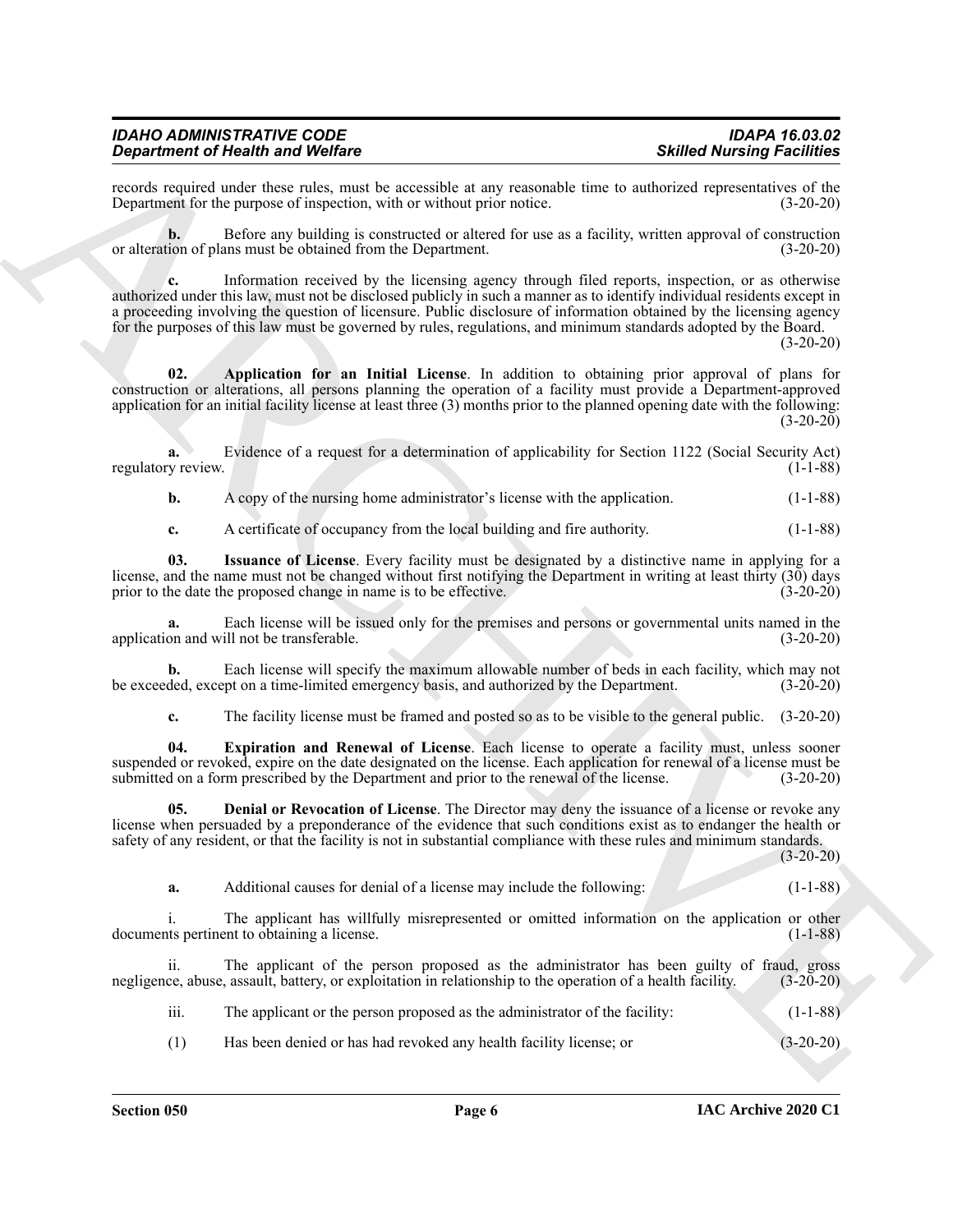records required under these rules, must be accessible at any reasonable time to authorized representatives of the Department for the purpose of inspection, with or without prior notice. (3-20-20) Department for the purpose of inspection, with or without prior notice.

**b.** Before any building is constructed or altered for use as a facility, written approval of construction or alteration of plans must be obtained from the Department. (3-20-20)

**State Marining State Warden**<br> **Contribution** Weight Ward Walley Ward March 19 November 2008 and the second state of the second state of the second state of the second state of the second state of the second state of the **c.** Information received by the licensing agency through filed reports, inspection, or as otherwise authorized under this law, must not be disclosed publicly in such a manner as to identify individual residents except in a proceeding involving the question of licensure. Public disclosure of information obtained by the licensing agency for the purposes of this law must be governed by rules, regulations, and minimum standards adopted by the Board.

 $(3-20-20)$ 

<span id="page-5-0"></span>**02. Application for an Initial License**. In addition to obtaining prior approval of plans for construction or alterations, all persons planning the operation of a facility must provide a Department-approved application for an initial facility license at least three (3) months prior to the planned opening date with the following:  $(3-20-20)$ 

**a.** Evidence of a request for a determination of applicability for Section 1122 (Social Security Act) regulatory review. (1-1-88)

**b.** A copy of the nursing home administrator's license with the application. (1-1-88)

<span id="page-5-3"></span>**c.** A certificate of occupancy from the local building and fire authority. (1-1-88)

**03. Issuance of License**. Every facility must be designated by a distinctive name in applying for a license, and the name must not be changed without first notifying the Department in writing at least thirty (30) days prior to the date the proposed change in name is to be effective. (3-20-20)

**a.** Each license will be issued only for the premises and persons or governmental units named in the application and will not be transferable. (3-20-20)

**b.** Each license will specify the maximum allowable number of beds in each facility, which may not be exceeded, except on a time-limited emergency basis, and authorized by the Department. (3-20-20)

<span id="page-5-2"></span><span id="page-5-1"></span>**c.** The facility license must be framed and posted so as to be visible to the general public. (3-20-20)

**04. Expiration and Renewal of License**. Each license to operate a facility must, unless sooner suspended or revoked, expire on the date designated on the license. Each application for renewal of a license must be submitted on a form prescribed by the Department and prior to the renewal of the license. (3-20-20)

**05. Denial or Revocation of License**. The Director may deny the issuance of a license or revoke any license when persuaded by a preponderance of the evidence that such conditions exist as to endanger the health or safety of any resident, or that the facility is not in substantial compliance with these rules and minimum standards.

(3-20-20)

**a.** Additional causes for denial of a license may include the following: (1-1-88)

i. The applicant has willfully misrepresented or omitted information on the application or other the pertinent to obtaining a license. documents pertinent to obtaining a license.

ii. The applicant of the person proposed as the administrator has been guilty of fraud, gross negligence, abuse, assault, battery, or exploitation in relationship to the operation of a health facility. (3-20-20)

iii. The applicant or the person proposed as the administrator of the facility: (1-1-88)

(1) Has been denied or has had revoked any health facility license; or (3-20-20)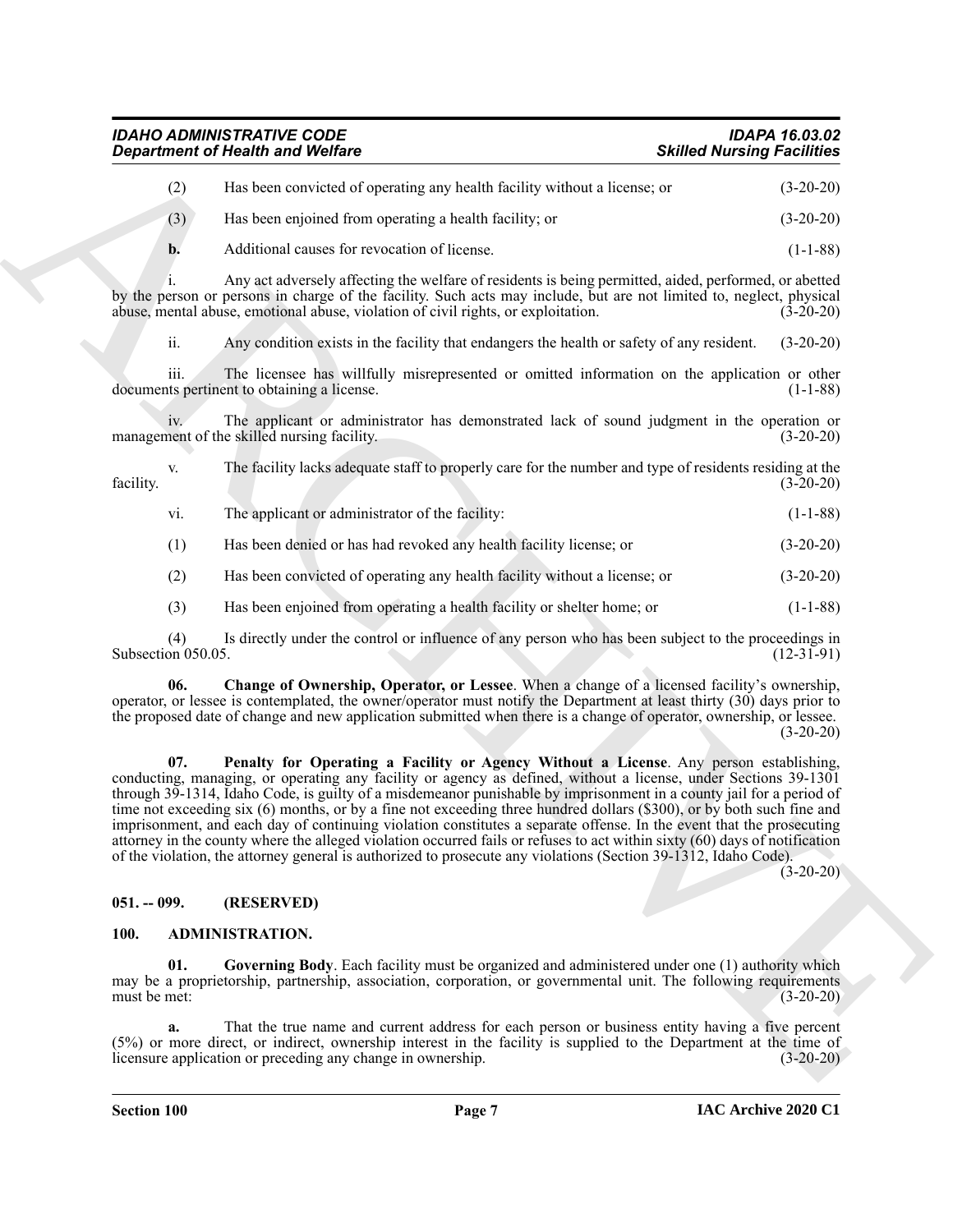| IDAHO ADMINISTRATIVE CODE               | <b>IDAPA 16.03.02</b>             |
|-----------------------------------------|-----------------------------------|
| <b>Department of Health and Welfare</b> | <b>Skilled Nursing Facilities</b> |

| Has been convicted of operating any health facility without a license; or | $(3-20-20)$ |
|---------------------------------------------------------------------------|-------------|
| Has been enjoined from operating a health facility; or                    | $(3-20-20)$ |
| Additional causes for revocation of license.                              | $(1-1-88)$  |

i. Any act adversely affecting the welfare of residents is being permitted, aided, performed, or abetted by the person or persons in charge of the facility. Such acts may include, but are not limited to, neglect, physical abuse, mental abuse, emotional abuse, violation of civil rights, or exploitation. (3-20-20)

ii. Any condition exists in the facility that endangers the health or safety of any resident. (3-20-20)

iii. The licensee has willfully misrepresented or omitted information on the application or other documents pertinent to obtaining a license. (1-1-88)

iv. The applicant or administrator has demonstrated lack of sound judgment in the operation or nent of the skilled nursing facility. (3-20-20) management of the skilled nursing facility.

v. The facility lacks adequate staff to properly care for the number and type of residents residing at the facility. (3-20-20)

vi. The applicant or administrator of the facility: (1-1-88)

(1) Has been denied or has had revoked any health facility license; or (3-20-20)

(2) Has been convicted of operating any health facility without a license; or (3-20-20)

<span id="page-6-4"></span>(3) Has been enjoined from operating a health facility or shelter home; or (1-1-88)

(4) Is directly under the control or influence of any person who has been subject to the proceedings in Subsection 050.05.

<span id="page-6-5"></span>**06. Change of Ownership, Operator, or Lessee**. When a change of a licensed facility's ownership, operator, or lessee is contemplated, the owner/operator must notify the Department at least thirty (30) days prior to the proposed date of change and new application submitted when there is a change of operator, ownership, or lessee.  $(3-20-20)$ 

ARCHIVE **07. Penalty for Operating a Facility or Agency Without a License**. Any person establishing, conducting, managing, or operating any facility or agency as defined, without a license, under Sections 39-1301 through 39-1314, Idaho Code, is guilty of a misdemeanor punishable by imprisonment in a county jail for a period of time not exceeding six (6) months, or by a fine not exceeding three hundred dollars (\$300), or by both such fine and imprisonment, and each day of continuing violation constitutes a separate offense. In the event that the prosecuting attorney in the county where the alleged violation occurred fails or refuses to act within sixty (60) days of notification of the violation, the attorney general is authorized to prosecute any violations (Section 39-1312, Idaho Code).

(3-20-20)

#### <span id="page-6-0"></span>**051. -- 099. (RESERVED)**

#### <span id="page-6-2"></span><span id="page-6-1"></span>**100. ADMINISTRATION.**

<span id="page-6-3"></span>**01. Governing Body**. Each facility must be organized and administered under one (1) authority which may be a proprietorship, partnership, association, corporation, or governmental unit. The following requirements must be met:  $(3-20-20)$ 

**a.** That the true name and current address for each person or business entity having a five percent (5%) or more direct, or indirect, ownership interest in the facility is supplied to the Department at the time of licensure application or preceding any change in ownership. (3-20-20)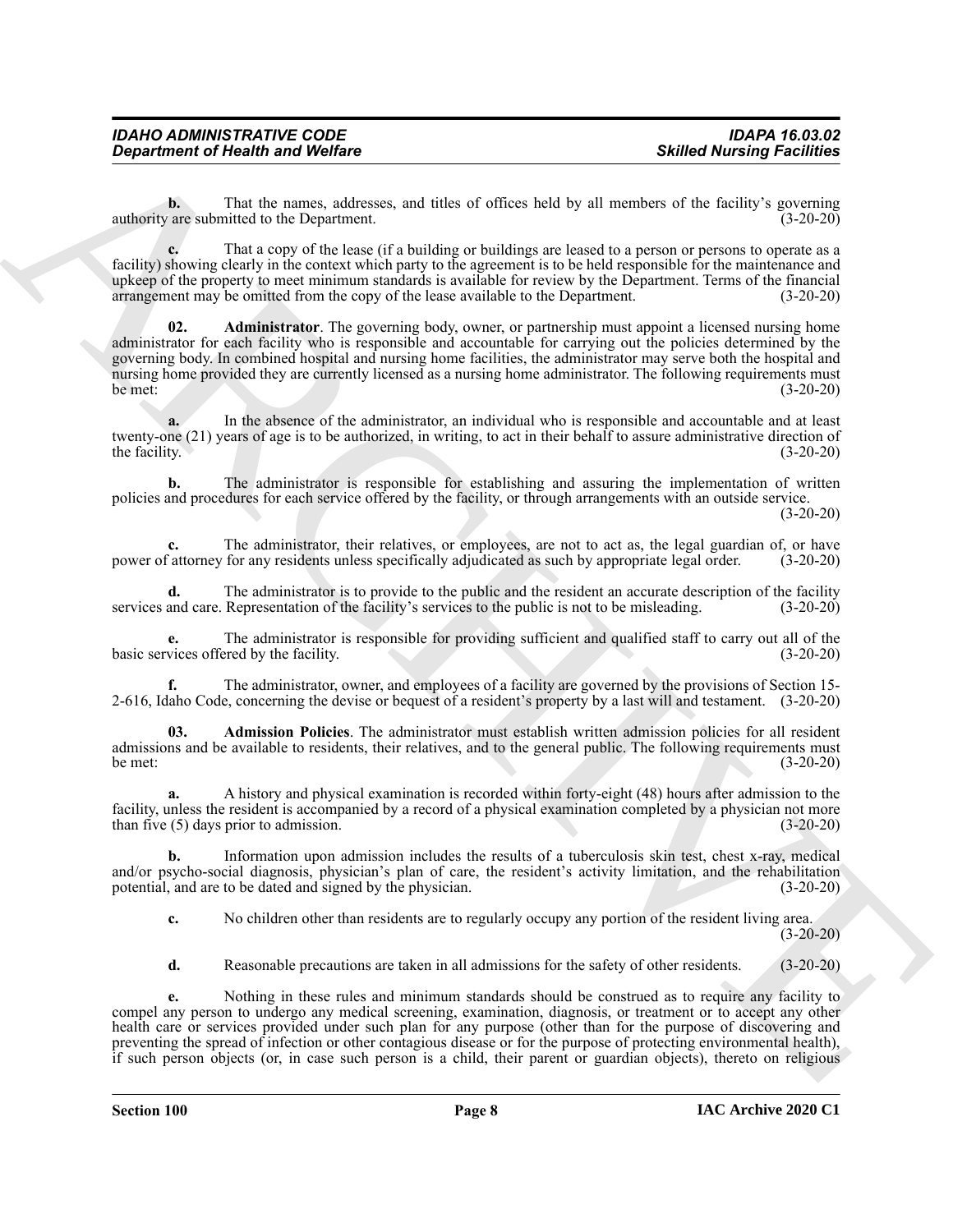**b.** That the names, addresses, and titles of offices held by all members of the facility's governing authority are submitted to the Department. (3-20-20)

<span id="page-7-0"></span>**c.** That a copy of the lease (if a building or buildings are leased to a person or persons to operate as a facility) showing clearly in the context which party to the agreement is to be held responsible for the maintenance and upkeep of the property to meet minimum standards is available for review by the Department. Terms of the financial arrangement may be omitted from the copy of the lease available to the Department. (3-20-20)

Given the chain and Wolfare<br>
Solution of Newton Solution Solution College and the of college and head of the methods in the signal policies of the chain and the college and the college and the college and the college and **02. Administrator**. The governing body, owner, or partnership must appoint a licensed nursing home administrator for each facility who is responsible and accountable for carrying out the policies determined by the governing body. In combined hospital and nursing home facilities, the administrator may serve both the hospital and nursing home provided they are currently licensed as a nursing home administrator. The following requirements must  $b$ e met:  $(3-20-20)$ 

**a.** In the absence of the administrator, an individual who is responsible and accountable and at least twenty-one (21) years of age is to be authorized, in writing, to act in their behalf to assure administrative direction of the facility. (3-20-20)

**b.** The administrator is responsible for establishing and assuring the implementation of written policies and procedures for each service offered by the facility, or through arrangements with an outside service.

(3-20-20)

**c.** The administrator, their relatives, or employees, are not to act as, the legal guardian of, or have power of attorney for any residents unless specifically adjudicated as such by appropriate legal order. (3-20-20)

**d.** The administrator is to provide to the public and the resident an accurate description of the facility and care. Representation of the facility's services to the public is not to be misleading. (3-20-20) services and care. Representation of the facility's services to the public is not to be misleading.

**e.** The administrator is responsible for providing sufficient and qualified staff to carry out all of the vices offered by the facility. (3-20-20) basic services offered by the facility.

**f.** The administrator, owner, and employees of a facility are governed by the provisions of Section 15- 2-616, Idaho Code, concerning the devise or bequest of a resident's property by a last will and testament. (3-20-20)

<span id="page-7-1"></span>**03. Admission Policies**. The administrator must establish written admission policies for all resident admissions and be available to residents, their relatives, and to the general public. The following requirements must  $b$ e met:  $(3-20-20)$ 

**a.** A history and physical examination is recorded within forty-eight (48) hours after admission to the facility, unless the resident is accompanied by a record of a physical examination completed by a physician not more than five (5) days prior to admission. (3-20-20)

**b.** Information upon admission includes the results of a tuberculosis skin test, chest x-ray, medical and/or psycho-social diagnosis, physician's plan of care, the resident's activity limitation, and the rehabilitation potential, and are to be dated and signed by the physician. (3-20-20) potential, and are to be dated and signed by the physician.

**c.** No children other than residents are to regularly occupy any portion of the resident living area.  $(3-20-20)$ 

**d.** Reasonable precautions are taken in all admissions for the safety of other residents. (3-20-20)

**e.** Nothing in these rules and minimum standards should be construed as to require any facility to compel any person to undergo any medical screening, examination, diagnosis, or treatment or to accept any other health care or services provided under such plan for any purpose (other than for the purpose of discovering and preventing the spread of infection or other contagious disease or for the purpose of protecting environmental health), if such person objects (or, in case such person is a child, their parent or guardian objects), thereto on religious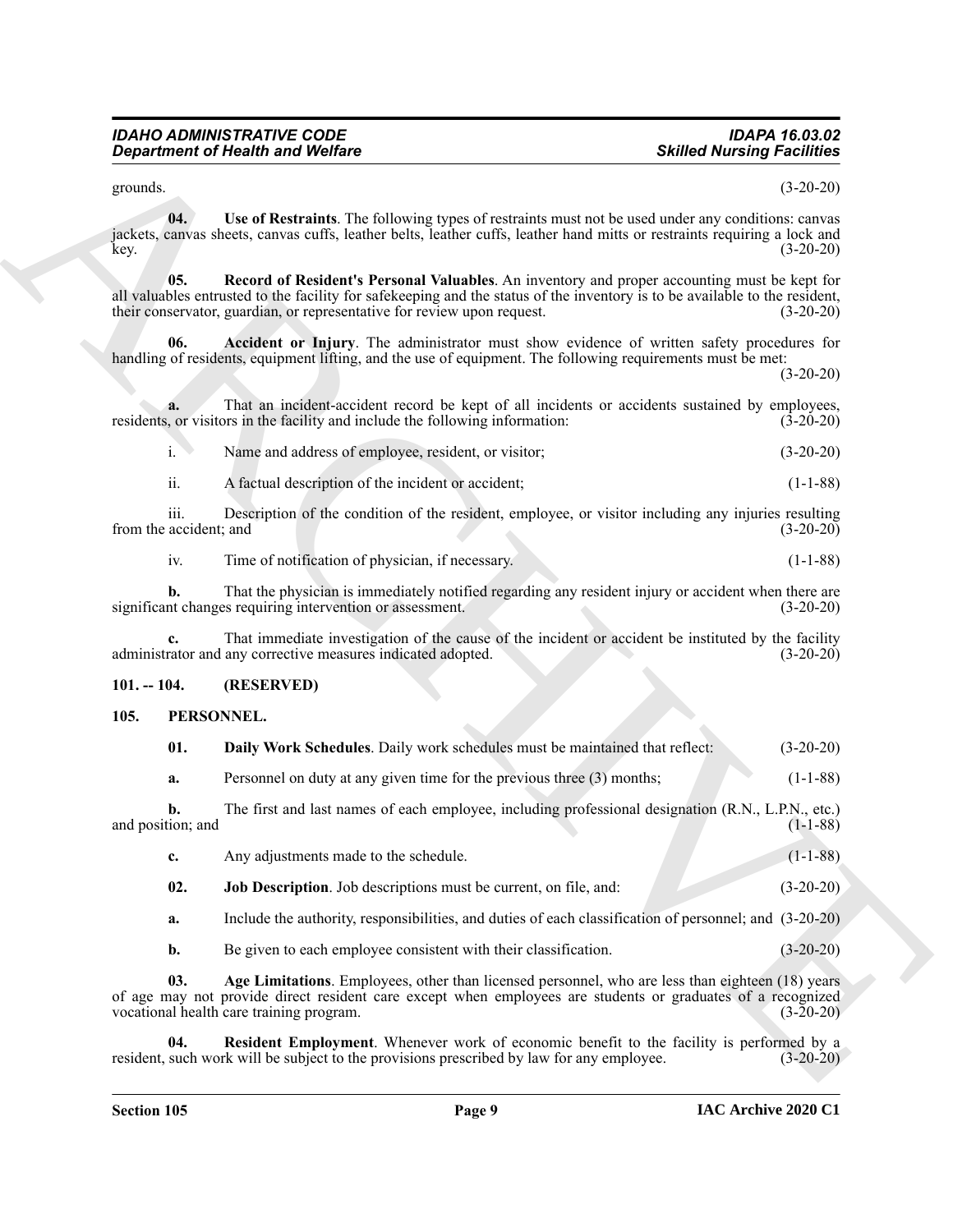<span id="page-8-3"></span><span id="page-8-2"></span>

| Name and address of employee, resident, or visitor; | $(3-20-20)$ |
|-----------------------------------------------------|-------------|
|                                                     |             |

#### <span id="page-8-0"></span>**101. -- 104. (RESERVED)**

#### <span id="page-8-9"></span><span id="page-8-8"></span><span id="page-8-7"></span><span id="page-8-6"></span><span id="page-8-5"></span><span id="page-8-1"></span>**105. PERSONNEL.**

<span id="page-8-4"></span>

|                                | <b>Department of Health and Welfare</b>                                                                                                                                                                                                                                                                | <b>Skilled Nursing Facilities</b> |
|--------------------------------|--------------------------------------------------------------------------------------------------------------------------------------------------------------------------------------------------------------------------------------------------------------------------------------------------------|-----------------------------------|
| grounds.                       |                                                                                                                                                                                                                                                                                                        | $(3-20-20)$                       |
| 04.<br>key.                    | Use of Restraints. The following types of restraints must not be used under any conditions: canvas<br>jackets, canvas sheets, canvas cuffs, leather belts, leather cuffs, leather hand mitts or restraints requiring a lock and                                                                        | $(3-20-20)$                       |
| 05.                            | Record of Resident's Personal Valuables. An inventory and proper accounting must be kept for<br>all valuables entrusted to the facility for safekeeping and the status of the inventory is to be available to the resident,<br>their conservator, guardian, or representative for review upon request. | $(3-20-20)$                       |
| 06.                            | Accident or Injury. The administrator must show evidence of written safety procedures for<br>handling of residents, equipment lifting, and the use of equipment. The following requirements must be met:                                                                                               | $(3-20-20)$                       |
| a.                             | That an incident-accident record be kept of all incidents or accidents sustained by employees,<br>residents, or visitors in the facility and include the following information:                                                                                                                        | $(3-20-20)$                       |
| i.                             | Name and address of employee, resident, or visitor;                                                                                                                                                                                                                                                    | $(3-20-20)$                       |
| ii.                            | A factual description of the incident or accident;                                                                                                                                                                                                                                                     | $(1-1-88)$                        |
| iii.<br>from the accident; and | Description of the condition of the resident, employee, or visitor including any injuries resulting                                                                                                                                                                                                    | $(3-20-20)$                       |
| iv.                            | Time of notification of physician, if necessary.                                                                                                                                                                                                                                                       | $(1-1-88)$                        |
| b.                             | That the physician is immediately notified regarding any resident injury or accident when there are<br>significant changes requiring intervention or assessment.                                                                                                                                       | $(3-20-20)$                       |
| c.                             | That immediate investigation of the cause of the incident or accident be instituted by the facility<br>administrator and any corrective measures indicated adopted.                                                                                                                                    | $(3-20-20)$                       |
| $101. - 104.$                  | (RESERVED)                                                                                                                                                                                                                                                                                             |                                   |
| 105.                           | PERSONNEL.                                                                                                                                                                                                                                                                                             |                                   |
| 01.                            | Daily Work Schedules. Daily work schedules must be maintained that reflect:                                                                                                                                                                                                                            | $(3-20-20)$                       |
| a.                             | Personnel on duty at any given time for the previous three (3) months;                                                                                                                                                                                                                                 | $(1-1-88)$                        |
| b.<br>and position; and        | The first and last names of each employee, including professional designation (R.N., L.P.N., etc.)                                                                                                                                                                                                     | $(1-1-88)$                        |
| c.                             | Any adjustments made to the schedule.                                                                                                                                                                                                                                                                  | $(1-1-88)$                        |
| 02.                            | Job Description. Job descriptions must be current, on file, and:                                                                                                                                                                                                                                       | $(3-20-20)$                       |
| a.                             | Include the authority, responsibilities, and duties of each classification of personnel; and (3-20-20)                                                                                                                                                                                                 |                                   |
|                                | Be given to each employee consistent with their classification.                                                                                                                                                                                                                                        | $(3-20-20)$                       |
| b.                             |                                                                                                                                                                                                                                                                                                        |                                   |
| 03.                            | Age Limitations. Employees, other than licensed personnel, who are less than eighteen (18) years<br>of age may not provide direct resident care except when employees are students or graduates of a recognized<br>vocational health care training program.                                            | $(3-20-20)$                       |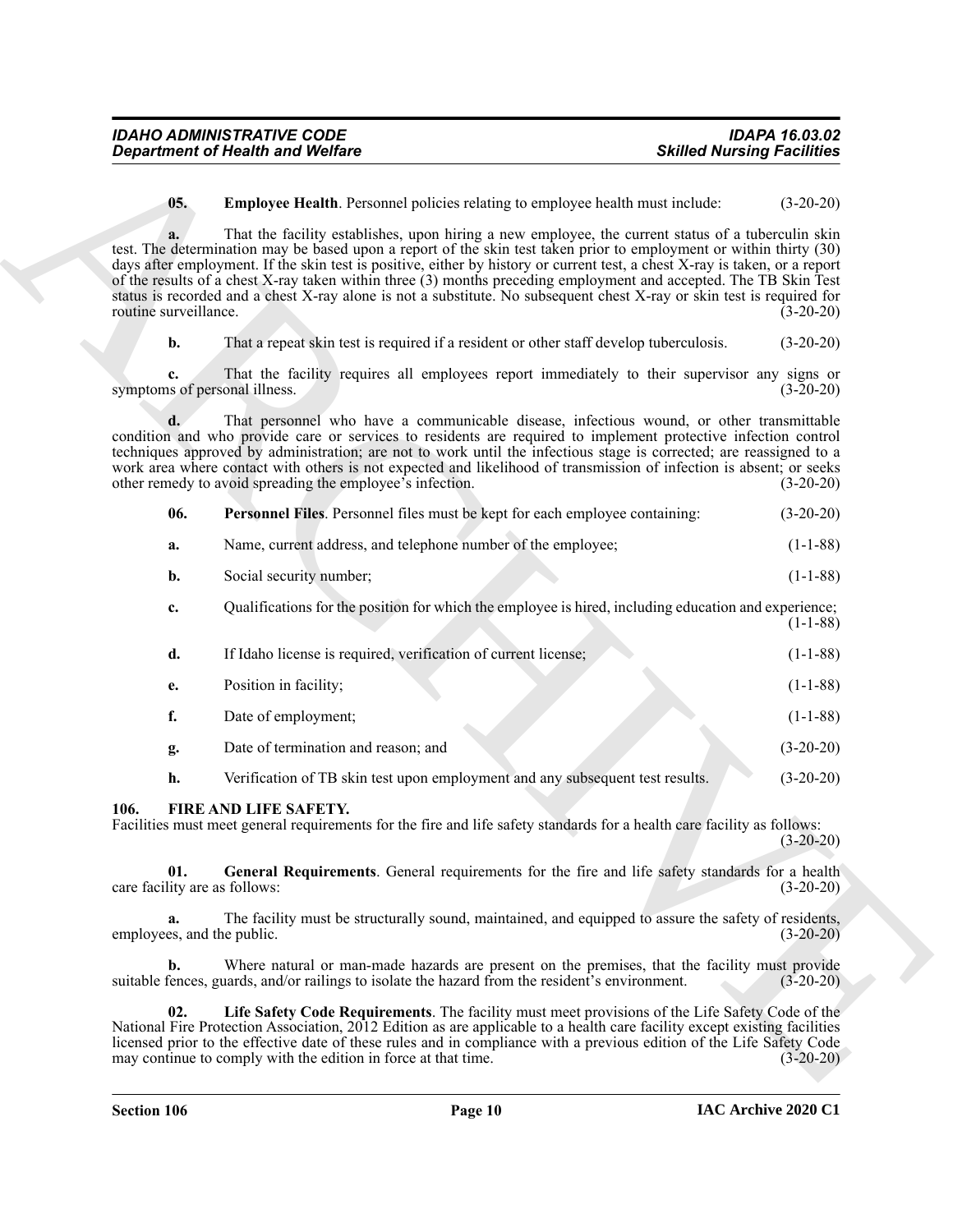<span id="page-9-4"></span>

| <b>IDAHO ADMINISTRATIVE CODE</b> | <b>IDAPA 16.03.02</b>             |
|----------------------------------|-----------------------------------|
| Department of Health and Welfare | <b>Skilled Nursing Facilities</b> |

<span id="page-9-5"></span>

| -06. |  | <b>Personnel Files.</b> Personnel files must be kept for each employee containing: |  |  |  | $(3-20-20)$ |
|------|--|------------------------------------------------------------------------------------|--|--|--|-------------|
|------|--|------------------------------------------------------------------------------------|--|--|--|-------------|

| a. | Name, current address, and telephone number of the employee: | $(1-1-88)$ |
|----|--------------------------------------------------------------|------------|
|----|--------------------------------------------------------------|------------|

| <b>b.</b> | Social security number: | $(1-1-88)$ |
|-----------|-------------------------|------------|
|           |                         |            |

|                                      | <b>Department of Health and Welfare</b>                                                                                                                                                                                                                                                                                                                                                                                                                                                                                                                                                                 | <b>Skilled Nursing Facilities</b> |
|--------------------------------------|---------------------------------------------------------------------------------------------------------------------------------------------------------------------------------------------------------------------------------------------------------------------------------------------------------------------------------------------------------------------------------------------------------------------------------------------------------------------------------------------------------------------------------------------------------------------------------------------------------|-----------------------------------|
| 05.                                  | Employee Health. Personnel policies relating to employee health must include:                                                                                                                                                                                                                                                                                                                                                                                                                                                                                                                           | $(3-20-20)$                       |
| a.<br>routine surveillance.          | That the facility establishes, upon hiring a new employee, the current status of a tuberculin skin<br>test. The determination may be based upon a report of the skin test taken prior to employment or within thirty (30)<br>days after employment. If the skin test is positive, either by history or current test, a chest X-ray is taken, or a report<br>of the results of a chest X-ray taken within three (3) months preceding employment and accepted. The TB Skin Test<br>status is recorded and a chest X-ray alone is not a substitute. No subsequent chest X-ray or skin test is required for | $(3-20-20)$                       |
| $\mathbf{b}$ .                       | That a repeat skin test is required if a resident or other staff develop tuberculosis.                                                                                                                                                                                                                                                                                                                                                                                                                                                                                                                  | $(3-20-20)$                       |
| c.<br>symptoms of personal illness.  | That the facility requires all employees report immediately to their supervisor any signs or                                                                                                                                                                                                                                                                                                                                                                                                                                                                                                            | $(3-20-20)$                       |
| d.                                   | That personnel who have a communicable disease, infectious wound, or other transmittable<br>condition and who provide care or services to residents are required to implement protective infection control<br>techniques approved by administration; are not to work until the infectious stage is corrected; are reassigned to a<br>work area where contact with others is not expected and likelihood of transmission of infection is absent; or seeks<br>other remedy to avoid spreading the employee's infection.                                                                                   | $(3-20-20)$                       |
| 06.                                  | Personnel Files. Personnel files must be kept for each employee containing:                                                                                                                                                                                                                                                                                                                                                                                                                                                                                                                             | $(3-20-20)$                       |
| a.                                   | Name, current address, and telephone number of the employee;                                                                                                                                                                                                                                                                                                                                                                                                                                                                                                                                            | $(1-1-88)$                        |
| b.                                   | Social security number;                                                                                                                                                                                                                                                                                                                                                                                                                                                                                                                                                                                 | $(1-1-88)$                        |
| c.                                   | Qualifications for the position for which the employee is hired, including education and experience;                                                                                                                                                                                                                                                                                                                                                                                                                                                                                                    | $(1-1-88)$                        |
| d.                                   | If Idaho license is required, verification of current license;                                                                                                                                                                                                                                                                                                                                                                                                                                                                                                                                          | $(1-1-88)$                        |
| e.                                   | Position in facility;                                                                                                                                                                                                                                                                                                                                                                                                                                                                                                                                                                                   | $(1-1-88)$                        |
| f.                                   | Date of employment;                                                                                                                                                                                                                                                                                                                                                                                                                                                                                                                                                                                     | $(1-1-88)$                        |
| g.                                   | Date of termination and reason; and                                                                                                                                                                                                                                                                                                                                                                                                                                                                                                                                                                     | $(3-20-20)$                       |
| h.                                   | Verification of TB skin test upon employment and any subsequent test results.                                                                                                                                                                                                                                                                                                                                                                                                                                                                                                                           | $(3-20-20)$                       |
| 106.                                 | FIRE AND LIFE SAFETY.<br>Facilities must meet general requirements for the fire and life safety standards for a health care facility as follows:                                                                                                                                                                                                                                                                                                                                                                                                                                                        | $(3-20-20)$                       |
| 01.<br>care facility are as follows: | General Requirements. General requirements for the fire and life safety standards for a health                                                                                                                                                                                                                                                                                                                                                                                                                                                                                                          | $(3-20-20)$                       |
| a.<br>employees, and the public.     | The facility must be structurally sound, maintained, and equipped to assure the safety of residents,                                                                                                                                                                                                                                                                                                                                                                                                                                                                                                    | $(3-20-20)$                       |
| b.                                   | Where natural or man-made hazards are present on the premises, that the facility must provide<br>suitable fences, guards, and/or railings to isolate the hazard from the resident's environment.                                                                                                                                                                                                                                                                                                                                                                                                        | $(3-20-20)$                       |
| 02.                                  | Life Safety Code Requirements. The facility must meet provisions of the Life Safety Code of the<br>National Fire Protection Association, 2012 Edition as are applicable to a health care facility except existing facilities<br>licensed prior to the effective date of these rules and in compliance with a previous edition of the Life Safety Code<br>may continue to comply with the edition in force at that time.                                                                                                                                                                                 | $(3-20-20)$                       |

#### <span id="page-9-3"></span><span id="page-9-2"></span><span id="page-9-1"></span><span id="page-9-0"></span>**106. FIRE AND LIFE SAFETY.**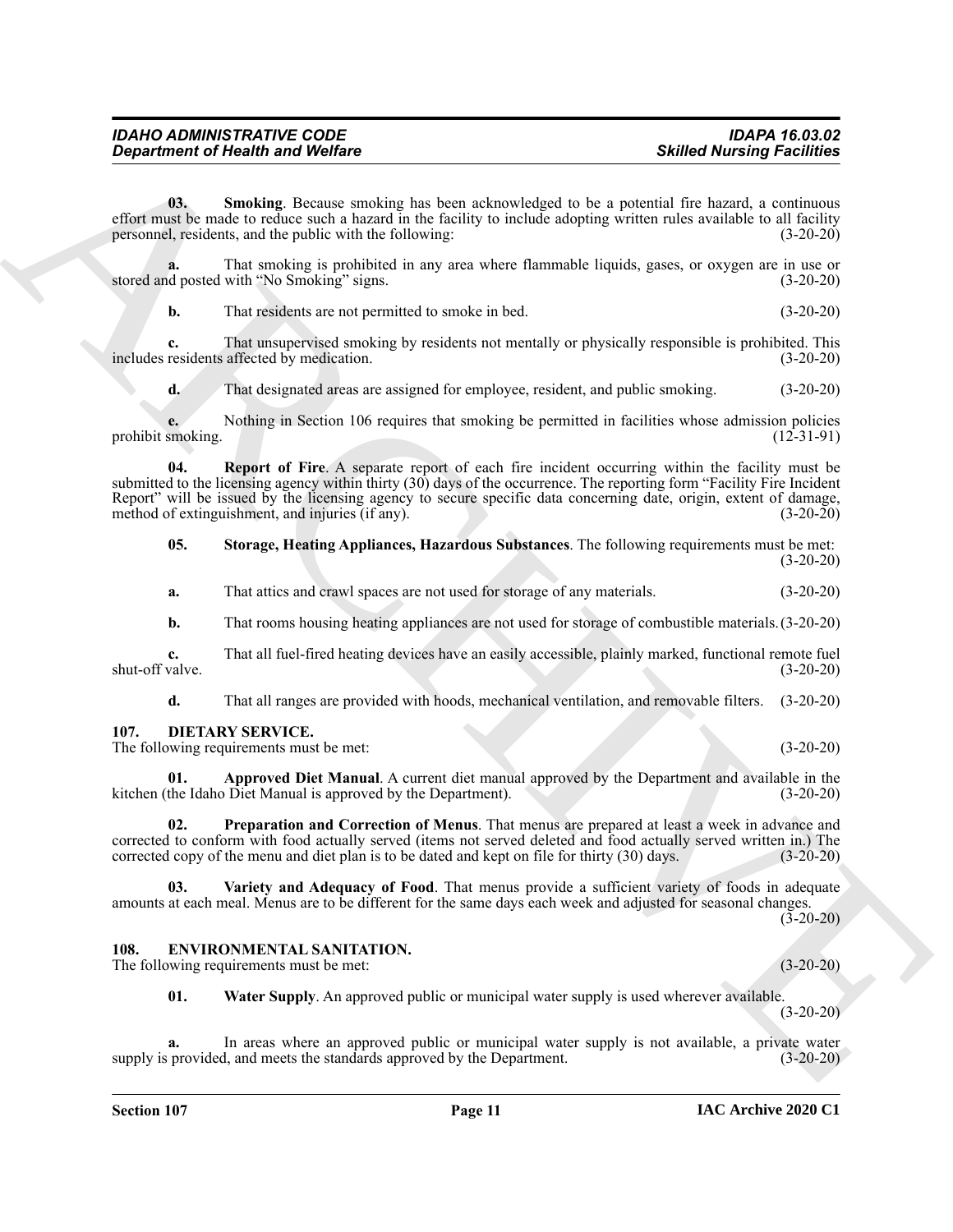| <b>IDAHO ADMINISTRATIVE CODE</b>        | <b>IDAPA 16.03.02</b>             |
|-----------------------------------------|-----------------------------------|
| <b>Department of Health and Welfare</b> | <b>Skilled Nursing Facilities</b> |

<span id="page-10-6"></span>**03. Smoking**. Because smoking has been acknowledged to be a potential fire hazard, a continuous effort must be made to reduce such a hazard in the facility to include adopting written rules available to all facility personnel, residents, and the public with the following: (3-20-20) personnel, residents, and the public with the following:

**a.** That smoking is prohibited in any area where flammable liquids, gases, or oxygen are in use or d posted with "No Smoking" signs. (3-20-20) stored and posted with "No Smoking" signs.

**b.** That residents are not permitted to smoke in bed. (3-20-20)

**c.** That unsupervised smoking by residents not mentally or physically responsible is prohibited. This includes residents affected by medication. (3-20-20)

<span id="page-10-5"></span>**d.** That designated areas are assigned for employee, resident, and public smoking. (3-20-20)

**e.** Nothing in Section 106 requires that smoking be permitted in facilities whose admission policies smoking. (12-31-91) prohibit smoking.

Generation of Nearly is not Wolfrey<br>
Shifted Numering Presiding<br>
Shifted Numering Presiding<br>
Shifted Numering Shifted Numering Shifted Numering Shifted Numering Shifted Numering Shifted Numering Shifted Numering Shifted N **04. Report of Fire**. A separate report of each fire incident occurring within the facility must be submitted to the licensing agency within thirty (30) days of the occurrence. The reporting form "Facility Fire Incident Report" will be issued by the licensing agency to secure specific data concerning date, origin, extent of damage, method of extinguishment, and injuries (if any). method of extinguishment, and injuries (if any).

<span id="page-10-7"></span>**05. Storage, Heating Appliances, Hazardous Substances**. The following requirements must be met:  $(3-20-20)$ 

**a.** That attics and crawl spaces are not used for storage of any materials. (3-20-20)

**b.** That rooms housing heating appliances are not used for storage of combustible materials. (3-20-20)

**c.** That all fuel-fired heating devices have an easily accessible, plainly marked, functional remote fuel valve. (3-20-20) shut-off valve.

<span id="page-10-2"></span>**d.** That all ranges are provided with hoods, mechanical ventilation, and removable filters. (3-20-20)

<span id="page-10-0"></span>**107. DIETARY SERVICE.**

The following requirements must be met: (3-20-20)

**01. Approved Diet Manual**. A current diet manual approved by the Department and available in the Idaho Diet Manual is approved by the Department). (3-20-20) kitchen (the Idaho Diet Manual is approved by the Department).

**02. Preparation and Correction of Menus**. That menus are prepared at least a week in advance and corrected to conform with food actually served (items not served deleted and food actually served written in.) The corrected copy of the menu and diet plan is to be dated and kept on file for thirty (30) days. (3-20-20) corrected copy of the menu and diet plan is to be dated and kept on file for thirty (30) days.

**03. Variety and Adequacy of Food**. That menus provide a sufficient variety of foods in adequate amounts at each meal. Menus are to be different for the same days each week and adjusted for seasonal changes.

 $(3-20-20)$ 

### <span id="page-10-3"></span><span id="page-10-1"></span>**108. ENVIRONMENTAL SANITATION.**

The following requirements must be met: (3-20-20)

<span id="page-10-4"></span>**01. Water Supply**. An approved public or municipal water supply is used wherever available.

(3-20-20)

**a.** In areas where an approved public or municipal water supply is not available, a private water supply is provided, and meets the standards approved by the Department. (3-20-20)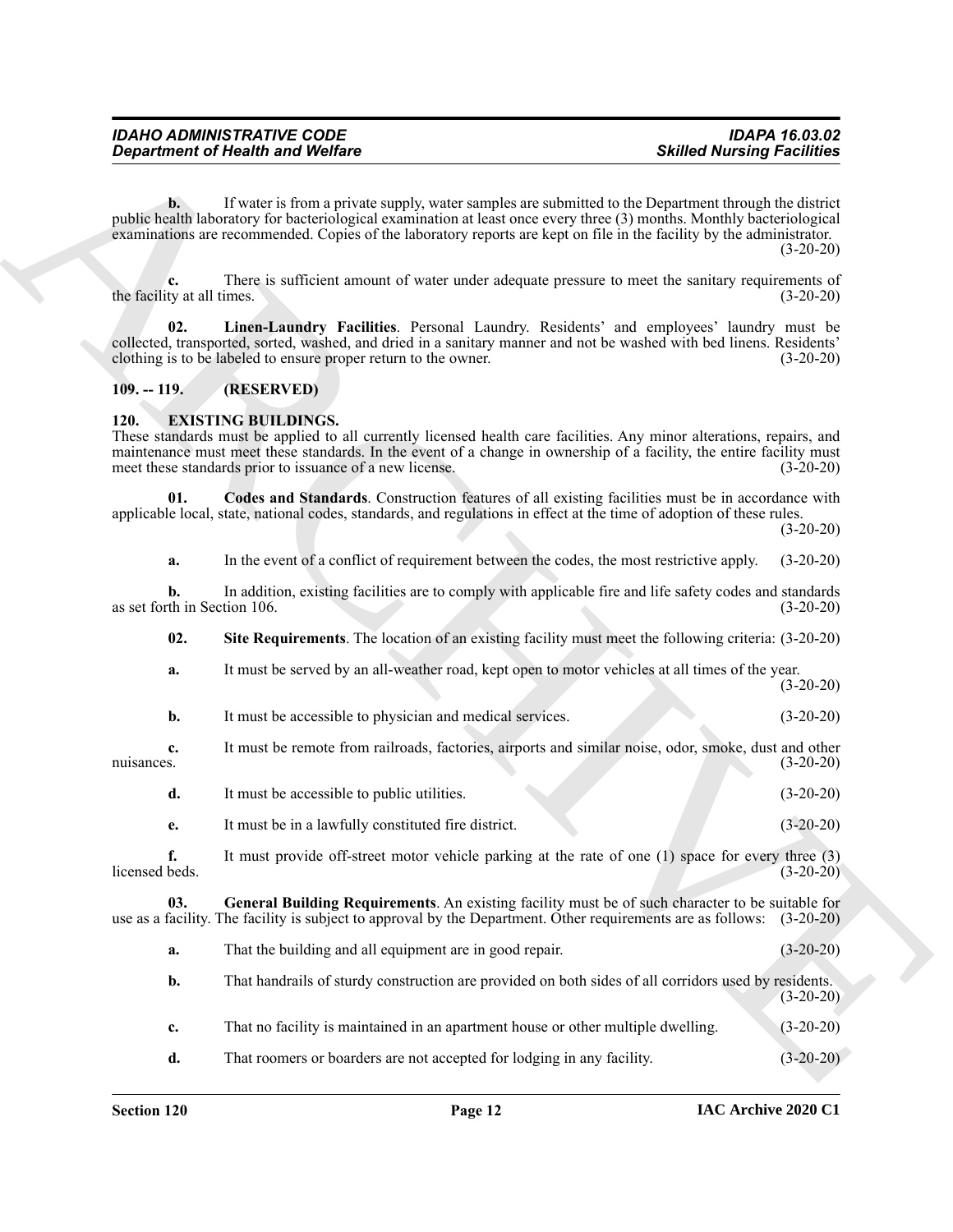**Exparament of Newth Workers** Website<br>
The same interaction of the same of the same of the same of the same of the same of the same of the same of the same of the same of the same of the same of the same of the same of th **b.** If water is from a private supply, water samples are submitted to the Department through the district public health laboratory for bacteriological examination at least once every three (3) months. Monthly bacteriological examinations are recommended. Copies of the laboratory reports are kept on file in the facility by the administrator.  $(3-20-20)$ 

**c.** There is sufficient amount of water under adequate pressure to meet the sanitary requirements of ty at all times. (3-20-20) the facility at all times.

<span id="page-11-2"></span>**02. Linen-Laundry Facilities**. Personal Laundry. Residents' and employees' laundry must be collected, transported, sorted, washed, and dried in a sanitary manner and not be washed with bed linens. Residents' clothing is to be labeled to ensure proper return to the owner. (3-20-20)

#### <span id="page-11-0"></span>**109. -- 119. (RESERVED)**

#### <span id="page-11-3"></span><span id="page-11-1"></span>**120. EXISTING BUILDINGS.**

These standards must be applied to all currently licensed health care facilities. Any minor alterations, repairs, and maintenance must meet these standards. In the event of a change in ownership of a facility, the entire facility must meet these standards prior to issuance of a new license. (3-20-20)

**01. Codes and Standards**. Construction features of all existing facilities must be in accordance with applicable local, state, national codes, standards, and regulations in effect at the time of adoption of these rules.

(3-20-20)

<span id="page-11-4"></span>**a.** In the event of a conflict of requirement between the codes, the most restrictive apply. (3-20-20)

**b.** In addition, existing facilities are to comply with applicable fire and life safety codes and standards th in Section 106. (3-20-20) as set forth in Section 106.

<span id="page-11-6"></span>**02. Site Requirements**. The location of an existing facility must meet the following criteria: (3-20-20)

- **a.** It must be served by an all-weather road, kept open to motor vehicles at all times of the year. (3-20-20)
- **b.** It must be accessible to physician and medical services. (3-20-20)
- **c.** It must be remote from railroads, factories, airports and similar noise, odor, smoke, dust and other nuisances. (3-20-20)
	- **d.** It must be accessible to public utilities. (3-20-20)
	- **e.** It must be in a lawfully constituted fire district. (3-20-20)

**f.** It must provide off-street motor vehicle parking at the rate of one (1) space for every three (3) licensed beds. (3-20-20)

**03. General Building Requirements**. An existing facility must be of such character to be suitable for use as a facility. The facility is subject to approval by the Department. Other requirements are as follows: (3-20-20)

- <span id="page-11-5"></span>**a.** That the building and all equipment are in good repair. (3-20-20)
- **b.** That handrails of sturdy construction are provided on both sides of all corridors used by residents.  $(3-20-20)$
- **c.** That no facility is maintained in an apartment house or other multiple dwelling. (3-20-20)
- **d.** That roomers or boarders are not accepted for lodging in any facility. (3-20-20)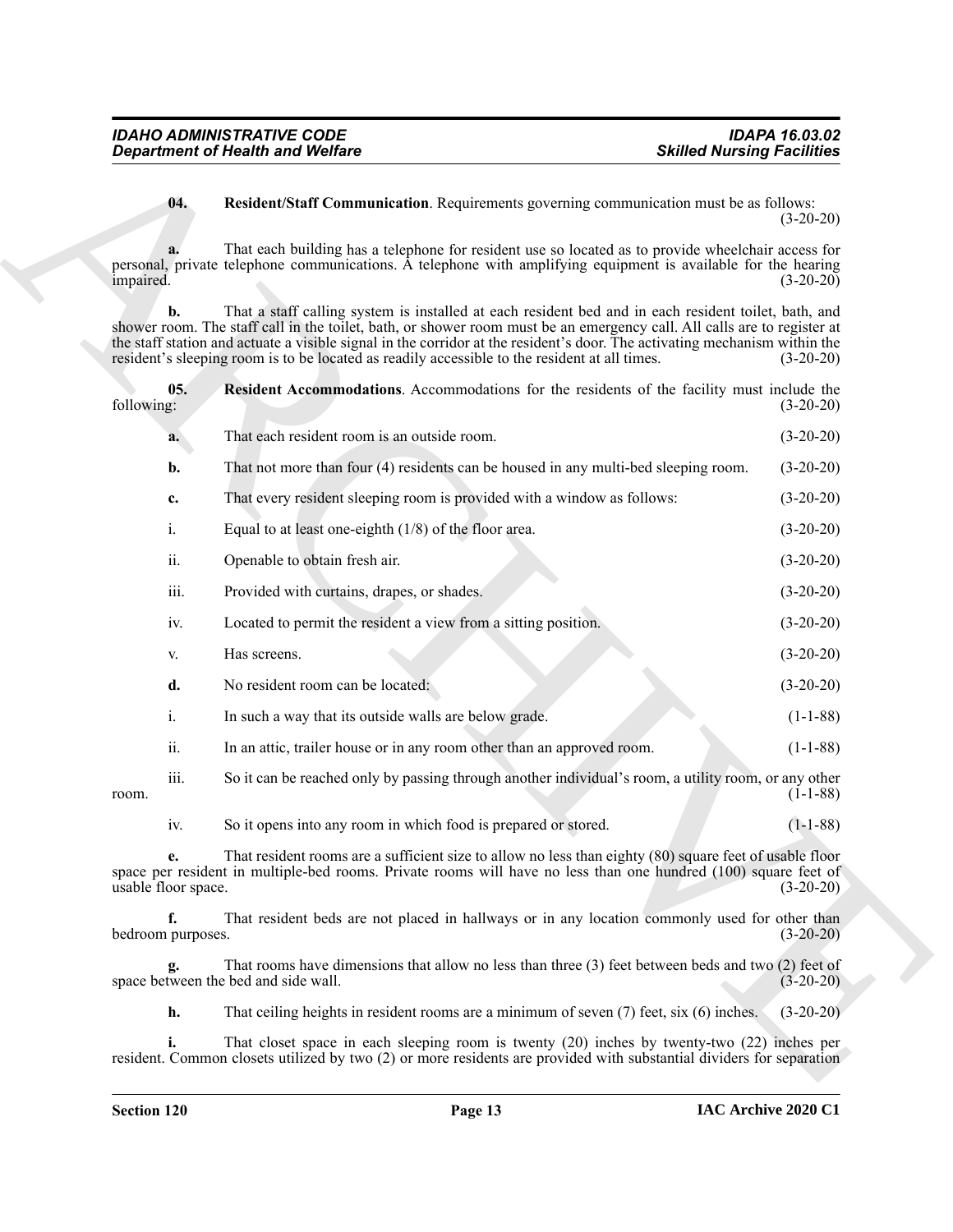#### <span id="page-12-1"></span><span id="page-12-0"></span>**04. Resident/Staff Communication**. Requirements governing communication must be as follows: (3-20-20)

|                           | <b>Department of Health and Welfare</b>                                                                                                                                                                                                                                                                                                                                                                                                                        | <b>Skilled Nursing Facilities</b> |
|---------------------------|----------------------------------------------------------------------------------------------------------------------------------------------------------------------------------------------------------------------------------------------------------------------------------------------------------------------------------------------------------------------------------------------------------------------------------------------------------------|-----------------------------------|
| 04.                       | Resident/Staff Communication. Requirements governing communication must be as follows:                                                                                                                                                                                                                                                                                                                                                                         | $(3-20-20)$                       |
| a.<br>impaired.           | That each building has a telephone for resident use so located as to provide wheelchair access for<br>personal, private telephone communications. A telephone with amplifying equipment is available for the hearing                                                                                                                                                                                                                                           | $(3-20-20)$                       |
| b.                        | That a staff calling system is installed at each resident bed and in each resident toilet, bath, and<br>shower room. The staff call in the toilet, bath, or shower room must be an emergency call. All calls are to register at<br>the staff station and actuate a visible signal in the corridor at the resident's door. The activating mechanism within the<br>resident's sleeping room is to be located as readily accessible to the resident at all times. | $(3-20-20)$                       |
| 05.<br>following:         | Resident Accommodations. Accommodations for the residents of the facility must include the                                                                                                                                                                                                                                                                                                                                                                     | $(3-20-20)$                       |
| a.                        | That each resident room is an outside room.                                                                                                                                                                                                                                                                                                                                                                                                                    | $(3-20-20)$                       |
| b.                        | That not more than four (4) residents can be housed in any multi-bed sleeping room.                                                                                                                                                                                                                                                                                                                                                                            | $(3-20-20)$                       |
| c.                        | That every resident sleeping room is provided with a window as follows:                                                                                                                                                                                                                                                                                                                                                                                        | $(3-20-20)$                       |
| $\mathbf{i}$ .            | Equal to at least one-eighth $(1/8)$ of the floor area.                                                                                                                                                                                                                                                                                                                                                                                                        | $(3-20-20)$                       |
| ii.                       | Openable to obtain fresh air.                                                                                                                                                                                                                                                                                                                                                                                                                                  | $(3-20-20)$                       |
| iii.                      | Provided with curtains, drapes, or shades.                                                                                                                                                                                                                                                                                                                                                                                                                     | $(3-20-20)$                       |
| iv.                       | Located to permit the resident a view from a sitting position.                                                                                                                                                                                                                                                                                                                                                                                                 | $(3-20-20)$                       |
| V.                        | Has screens.                                                                                                                                                                                                                                                                                                                                                                                                                                                   | $(3-20-20)$                       |
| d.                        | No resident room can be located:                                                                                                                                                                                                                                                                                                                                                                                                                               | $(3-20-20)$                       |
| $\mathbf{i}$ .            | In such a way that its outside walls are below grade.                                                                                                                                                                                                                                                                                                                                                                                                          | $(1-1-88)$                        |
| ii.                       | In an attic, trailer house or in any room other than an approved room.                                                                                                                                                                                                                                                                                                                                                                                         | $(1-1-88)$                        |
| iii.<br>room.             | So it can be reached only by passing through another individual's room, a utility room, or any other                                                                                                                                                                                                                                                                                                                                                           | $(1-1-88)$                        |
| iv.                       | So it opens into any room in which food is prepared or stored.                                                                                                                                                                                                                                                                                                                                                                                                 | $(1-1-88)$                        |
| e.<br>usable floor space. | That resident rooms are a sufficient size to allow no less than eighty (80) square feet of usable floor<br>space per resident in multiple-bed rooms. Private rooms will have no less than one hundred (100) square feet of                                                                                                                                                                                                                                     | $(3-20-20)$                       |
| f.<br>bedroom purposes.   | That resident beds are not placed in hallways or in any location commonly used for other than                                                                                                                                                                                                                                                                                                                                                                  | $(3-20-20)$                       |
| g.                        | That rooms have dimensions that allow no less than three (3) feet between beds and two (2) feet of<br>space between the bed and side wall.                                                                                                                                                                                                                                                                                                                     | $(3-20-20)$                       |
| h.                        | That ceiling heights in resident rooms are a minimum of seven $(7)$ feet, six $(6)$ inches.                                                                                                                                                                                                                                                                                                                                                                    | $(3-20-20)$                       |
| i.                        | That closet space in each sleeping room is twenty (20) inches by twenty-two (22) inches per<br>resident. Common closets utilized by two (2) or more residents are provided with substantial dividers for separation                                                                                                                                                                                                                                            |                                   |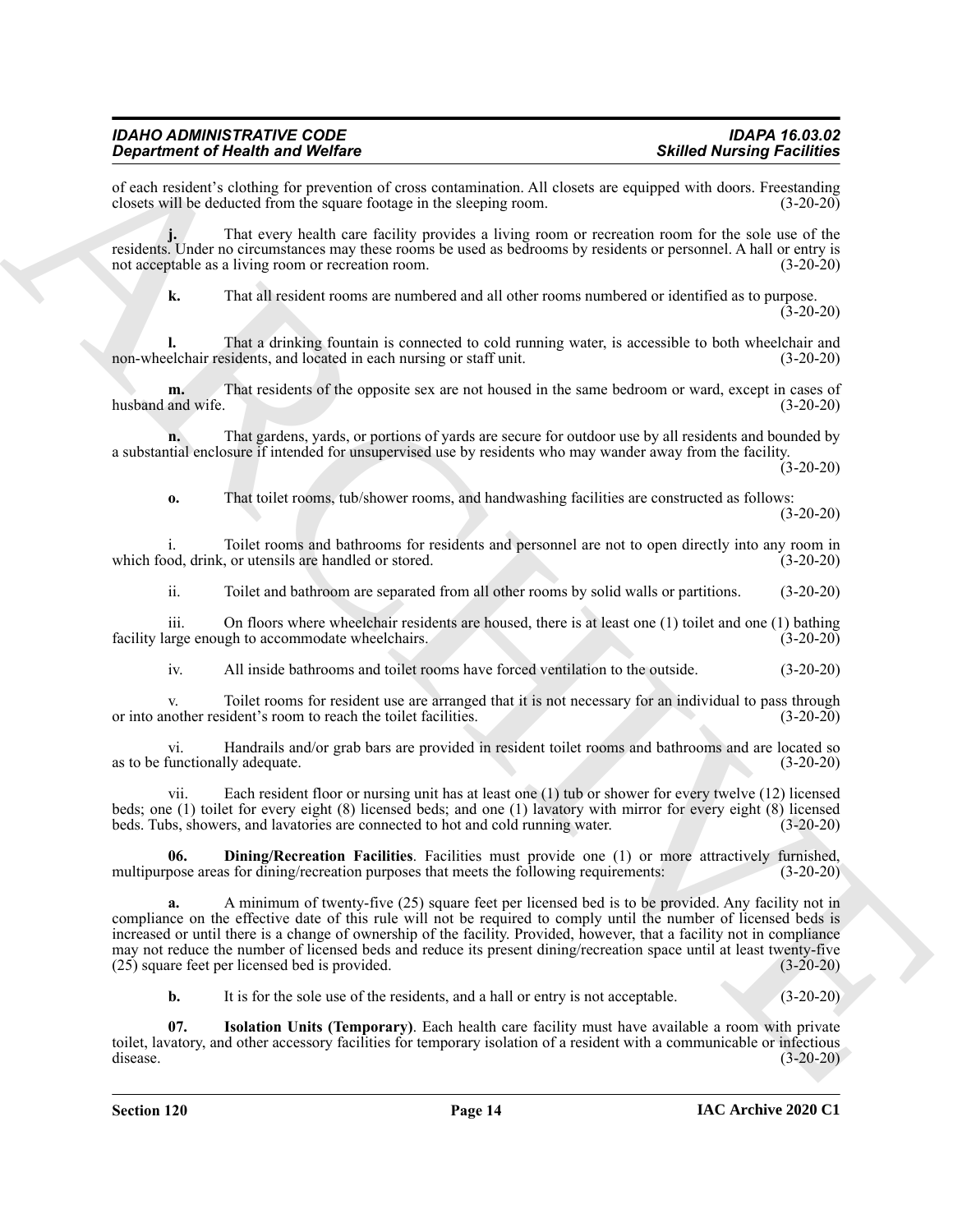#### *IDAHO ADMINISTRATIVE CODE IDAPA 16.03.02 Department of Health and Welfare*

of each resident's clothing for prevention of cross contamination. All closets are equipped with doors. Freestanding closets will be deducted from the square footage in the sleeping room. (3-20-20) closets will be deducted from the square footage in the sleeping room.

**j.** That every health care facility provides a living room or recreation room for the sole use of the residents. Under no circumstances may these rooms be used as bedrooms by residents or personnel. A hall or entry is not acceptable as a living room or recreation room. (3-20-20)

**k.** That all resident rooms are numbered and all other rooms numbered or identified as to purpose. (3-20-20)

**l.** That a drinking fountain is connected to cold running water, is accessible to both wheelchair and non-wheelchair residents, and located in each nursing or staff unit. (3-20-20)

**m.** That residents of the opposite sex are not housed in the same bedroom or ward, except in cases of husband and wife. (3-20-20)

**n.** That gardens, yards, or portions of yards are secure for outdoor use by all residents and bounded by a substantial enclosure if intended for unsupervised use by residents who may wander away from the facility.

 $(3-20-20)$ 

**o.** That toilet rooms, tub/shower rooms, and handwashing facilities are constructed as follows: (3-20-20)

i. Toilet rooms and bathrooms for residents and personnel are not to open directly into any room in which food, drink, or utensils are handled or stored. (3-20-20)

ii. Toilet and bathroom are separated from all other rooms by solid walls or partitions. (3-20-20)

iii. On floors where wheelchair residents are housed, there is at least one (1) toilet and one (1) bathing facility large enough to accommodate wheelchairs. (3-20-20) (3-20-20)

iv. All inside bathrooms and toilet rooms have forced ventilation to the outside. (3-20-20)

v. Toilet rooms for resident use are arranged that it is not necessary for an individual to pass through nother resident's room to reach the toilet facilities. (3-20-20) or into another resident's room to reach the toilet facilities.

vi. Handrails and/or grab bars are provided in resident toilet rooms and bathrooms and are located so as to be functionally adequate. (3-20-20)

vii. Each resident floor or nursing unit has at least one (1) tub or shower for every twelve (12) licensed beds; one (1) toilet for every eight (8) licensed beds; and one (1) lavatory with mirror for every eight (8) licensed beds. Tubs, showers, and lavatories are connected to hot and cold running water. (3-20-20)

<span id="page-13-0"></span>**06. Dining/Recreation Facilities**. Facilities must provide one (1) or more attractively furnished, multipurpose areas for dining/recreation purposes that meets the following requirements: (3-20-20)

**Since the risk of Ward Wardres**<br> **Constraints for the construent of New York and New York and New York and New York and New York and New York and New York and New York and New York and New York and New York and New York a.** A minimum of twenty-five (25) square feet per licensed bed is to be provided. Any facility not in compliance on the effective date of this rule will not be required to comply until the number of licensed beds is increased or until there is a change of ownership of the facility. Provided, however, that a facility not in compliance may not reduce the number of licensed beds and reduce its present dining/recreation space until at least twenty-five (25) square feet per licensed bed is provided. (3-20-20)  $(25)$  square feet per licensed bed is provided.

<span id="page-13-1"></span>**b.** It is for the sole use of the residents, and a hall or entry is not acceptable. (3-20-20)

**07. Isolation Units (Temporary)**. Each health care facility must have available a room with private toilet, lavatory, and other accessory facilities for temporary isolation of a resident with a communicable or infectious disease. (3-20-20)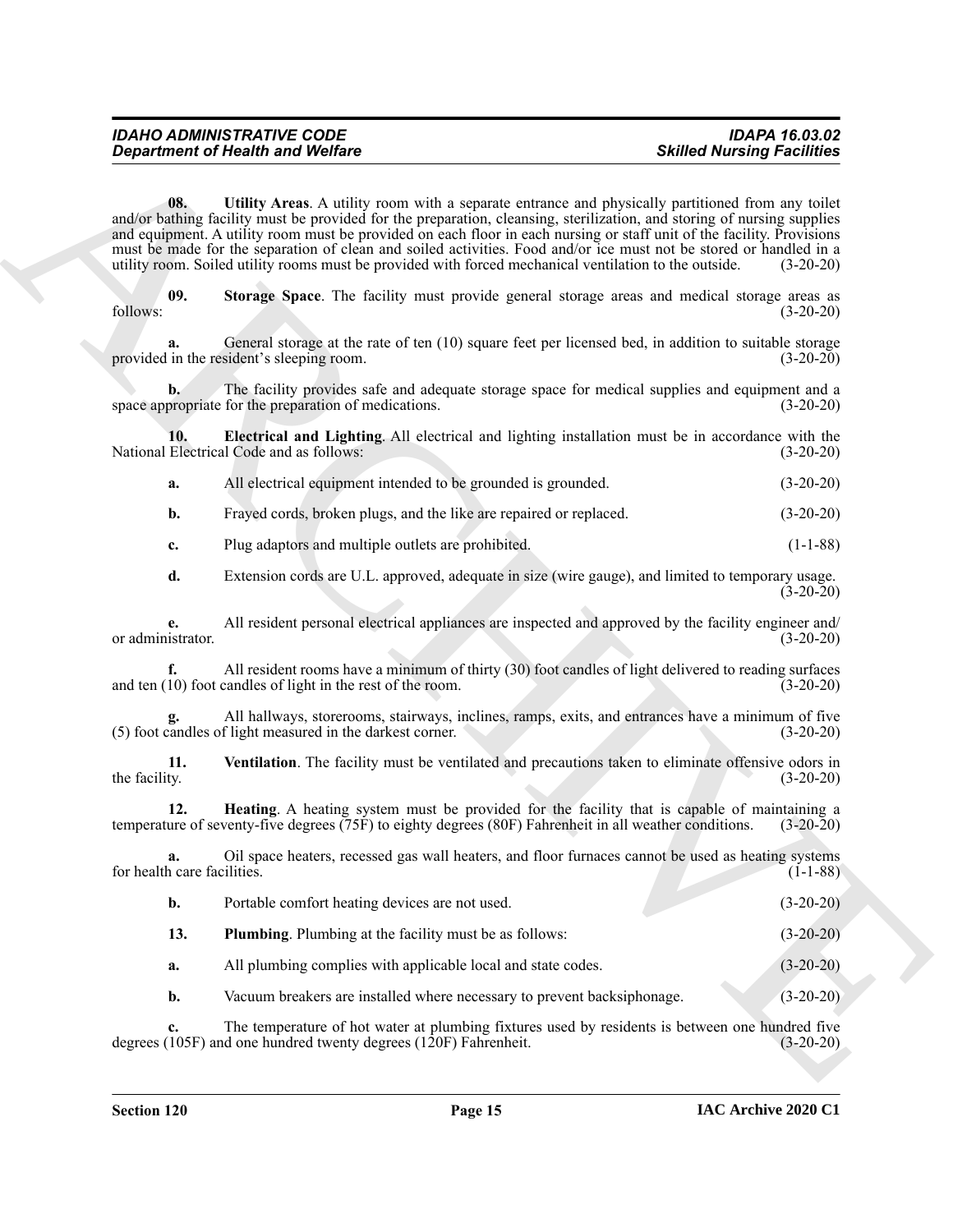<span id="page-14-4"></span><span id="page-14-3"></span>

| <b>IDAHO ADMINISTRATIVE CODE</b>        | <b>IDAPA 16.03.02</b>             |
|-----------------------------------------|-----------------------------------|
| <b>Department of Health and Welfare</b> | <b>Skilled Nursing Facilities</b> |

<span id="page-14-5"></span><span id="page-14-2"></span><span id="page-14-1"></span><span id="page-14-0"></span>

| а. |  |  | All electrical equipment intended to be grounded is grounded. | $(3-20-20)$ |
|----|--|--|---------------------------------------------------------------|-------------|
|----|--|--|---------------------------------------------------------------|-------------|

| <b>Department of Health and Welfare</b>                                 |                                                                                                                                                                                                                                                                                                                                                                                                                                                                                                                                                                                        | <b>Skilled Nursing Facilities</b> |
|-------------------------------------------------------------------------|----------------------------------------------------------------------------------------------------------------------------------------------------------------------------------------------------------------------------------------------------------------------------------------------------------------------------------------------------------------------------------------------------------------------------------------------------------------------------------------------------------------------------------------------------------------------------------------|-----------------------------------|
| 08.                                                                     | Utility Areas. A utility room with a separate entrance and physically partitioned from any toilet<br>and/or bathing facility must be provided for the preparation, cleansing, sterilization, and storing of nursing supplies<br>and equipment. A utility room must be provided on each floor in each nursing or staff unit of the facility. Provisions<br>must be made for the separation of clean and soiled activities. Food and/or ice must not be stored or handled in a<br>utility room. Soiled utility rooms must be provided with forced mechanical ventilation to the outside. | $(3-20-20)$                       |
| 09.<br>follows:                                                         | Storage Space. The facility must provide general storage areas and medical storage areas as                                                                                                                                                                                                                                                                                                                                                                                                                                                                                            | $(3-20-20)$                       |
| a.<br>provided in the resident's sleeping room.                         | General storage at the rate of ten (10) square feet per licensed bed, in addition to suitable storage                                                                                                                                                                                                                                                                                                                                                                                                                                                                                  | $(3-20-20)$                       |
| $\mathbf{b}$ .<br>space appropriate for the preparation of medications. | The facility provides safe and adequate storage space for medical supplies and equipment and a                                                                                                                                                                                                                                                                                                                                                                                                                                                                                         | $(3-20-20)$                       |
| 10.<br>National Electrical Code and as follows:                         | Electrical and Lighting. All electrical and lighting installation must be in accordance with the                                                                                                                                                                                                                                                                                                                                                                                                                                                                                       | $(3-20-20)$                       |
| a.                                                                      | All electrical equipment intended to be grounded is grounded.                                                                                                                                                                                                                                                                                                                                                                                                                                                                                                                          | $(3-20-20)$                       |
| b.                                                                      | Frayed cords, broken plugs, and the like are repaired or replaced.                                                                                                                                                                                                                                                                                                                                                                                                                                                                                                                     | $(3-20-20)$                       |
| Plug adaptors and multiple outlets are prohibited.<br>c.                |                                                                                                                                                                                                                                                                                                                                                                                                                                                                                                                                                                                        | $(1-1-88)$                        |
| d.                                                                      | Extension cords are U.L. approved, adequate in size (wire gauge), and limited to temporary usage.                                                                                                                                                                                                                                                                                                                                                                                                                                                                                      | $(3-20-20)$                       |
| e.<br>or administrator.                                                 | All resident personal electrical appliances are inspected and approved by the facility engineer and/                                                                                                                                                                                                                                                                                                                                                                                                                                                                                   | $(3-20-20)$                       |
| f.<br>and ten (10) foot candles of light in the rest of the room.       | All resident rooms have a minimum of thirty (30) foot candles of light delivered to reading surfaces                                                                                                                                                                                                                                                                                                                                                                                                                                                                                   | $(3-20-20)$                       |
| (5) foot candles of light measured in the darkest corner.               | All hallways, storerooms, stairways, inclines, ramps, exits, and entrances have a minimum of five                                                                                                                                                                                                                                                                                                                                                                                                                                                                                      | $(3-20-20)$                       |
| 11.<br>the facility.                                                    | Ventilation. The facility must be ventilated and precautions taken to eliminate offensive odors in                                                                                                                                                                                                                                                                                                                                                                                                                                                                                     | $(3-20-20)$                       |
| 12.                                                                     | Heating. A heating system must be provided for the facility that is capable of maintaining a<br>temperature of seventy-five degrees (75F) to eighty degrees (80F) Fahrenheit in all weather conditions.                                                                                                                                                                                                                                                                                                                                                                                | $(3-20-20)$                       |
| a.<br>for health care facilities.                                       | Oil space heaters, recessed gas wall heaters, and floor furnaces cannot be used as heating systems                                                                                                                                                                                                                                                                                                                                                                                                                                                                                     | $(1-1-88)$                        |
| b.<br>Portable comfort heating devices are not used.                    |                                                                                                                                                                                                                                                                                                                                                                                                                                                                                                                                                                                        | $(3-20-20)$                       |
| 13.<br>Plumbing. Plumbing at the facility must be as follows:           |                                                                                                                                                                                                                                                                                                                                                                                                                                                                                                                                                                                        | $(3-20-20)$                       |
| a.                                                                      | All plumbing complies with applicable local and state codes.                                                                                                                                                                                                                                                                                                                                                                                                                                                                                                                           | $(3-20-20)$                       |
| b.                                                                      | Vacuum breakers are installed where necessary to prevent backsiphonage.                                                                                                                                                                                                                                                                                                                                                                                                                                                                                                                | $(3-20-20)$                       |
| c.<br>degrees (105F) and one hundred twenty degrees (120F) Fahrenheit.  | The temperature of hot water at plumbing fixtures used by residents is between one hundred five                                                                                                                                                                                                                                                                                                                                                                                                                                                                                        | $(3-20-20)$                       |
|                                                                         |                                                                                                                                                                                                                                                                                                                                                                                                                                                                                                                                                                                        |                                   |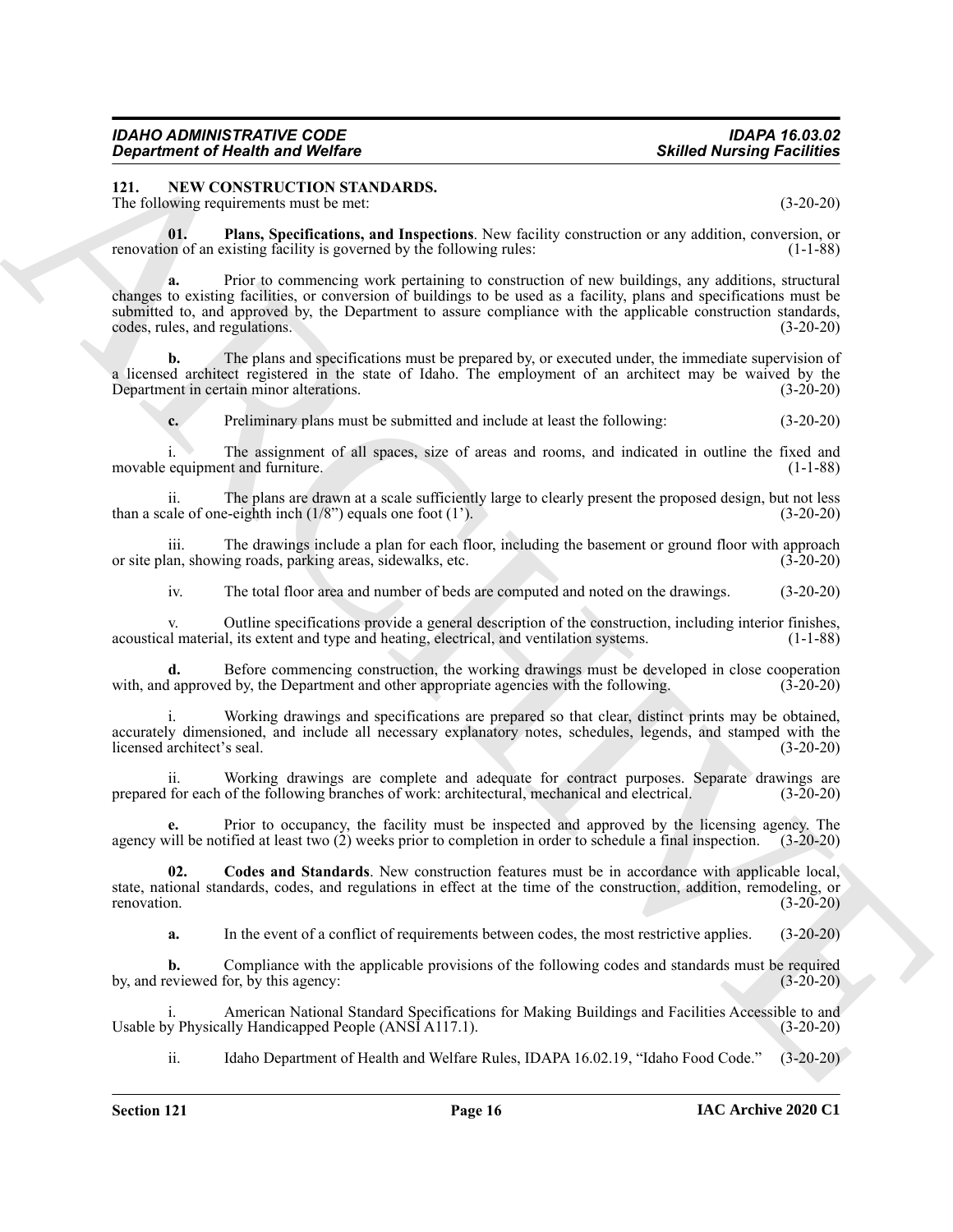<span id="page-15-1"></span><span id="page-15-0"></span>**121. NEW CONSTRUCTION STANDARDS.**

The following requirements must be met: (3-20-20)

<span id="page-15-3"></span>**01. Plans, Specifications, and Inspections**. New facility construction or any addition, conversion, or renovation of an existing facility is governed by the following rules: (1-1-88)

**EXERCISION WAS CONSTRUCTION SYSTEMS.**<br>
SAIRLY NUTRICISED STATISTICS CONSTRUCTION SYSTEMS CONSTRUES.<br>
The Goldwin Construction and Inspections, Now Government and The Construction Construction and The Construction and Ins **a.** Prior to commencing work pertaining to construction of new buildings, any additions, structural changes to existing facilities, or conversion of buildings to be used as a facility, plans and specifications must be submitted to, and approved by, the Department to assure compliance with the applicable construction standards, codes, rules, and regulations. (3-20-20)

**b.** The plans and specifications must be prepared by, or executed under, the immediate supervision of a licensed architect registered in the state of Idaho. The employment of an architect may be waived by the Department in certain minor alterations. (3-20-20)

**c.** Preliminary plans must be submitted and include at least the following: (3-20-20)

i. The assignment of all spaces, size of areas and rooms, and indicated in outline the fixed and movable equipment and furniture. (1-1-88)

ii. The plans are drawn at a scale sufficiently large to clearly present the proposed design, but not less ale of one-eighth inch  $(1/8)$  equals one foot  $(1)$ .  $(3-20-20)$ than a scale of one-eighth inch  $(1/8)$  equals one foot  $(1)$ .

iii. The drawings include a plan for each floor, including the basement or ground floor with approach or site plan, showing roads, parking areas, sidewalks, etc. (3-20-20)

iv. The total floor area and number of beds are computed and noted on the drawings. (3-20-20)

v. Outline specifications provide a general description of the construction, including interior finishes, acoustical material, its extent and type and heating, electrical, and ventilation systems. (1-1-88)

**d.** Before commencing construction, the working drawings must be developed in close cooperation with, and approved by, the Department and other appropriate agencies with the following. (3-20-20)

Working drawings and specifications are prepared so that clear, distinct prints may be obtained, accurately dimensioned, and include all necessary explanatory notes, schedules, legends, and stamped with the licensed architect's seal. (3-20-20) licensed architect's seal.

ii. Working drawings are complete and adequate for contract purposes. Separate drawings are for each of the following branches of work: architectural, mechanical and electrical. (3-20-20) prepared for each of the following branches of work: architectural, mechanical and electrical.

**e.** Prior to occupancy, the facility must be inspected and approved by the licensing agency. The agency will be notified at least two (2) weeks prior to completion in order to schedule a final inspection. (3-20-20)

**02. Codes and Standards**. New construction features must be in accordance with applicable local, state, national standards, codes, and regulations in effect at the time of the construction, addition, remodeling, or renovation. (3-20-20)

<span id="page-15-2"></span>**a.** In the event of a conflict of requirements between codes, the most restrictive applies. (3-20-20)

**b.** Compliance with the applicable provisions of the following codes and standards must be required by, and reviewed for, by this agency: (3-20-20)

American National Standard Specifications for Making Buildings and Facilities Accessible to and ally Handicapped People (ANSI A117.1). Usable by Physically Handicapped People (ANSI A117.1).

ii. Idaho Department of Health and Welfare Rules, IDAPA 16.02.19, "Idaho Food Code." (3-20-20)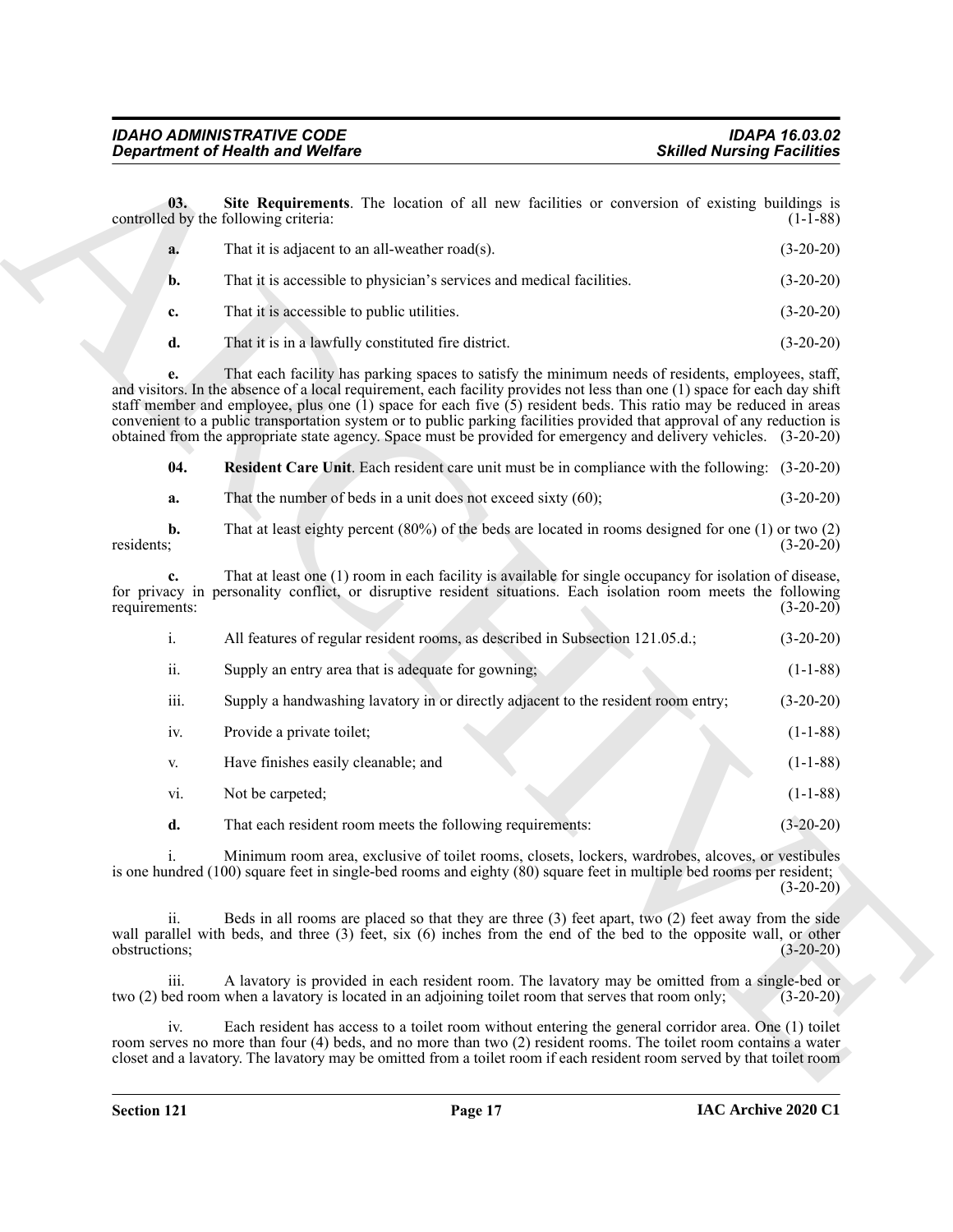<span id="page-16-1"></span><span id="page-16-0"></span>

| a. | That it is adjacent to an all-weather road(s).                        | $(3-20-20)$ |
|----|-----------------------------------------------------------------------|-------------|
| b. | That it is accessible to physician's services and medical facilities. | $(3-20-20)$ |
| c. | That it is accessible to public utilities.                            | $(3-20-20)$ |
| d. | That it is in a lawfully constituted fire district.                   | $(3-20-20)$ |

|                              | <b>Department of Health and Welfare</b>                                                                                                                                                                                                                                                                                                                                                                                                                                                                                                                                                                   | <b>Skilled Nursing Facilities</b> |
|------------------------------|-----------------------------------------------------------------------------------------------------------------------------------------------------------------------------------------------------------------------------------------------------------------------------------------------------------------------------------------------------------------------------------------------------------------------------------------------------------------------------------------------------------------------------------------------------------------------------------------------------------|-----------------------------------|
| 03.                          | Site Requirements. The location of all new facilities or conversion of existing buildings is<br>controlled by the following criteria:                                                                                                                                                                                                                                                                                                                                                                                                                                                                     | $(1-1-88)$                        |
| a.                           | That it is adjacent to an all-weather road(s).                                                                                                                                                                                                                                                                                                                                                                                                                                                                                                                                                            | $(3-20-20)$                       |
| b.                           | That it is accessible to physician's services and medical facilities.                                                                                                                                                                                                                                                                                                                                                                                                                                                                                                                                     | $(3-20-20)$                       |
| c.                           | That it is accessible to public utilities.                                                                                                                                                                                                                                                                                                                                                                                                                                                                                                                                                                | $(3-20-20)$                       |
| d.                           | That it is in a lawfully constituted fire district.                                                                                                                                                                                                                                                                                                                                                                                                                                                                                                                                                       | $(3-20-20)$                       |
| e.                           | That each facility has parking spaces to satisfy the minimum needs of residents, employees, staff,<br>and visitors. In the absence of a local requirement, each facility provides not less than one (1) space for each day shift<br>staff member and employee, plus one $(1)$ space for each five $(5)$ resident beds. This ratio may be reduced in areas<br>convenient to a public transportation system or to public parking facilities provided that approval of any reduction is<br>obtained from the appropriate state agency. Space must be provided for emergency and delivery vehicles. (3-20-20) |                                   |
| 04.                          | <b>Resident Care Unit.</b> Each resident care unit must be in compliance with the following: (3-20-20)                                                                                                                                                                                                                                                                                                                                                                                                                                                                                                    |                                   |
| a.                           | That the number of beds in a unit does not exceed sixty $(60)$ ;                                                                                                                                                                                                                                                                                                                                                                                                                                                                                                                                          | $(3-20-20)$                       |
| $\mathbf{b}$ .<br>residents; | That at least eighty percent $(80%)$ of the beds are located in rooms designed for one $(1)$ or two $(2)$                                                                                                                                                                                                                                                                                                                                                                                                                                                                                                 | $(3-20-20)$                       |
| c.<br>requirements:          | That at least one (1) room in each facility is available for single occupancy for isolation of disease,<br>for privacy in personality conflict, or disruptive resident situations. Each isolation room meets the following                                                                                                                                                                                                                                                                                                                                                                                | $(3-20-20)$                       |
| i.                           | All features of regular resident rooms, as described in Subsection 121.05.d.;                                                                                                                                                                                                                                                                                                                                                                                                                                                                                                                             | $(3-20-20)$                       |
| ii.                          | Supply an entry area that is adequate for gowning;                                                                                                                                                                                                                                                                                                                                                                                                                                                                                                                                                        | $(1-1-88)$                        |
| iii.                         | Supply a handwashing lavatory in or directly adjacent to the resident room entry;                                                                                                                                                                                                                                                                                                                                                                                                                                                                                                                         | $(3-20-20)$                       |
| iv.                          | Provide a private toilet;                                                                                                                                                                                                                                                                                                                                                                                                                                                                                                                                                                                 | $(1-1-88)$                        |
| V.                           | Have finishes easily cleanable; and                                                                                                                                                                                                                                                                                                                                                                                                                                                                                                                                                                       | $(1-1-88)$                        |
| vi.                          | Not be carpeted;                                                                                                                                                                                                                                                                                                                                                                                                                                                                                                                                                                                          | $(1-1-88)$                        |
| d.                           | That each resident room meets the following requirements:                                                                                                                                                                                                                                                                                                                                                                                                                                                                                                                                                 | $(3-20-20)$                       |
| $\mathbf{i}$ .               | Minimum room area, exclusive of toilet rooms, closets, lockers, wardrobes, alcoves, or vestibules<br>is one hundred (100) square feet in single-bed rooms and eighty (80) square feet in multiple bed rooms per resident;                                                                                                                                                                                                                                                                                                                                                                                 | $(3-20-20)$                       |
| ii.<br>obstructions;         | Beds in all rooms are placed so that they are three $(3)$ feet apart, two $(2)$ feet away from the side<br>wall parallel with beds, and three (3) feet, six (6) inches from the end of the bed to the opposite wall, or other                                                                                                                                                                                                                                                                                                                                                                             | $(3-20-20)$                       |
| iii.                         | A lavatory is provided in each resident room. The lavatory may be omitted from a single-bed or<br>two (2) bed room when a lavatory is located in an adjoining toilet room that serves that room only;                                                                                                                                                                                                                                                                                                                                                                                                     | $(3-20-20)$                       |
| iv.                          | Each resident has access to a toilet room without entering the general corridor area. One (1) toilet<br>room serves no more than four (4) beds, and no more than two (2) resident rooms. The toilet room contains a water<br>closet and a lavatory. The lavatory may be omitted from a toilet room if each resident room served by that toilet room                                                                                                                                                                                                                                                       |                                   |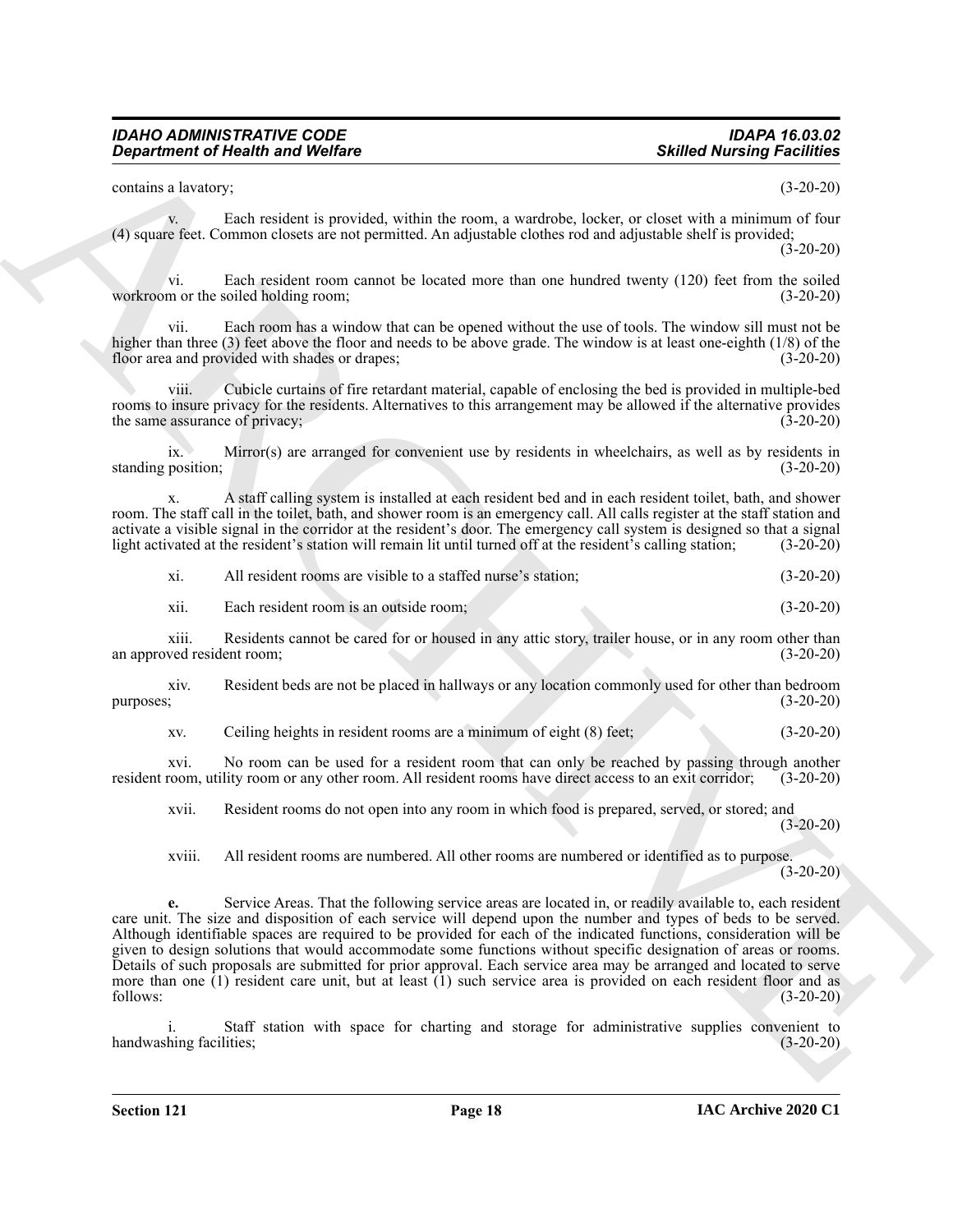contains a lavatory; (3-20-20)

v. Each resident is provided, within the room, a wardrobe, locker, or closet with a minimum of four (4) square feet. Common closets are not permitted. An adjustable clothes rod and adjustable shelf is provided; (3-20-20)

vi. Each resident room cannot be located more than one hundred twenty (120) feet from the soiled<br>m or the soiled holding room; (3-20-20) workroom or the soiled holding room;

vii. Each room has a window that can be opened without the use of tools. The window sill must not be higher than three (3) feet above the floor and needs to be above grade. The window is at least one-eighth (1/8) of the floor area and provided with shades or drapes; (3-20-20)

Cubicle curtains of fire retardant material, capable of enclosing the bed is provided in multiple-bed rooms to insure privacy for the residents. Alternatives to this arrangement may be allowed if the alternative provides the same assurance of privacy;  $(3-20-20)$ 

ix. Mirror(s) are arranged for convenient use by residents in wheelchairs, as well as by residents in position; (3-20-20) standing position;

x. A staff calling system is installed at each resident bed and in each resident toilet, bath, and shower room. The staff call in the toilet, bath, and shower room is an emergency call. All calls register at the staff station and activate a visible signal in the corridor at the resident's door. The emergency call system is designed so that a signal light activated at the resident's station will remain lit until turned off at the resident's calling station; (3-20-20)

|  | xi. | All resident rooms are visible to a staffed nurse's station: | $(3-20-20)$ |
|--|-----|--------------------------------------------------------------|-------------|
|--|-----|--------------------------------------------------------------|-------------|

xii. Each resident room is an outside room; (3-20-20)

xiii. Residents cannot be cared for or housed in any attic story, trailer house, or in any room other than an approved resident room; (3-20-20)

xiv. Resident beds are not be placed in hallways or any location commonly used for other than bedroom purposes;  $(3-20-20)$ 

xv. Ceiling heights in resident rooms are a minimum of eight (8) feet; (3-20-20)

xvi. No room can be used for a resident room that can only be reached by passing through another resident room, utility room or any other room. All resident rooms have direct access to an exit corridor; (3-20-20)

xvii. Resident rooms do not open into any room in which food is prepared, served, or stored; and (3-20-20)

xviii. All resident rooms are numbered. All other rooms are numbered or identified as to purpose.  $(3-20-20)$ 

**Equipment of Nearly wave Wedler<br>
Solution of Nearly Wedler<br>
Solution and Wedler<br>
Solution of Nearly Wedler<br>
Solution Control of Nearly Wedler<br>
Solution Control of Nearly Control of Nearly Wedler<br>
Solution Control of Near e.** Service Areas. That the following service areas are located in, or readily available to, each resident care unit. The size and disposition of each service will depend upon the number and types of beds to be served. Although identifiable spaces are required to be provided for each of the indicated functions, consideration will be given to design solutions that would accommodate some functions without specific designation of areas or rooms. Details of such proposals are submitted for prior approval. Each service area may be arranged and located to serve more than one (1) resident care unit, but at least (1) such service area is provided on each resident floor and as follows: (3-20-20)

i. Staff station with space for charting and storage for administrative supplies convenient to handwashing facilities; (3-20-20)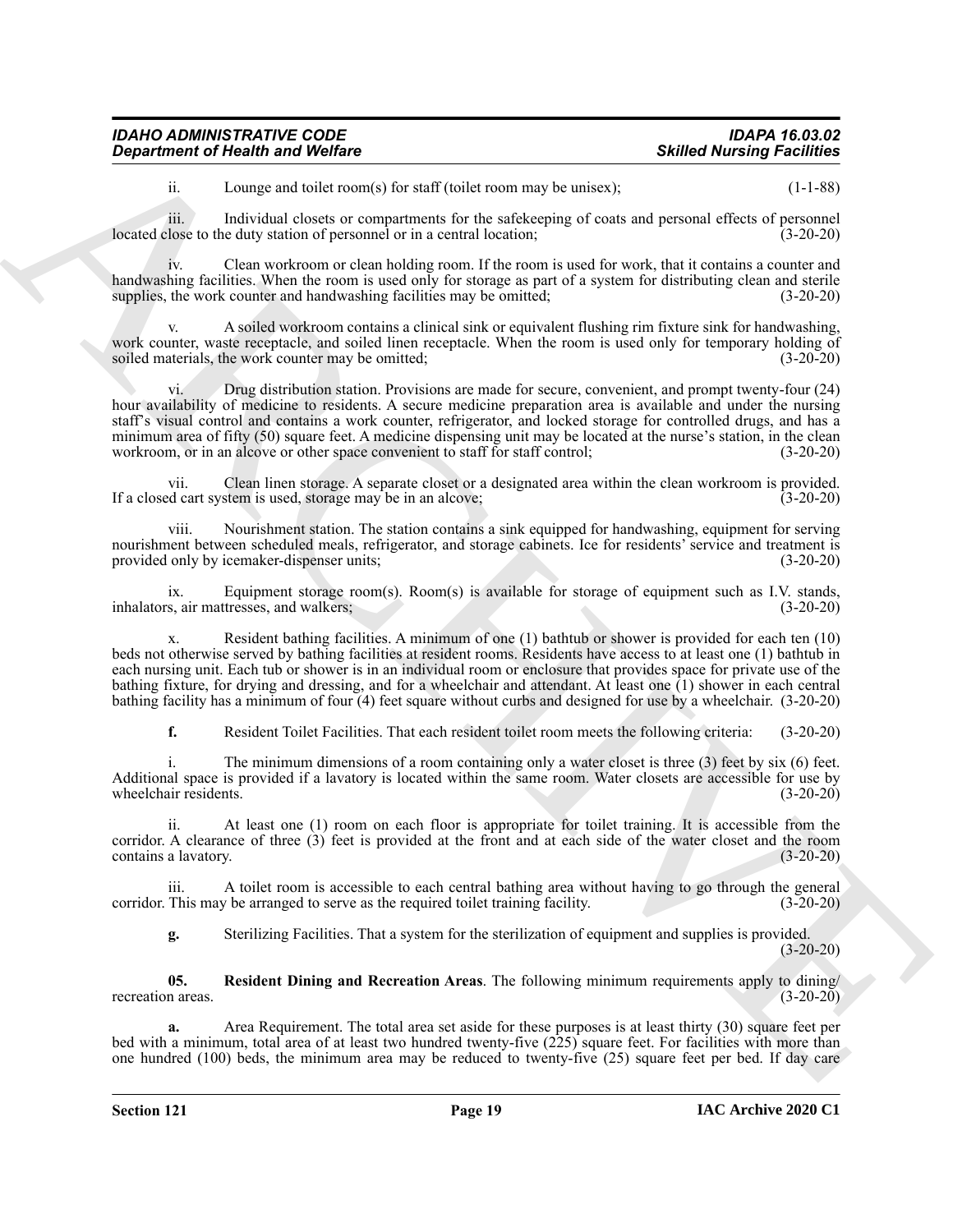| <b>IDAHO ADMINISTRATIVE CODE</b>        | <b>IDAPA 16.03.02</b>             |
|-----------------------------------------|-----------------------------------|
| <b>Department of Health and Welfare</b> | <b>Skilled Nursing Facilities</b> |

ii. Lounge and toilet room(s) for staff (toilet room may be unisex); (1-1-88)

iii. Individual closets or compartments for the safekeeping of coats and personal effects of personnel<br>lose to the duty station of personnel or in a central location: (3-20-20) located close to the duty station of personnel or in a central location;

iv. Clean workroom or clean holding room. If the room is used for work, that it contains a counter and handwashing facilities. When the room is used only for storage as part of a system for distributing clean and sterile supplies, the work counter and handwashing facilities may be omitted; (3-20-20)

A soiled workroom contains a clinical sink or equivalent flushing rim fixture sink for handwashing, work counter, waste receptacle, and soiled linen receptacle. When the room is used only for temporary holding of soiled materials, the work counter may be omitted; (3-20-20) (3-20-20)

**Exparament of Newton Wolfres**<br>
Lemantant Wolfres<br>
Lemantant Reservoir Reservoir Reservoir Reservoir Reservoir Reservoir Reservoir Reservoir Reservoir Reservoir Reservoir Reservoir Reservoir Reservoir Reservoir Reservoir Drug distribution station. Provisions are made for secure, convenient, and prompt twenty-four (24) hour availability of medicine to residents. A secure medicine preparation area is available and under the nursing staff's visual control and contains a work counter, refrigerator, and locked storage for controlled drugs, and has a minimum area of fifty (50) square feet. A medicine dispensing unit may be located at the nurse's station, in the clean workroom, or in an alcove or other space convenient to staff for staff control; (3-20-20)

vii. Clean linen storage. A separate closet or a designated area within the clean workroom is provided. If a closed cart system is used, storage may be in an alcove; (3-20-20)

viii. Nourishment station. The station contains a sink equipped for handwashing, equipment for serving nourishment between scheduled meals, refrigerator, and storage cabinets. Ice for residents' service and treatment is provided only by icemaker-dispenser units; (3-20-20)

ix. Equipment storage room(s). Room(s) is available for storage of equipment such as I.V. stands, s, air mattresses, and walkers; (3-20-20) inhalators, air mattresses, and walkers;

Resident bathing facilities. A minimum of one (1) bathtub or shower is provided for each ten (10) beds not otherwise served by bathing facilities at resident rooms. Residents have access to at least one (1) bathtub in each nursing unit. Each tub or shower is in an individual room or enclosure that provides space for private use of the bathing fixture, for drying and dressing, and for a wheelchair and attendant. At least one (1) shower in each central bathing facility has a minimum of four (4) feet square without curbs and designed for use by a wheelchair. (3-20-20)

**f.** Resident Toilet Facilities. That each resident toilet room meets the following criteria: (3-20-20)

The minimum dimensions of a room containing only a water closet is three  $(3)$  feet by six  $(6)$  feet. Additional space is provided if a lavatory is located within the same room. Water closets are accessible for use by wheelchair residents. (3-20-20) wheelchair residents.

ii. At least one (1) room on each floor is appropriate for toilet training. It is accessible from the corridor. A clearance of three (3) feet is provided at the front and at each side of the water closet and the room contains a lavatory. (3-20-20) contains a lavatory.

iii. A toilet room is accessible to each central bathing area without having to go through the general corridor. This may be arranged to serve as the required toilet training facility. (3-20-20)

<span id="page-18-0"></span>**g.** Sterilizing Facilities. That a system for the sterilization of equipment and supplies is provided.  $(3-20-20)$ 

**05. Resident Dining and Recreation Areas**. The following minimum requirements apply to dining/ recreation areas. (3-20-20)

**a.** Area Requirement. The total area set aside for these purposes is at least thirty (30) square feet per bed with a minimum, total area of at least two hundred twenty-five (225) square feet. For facilities with more than one hundred (100) beds, the minimum area may be reduced to twenty-five (25) square feet per bed. If day care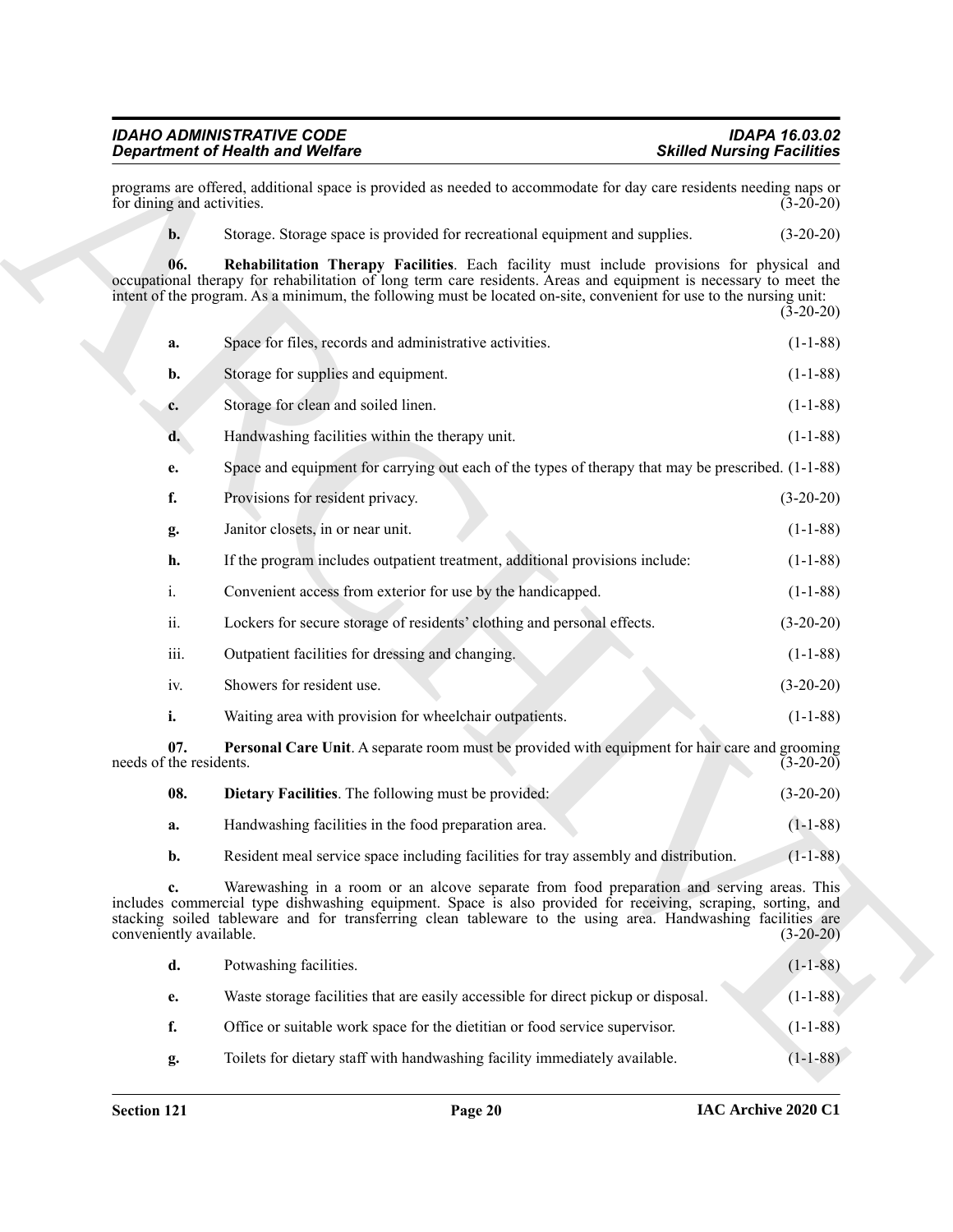#### <span id="page-19-2"></span>*IDAHO ADMINISTRATIVE CODE IDAPA 16.03.02 Department of Health and Welfare*

|                                | <b>Department of Health and Welfare</b>                                                                                                                                                                                                                                                                                               | <b>Skilled Nursing Facilities</b> |
|--------------------------------|---------------------------------------------------------------------------------------------------------------------------------------------------------------------------------------------------------------------------------------------------------------------------------------------------------------------------------------|-----------------------------------|
| for dining and activities.     | programs are offered, additional space is provided as needed to accommodate for day care residents needing naps or                                                                                                                                                                                                                    | $(3-20-20)$                       |
| $\mathbf{b}$ .                 | Storage. Storage space is provided for recreational equipment and supplies.                                                                                                                                                                                                                                                           | $(3-20-20)$                       |
| 06.                            | Rehabilitation Therapy Facilities. Each facility must include provisions for physical and<br>occupational therapy for rehabilitation of long term care residents. Areas and equipment is necessary to meet the<br>intent of the program. As a minimum, the following must be located on-site, convenient for use to the nursing unit: | $(3-20-20)$                       |
| a.                             | Space for files, records and administrative activities.                                                                                                                                                                                                                                                                               | $(1-1-88)$                        |
| b.                             | Storage for supplies and equipment.                                                                                                                                                                                                                                                                                                   | $(1-1-88)$                        |
| c.                             | Storage for clean and soiled linen.                                                                                                                                                                                                                                                                                                   | $(1-1-88)$                        |
| d.                             | Handwashing facilities within the therapy unit.                                                                                                                                                                                                                                                                                       | $(1-1-88)$                        |
| e.                             | Space and equipment for carrying out each of the types of therapy that may be prescribed. $(1-1-88)$                                                                                                                                                                                                                                  |                                   |
| f.                             | Provisions for resident privacy.                                                                                                                                                                                                                                                                                                      | $(3-20-20)$                       |
| g.                             | Janitor closets, in or near unit.                                                                                                                                                                                                                                                                                                     | $(1-1-88)$                        |
| h.                             | If the program includes outpatient treatment, additional provisions include:                                                                                                                                                                                                                                                          | $(1-1-88)$                        |
| i.                             | Convenient access from exterior for use by the handicapped.                                                                                                                                                                                                                                                                           | $(1-1-88)$                        |
| ii.                            | Lockers for secure storage of residents' clothing and personal effects.                                                                                                                                                                                                                                                               | $(3-20-20)$                       |
| iii.                           | Outpatient facilities for dressing and changing.                                                                                                                                                                                                                                                                                      | $(1-1-88)$                        |
| iv.                            | Showers for resident use.                                                                                                                                                                                                                                                                                                             | $(3-20-20)$                       |
| i.                             | Waiting area with provision for wheelchair outpatients.                                                                                                                                                                                                                                                                               | $(1-1-88)$                        |
| 07.<br>needs of the residents. | Personal Care Unit. A separate room must be provided with equipment for hair care and grooming                                                                                                                                                                                                                                        | $(3-20-20)$                       |
| 08.                            | Dietary Facilities. The following must be provided:                                                                                                                                                                                                                                                                                   | $(3-20-20)$                       |
| a.                             | Handwashing facilities in the food preparation area.                                                                                                                                                                                                                                                                                  | $(1-1-88)$                        |
| b.                             | Resident meal service space including facilities for tray assembly and distribution.                                                                                                                                                                                                                                                  | $(1 - 1 - 88)$                    |
| c.<br>conveniently available.  | Warewashing in a room or an alcove separate from food preparation and serving areas. This<br>includes commercial type dishwashing equipment. Space is also provided for receiving, scraping, sorting, and<br>stacking soiled tableware and for transferring clean tableware to the using area. Handwashing facilities are             | $(3-20-20)$                       |
| d.                             | Potwashing facilities.                                                                                                                                                                                                                                                                                                                | $(1-1-88)$                        |
| e.                             | Waste storage facilities that are easily accessible for direct pickup or disposal.                                                                                                                                                                                                                                                    | $(1-1-88)$                        |
| f.                             | Office or suitable work space for the dietitian or food service supervisor.                                                                                                                                                                                                                                                           | $(1-1-88)$                        |
| g.                             | Toilets for dietary staff with handwashing facility immediately available.                                                                                                                                                                                                                                                            | $(1-1-88)$                        |

<span id="page-19-1"></span><span id="page-19-0"></span>

| d. | Potwashing facilities.                                                             | $(1-1-88)$ |
|----|------------------------------------------------------------------------------------|------------|
| e. | Waste storage facilities that are easily accessible for direct pickup or disposal. | $(1-1-88)$ |
| f. | Office or suitable work space for the dietitian or food service supervisor.        | $(1-1-88)$ |
| g. | Toilets for dietary staff with handwashing facility immediately available.         | $(1-1-88)$ |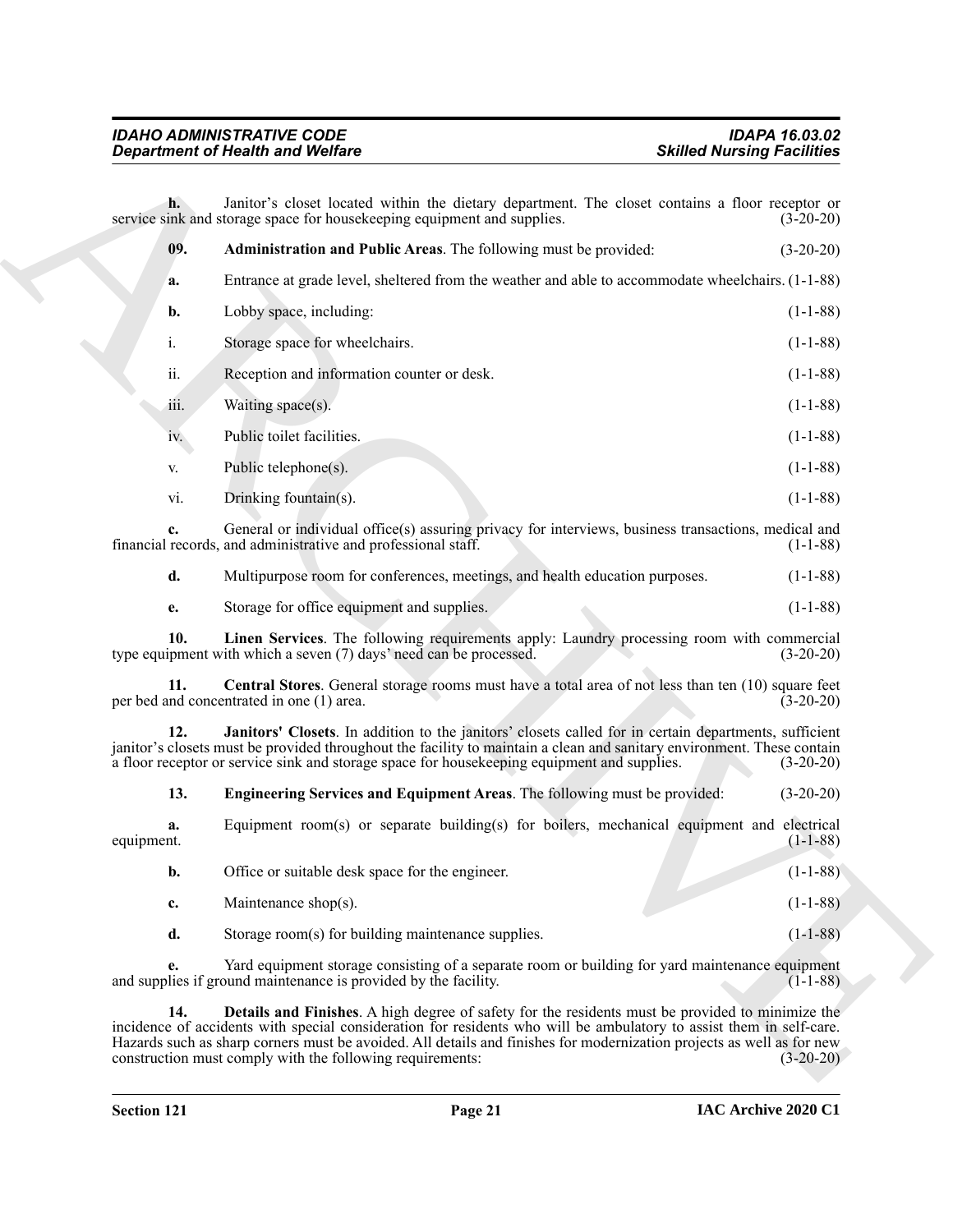<span id="page-20-0"></span>

|                  | <b>Department of Health and Welfare</b>                                                                                                                                                                                                                                                                                                                                                                       | <b>Skilled Nursing Facilities</b> |
|------------------|---------------------------------------------------------------------------------------------------------------------------------------------------------------------------------------------------------------------------------------------------------------------------------------------------------------------------------------------------------------------------------------------------------------|-----------------------------------|
| h.               | Janitor's closet located within the dietary department. The closet contains a floor receptor or<br>service sink and storage space for housekeeping equipment and supplies.                                                                                                                                                                                                                                    | $(3-20-20)$                       |
| 09.              | Administration and Public Areas. The following must be provided:                                                                                                                                                                                                                                                                                                                                              | $(3-20-20)$                       |
| a.               | Entrance at grade level, sheltered from the weather and able to accommodate wheelchairs. (1-1-88)                                                                                                                                                                                                                                                                                                             |                                   |
| b.               | Lobby space, including:                                                                                                                                                                                                                                                                                                                                                                                       | $(1-1-88)$                        |
| i.               | Storage space for wheelchairs.                                                                                                                                                                                                                                                                                                                                                                                | $(1-1-88)$                        |
| ii.              | Reception and information counter or desk.                                                                                                                                                                                                                                                                                                                                                                    | $(1-1-88)$                        |
| 111.             | Waiting space(s).                                                                                                                                                                                                                                                                                                                                                                                             | $(1-1-88)$                        |
| iv.              | Public toilet facilities.                                                                                                                                                                                                                                                                                                                                                                                     | $(1-1-88)$                        |
| V.               | Public telephone(s).                                                                                                                                                                                                                                                                                                                                                                                          | $(1-1-88)$                        |
| vi.              | Drinking fountain(s).                                                                                                                                                                                                                                                                                                                                                                                         | $(1-1-88)$                        |
| c.               | General or individual office(s) assuring privacy for interviews, business transactions, medical and<br>financial records, and administrative and professional staff.                                                                                                                                                                                                                                          | $(1-1-88)$                        |
| d.               | Multipurpose room for conferences, meetings, and health education purposes.                                                                                                                                                                                                                                                                                                                                   | $(1-1-88)$                        |
| e.               | Storage for office equipment and supplies.                                                                                                                                                                                                                                                                                                                                                                    | $(1-1-88)$                        |
| 10.              | Linen Services. The following requirements apply: Laundry processing room with commercial<br>type equipment with which a seven (7) days' need can be processed.                                                                                                                                                                                                                                               | $(3-20-20)$                       |
| 11.              | <b>Central Stores.</b> General storage rooms must have a total area of not less than ten (10) square feet<br>per bed and concentrated in one (1) area.                                                                                                                                                                                                                                                        | $(3-20-20)$                       |
| 12.              | Janitors' Closets. In addition to the janitors' closets called for in certain departments, sufficient<br>janitor's closets must be provided throughout the facility to maintain a clean and sanitary environment. These contain<br>a floor receptor or service sink and storage space for housekeeping equipment and supplies.                                                                                | $(3-20-20)$                       |
| 13.              | Engineering Services and Equipment Areas. The following must be provided:                                                                                                                                                                                                                                                                                                                                     | $(3-20-20)$                       |
| a.<br>equipment. | Equipment room(s) or separate building(s) for boilers, mechanical equipment and electrical                                                                                                                                                                                                                                                                                                                    | $(1-1-88)$                        |
| b.               | Office or suitable desk space for the engineer.                                                                                                                                                                                                                                                                                                                                                               | $(1-1-88)$                        |
| c.               | Maintenance shop(s).                                                                                                                                                                                                                                                                                                                                                                                          | $(1-1-88)$                        |
| d.               | Storage room(s) for building maintenance supplies.                                                                                                                                                                                                                                                                                                                                                            | $(1-1-88)$                        |
| e.               | Yard equipment storage consisting of a separate room or building for yard maintenance equipment<br>and supplies if ground maintenance is provided by the facility.                                                                                                                                                                                                                                            | $(1-1-88)$                        |
| 14.              | Details and Finishes. A high degree of safety for the residents must be provided to minimize the<br>incidence of accidents with special consideration for residents who will be ambulatory to assist them in self-care.<br>Hazards such as sharp corners must be avoided. All details and finishes for modernization projects as well as for new<br>construction must comply with the following requirements: | $(3-20-20)$                       |

<span id="page-20-5"></span><span id="page-20-4"></span><span id="page-20-3"></span><span id="page-20-2"></span><span id="page-20-1"></span>

| equipment. |                                                    | $(1-1-88)$     |
|------------|----------------------------------------------------|----------------|
| b.         | Office or suitable desk space for the engineer.    | $(1-1-88)$     |
| c.         | Maintenance shop $(s)$ .                           | $(1-1-88)$     |
|            | Storage room(s) for building maintenance supplies. | $(1 - 1 - 88)$ |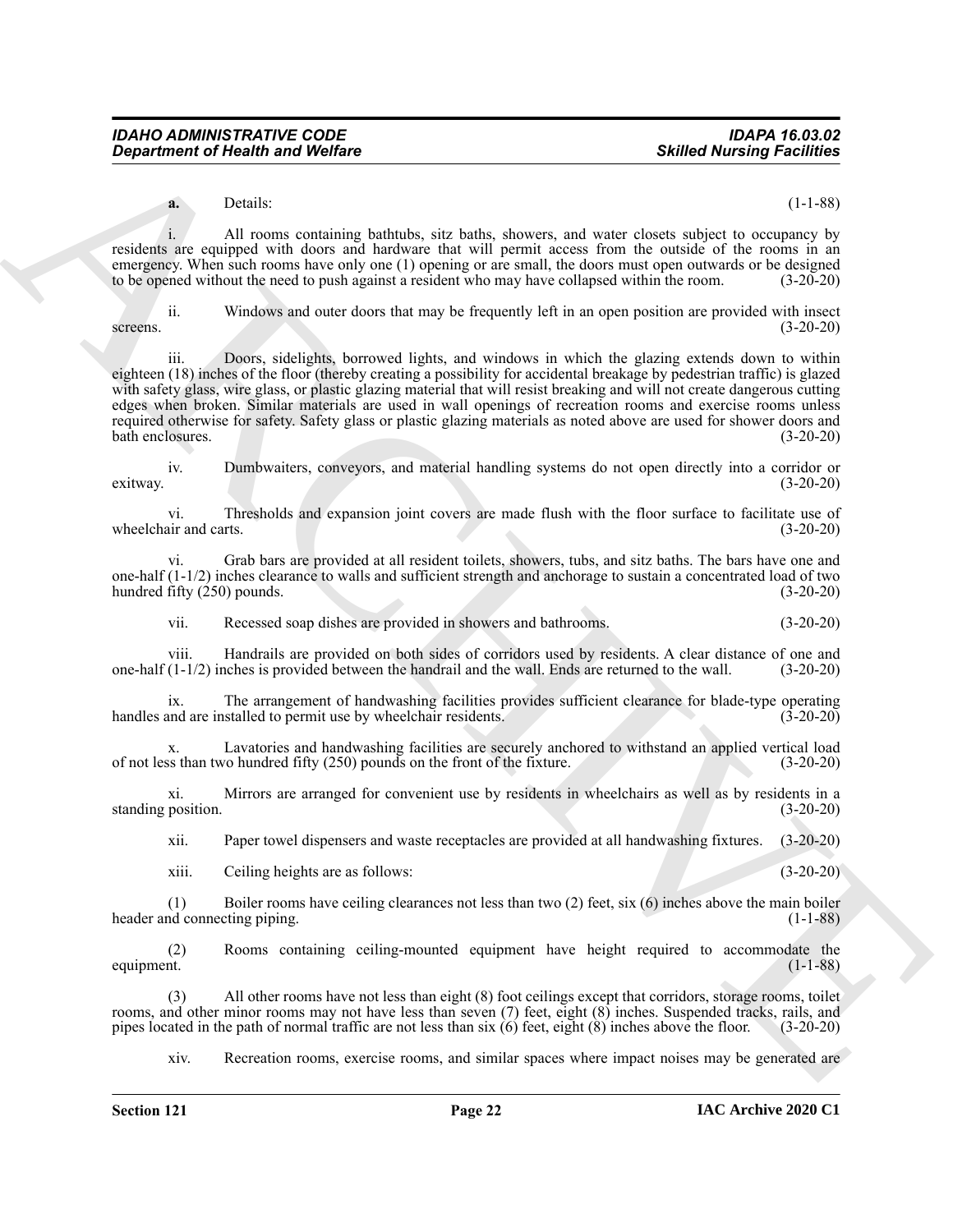**a.** Details: (1-1-88)

i. All rooms containing bathtubs, sitz baths, showers, and water closets subject to occupancy by residents are equipped with doors and hardware that will permit access from the outside of the rooms in an emergency. When such rooms have only one (1) opening or are small, the doors must open outwards or be designed to be opened without the need to push against a resident who may have collapsed within the room. (3-20-20) to be opened without the need to push against a resident who may have collapsed within the room.

ii. Windows and outer doors that may be frequently left in an open position are provided with insect screens. (3-20-20)

**Exparament of Newth Workers**<br> **Solution of Newth Workers**<br> **Solution Constraints (Solution Science)**<br> **Solution Constraints (Solution Science)**<br> **Solution Constraints (Solution Science)**<br> **Solution Constraints (Solution** iii. Doors, sidelights, borrowed lights, and windows in which the glazing extends down to within eighteen (18) inches of the floor (thereby creating a possibility for accidental breakage by pedestrian traffic) is glazed with safety glass, wire glass, or plastic glazing material that will resist breaking and will not create dangerous cutting edges when broken. Similar materials are used in wall openings of recreation rooms and exercise rooms unless required otherwise for safety. Safety glass or plastic glazing materials as noted above are used for shower doors and bath enclosures. (3-20-20) bath enclosures.

iv. Dumbwaiters, conveyors, and material handling systems do not open directly into a corridor or exitway. (3-20-20)

vi. Thresholds and expansion joint covers are made flush with the floor surface to facilitate use of air and carts. (3-20-20) wheelchair and carts.

vi. Grab bars are provided at all resident toilets, showers, tubs, and sitz baths. The bars have one and one-half (1-1/2) inches clearance to walls and sufficient strength and anchorage to sustain a concentrated load of two hundred fifty (250) pounds. (3-20-20)

vii. Recessed soap dishes are provided in showers and bathrooms. (3-20-20)

viii. Handrails are provided on both sides of corridors used by residents. A clear distance of one and  $(1-1/2)$  inches is provided between the handrail and the wall. Ends are returned to the wall. (3-20-20) one-half  $(1-1/2)$  inches is provided between the handrail and the wall. Ends are returned to the wall.

ix. The arrangement of handwashing facilities provides sufficient clearance for blade-type operating ind are installed to permit use by wheelchair residents. (3-20-20) handles and are installed to permit use by wheelchair residents.

x. Lavatories and handwashing facilities are securely anchored to withstand an applied vertical load of not less than two hundred fifty (250) pounds on the front of the fixture. (3-20-20)

xi. Mirrors are arranged for convenient use by residents in wheelchairs as well as by residents in a standing position. (3-20-20)

xii. Paper towel dispensers and waste receptacles are provided at all handwashing fixtures. (3-20-20)

xiii. Ceiling heights are as follows: (3-20-20)

(1) Boiler rooms have ceiling clearances not less than two (2) feet, six (6) inches above the main boiler header and connecting piping. (1-1-88)

(2) Rooms containing ceiling-mounted equipment have height required to accommodate the equipment. (1-1-88)

(3) All other rooms have not less than eight (8) foot ceilings except that corridors, storage rooms, toilet rooms, and other minor rooms may not have less than seven (7) feet, eight (8) inches. Suspended tracks, rails, and pipes located in the path of normal traffic are not less than six  $(6)$  feet, eight  $(8)$  inches above the floor. (3-20-20)

xiv. Recreation rooms, exercise rooms, and similar spaces where impact noises may be generated are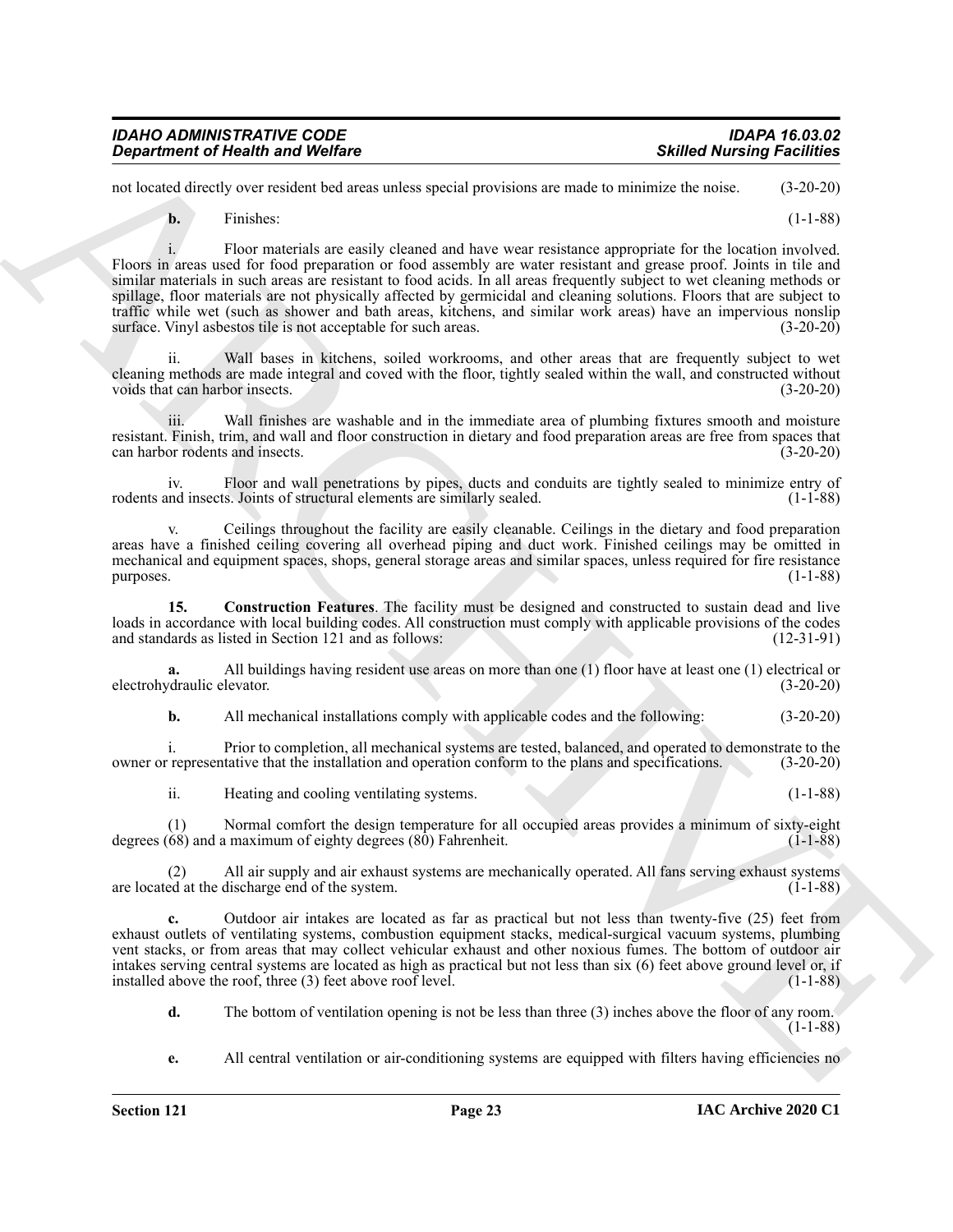| <b>IDAHO ADMINISTRATIVE CODE</b>        | <b>IDAPA 16.03.02</b>             |
|-----------------------------------------|-----------------------------------|
| <b>Department of Health and Welfare</b> | <b>Skilled Nursing Facilities</b> |

not located directly over resident bed areas unless special provisions are made to minimize the noise. (3-20-20)

**b.** Finishes: (1-1-88)

**Experiment of Newther location** and Wolfing<br>
and Jackson Converticular control and state and state and state and state and state and state  $(32-32)$ <br>
The Findence and state and state and state and state were residence ap i. Floor materials are easily cleaned and have wear resistance appropriate for the location involved. Floors in areas used for food preparation or food assembly are water resistant and grease proof. Joints in tile and similar materials in such areas are resistant to food acids. In all areas frequently subject to wet cleaning methods or spillage, floor materials are not physically affected by germicidal and cleaning solutions. Floors that are subject to traffic while wet (such as shower and bath areas, kitchens, and similar work areas) have an impervious nonslip surface. Vinyl asbestos tile is not acceptable for such areas. (3-20-20)

Wall bases in kitchens, soiled workrooms, and other areas that are frequently subject to wet cleaning methods are made integral and coved with the floor, tightly sealed within the wall, and constructed without voids that can harbor insects. (3-20-20)

iii. Wall finishes are washable and in the immediate area of plumbing fixtures smooth and moisture resistant. Finish, trim, and wall and floor construction in dietary and food preparation areas are free from spaces that can harbor rodents and insects. (3-20-20)

iv. Floor and wall penetrations by pipes, ducts and conduits are tightly sealed to minimize entry of rodents and insects. Joints of structural elements are similarly sealed.  $(1-1-88)$ 

v. Ceilings throughout the facility are easily cleanable. Ceilings in the dietary and food preparation areas have a finished ceiling covering all overhead piping and duct work. Finished ceilings may be omitted in mechanical and equipment spaces, shops, general storage areas and similar spaces, unless required for fire resistance purposes. (1-1-88)

<span id="page-22-0"></span>**15. Construction Features**. The facility must be designed and constructed to sustain dead and live loads in accordance with local building codes. All construction must comply with applicable provisions of the codes and standards as listed in Section 121 and as follows: (12-31-91)

**a.** All buildings having resident use areas on more than one (1) floor have at least one (1) electrical or electrohydraulic elevator. (3-20-20)

**b.** All mechanical installations comply with applicable codes and the following: (3-20-20)

i. Prior to completion, all mechanical systems are tested, balanced, and operated to demonstrate to the owner or representative that the installation and operation conform to the plans and specifications. (3-20-20)

ii. Heating and cooling ventilating systems. (1-1-88)

(1) Normal comfort the design temperature for all occupied areas provides a minimum of sixty-eight degrees (68) and a maximum of eighty degrees (80) Fahrenheit. (1-1-88)

(2) All air supply and air exhaust systems are mechanically operated. All fans serving exhaust systems are located at the discharge end of the system.

**c.** Outdoor air intakes are located as far as practical but not less than twenty-five (25) feet from exhaust outlets of ventilating systems, combustion equipment stacks, medical-surgical vacuum systems, plumbing vent stacks, or from areas that may collect vehicular exhaust and other noxious fumes. The bottom of outdoor air intakes serving central systems are located as high as practical but not less than six (6) feet above ground level or, if installed above the roof, three (3) feet above roof level. (1-1-88)

**d.** The bottom of ventilation opening is not be less than three (3) inches above the floor of any room.  $(1-1-88)$ 

**e.** All central ventilation or air-conditioning systems are equipped with filters having efficiencies no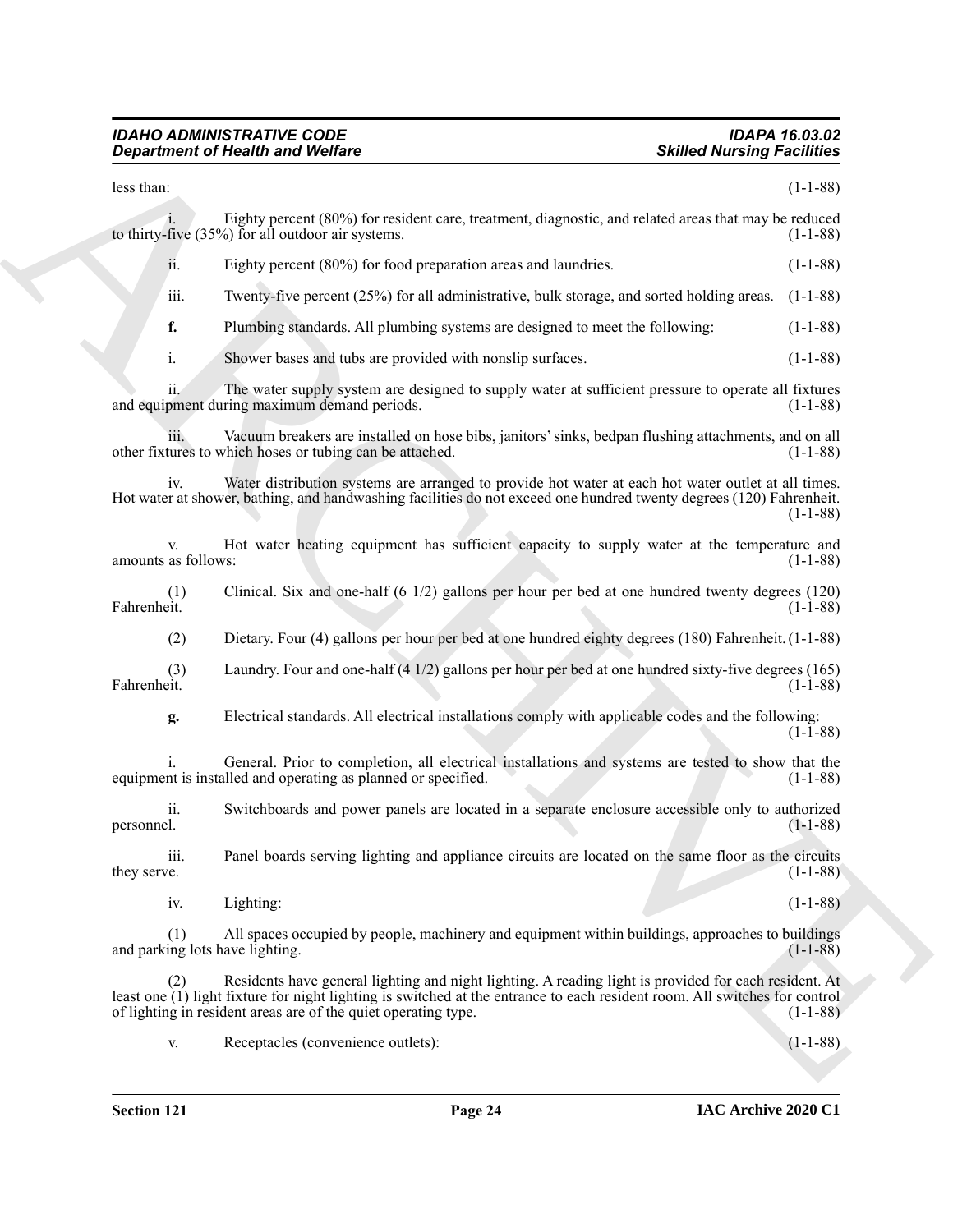#### *IDAHO ADMINISTRATIVE CODE IDAPA 16.03.02 Department of Health and Welfare Skilled Nursing Facilities*

|                                        | <b>Department of Health and Welfare</b>                                                                                                                                                                                                                                                               | <b>Skilled Nursing Facilities</b> |
|----------------------------------------|-------------------------------------------------------------------------------------------------------------------------------------------------------------------------------------------------------------------------------------------------------------------------------------------------------|-----------------------------------|
| less than:                             |                                                                                                                                                                                                                                                                                                       | $(1-1-88)$                        |
|                                        | Eighty percent (80%) for resident care, treatment, diagnostic, and related areas that may be reduced<br>to thirty-five $(35\%)$ for all outdoor air systems.                                                                                                                                          | $(1-1-88)$                        |
| ii.                                    | Eighty percent (80%) for food preparation areas and laundries.                                                                                                                                                                                                                                        | $(1-1-88)$                        |
| iii.                                   | Twenty-five percent (25%) for all administrative, bulk storage, and sorted holding areas.                                                                                                                                                                                                             | $(1-1-88)$                        |
| f.                                     | Plumbing standards. All plumbing systems are designed to meet the following:                                                                                                                                                                                                                          | $(1-1-88)$                        |
| i.                                     | Shower bases and tubs are provided with nonslip surfaces.                                                                                                                                                                                                                                             | $(1-1-88)$                        |
| ii.                                    | The water supply system are designed to supply water at sufficient pressure to operate all fixtures<br>and equipment during maximum demand periods.                                                                                                                                                   | $(1-1-88)$                        |
| iii.                                   | Vacuum breakers are installed on hose bibs, janitors' sinks, bedpan flushing attachments, and on all<br>other fixtures to which hoses or tubing can be attached.                                                                                                                                      | $(1-1-88)$                        |
| iv.                                    | Water distribution systems are arranged to provide hot water at each hot water outlet at all times.<br>Hot water at shower, bathing, and handwashing facilities do not exceed one hundred twenty degrees (120) Fahrenheit.                                                                            | $(1-1-88)$                        |
| V.<br>amounts as follows:              | Hot water heating equipment has sufficient capacity to supply water at the temperature and                                                                                                                                                                                                            | $(1-1-88)$                        |
| (1)<br>Fahrenheit.                     | Clinical. Six and one-half $(6\ 1/2)$ gallons per hour per bed at one hundred twenty degrees $(120)$                                                                                                                                                                                                  | $(1-1-88)$                        |
| (2)                                    | Dietary. Four (4) gallons per hour per bed at one hundred eighty degrees (180) Fahrenheit. (1-1-88)                                                                                                                                                                                                   |                                   |
| (3)<br>Fahrenheit.                     | Laundry. Four and one-half $(4\ 1/2)$ gallons per hour per bed at one hundred sixty-five degrees (165)                                                                                                                                                                                                | $(1-1-88)$                        |
| g.                                     | Electrical standards. All electrical installations comply with applicable codes and the following:                                                                                                                                                                                                    | $(1-1-88)$                        |
|                                        | General. Prior to completion, all electrical installations and systems are tested to show that the<br>equipment is installed and operating as planned or specified.                                                                                                                                   | $(1-1-88)$                        |
| ii.<br>personnel.                      | Switchboards and power panels are located in a separate enclosure accessible only to authorized                                                                                                                                                                                                       | $(1-1-88)$                        |
| iii.<br>they serve.                    | Panel boards serving lighting and appliance circuits are located on the same floor as the circuits                                                                                                                                                                                                    | $(1-1-88)$                        |
| iv.                                    | Lighting:                                                                                                                                                                                                                                                                                             | $(1-1-88)$                        |
| (1)<br>and parking lots have lighting. | All spaces occupied by people, machinery and equipment within buildings, approaches to buildings                                                                                                                                                                                                      | $(1-1-88)$                        |
| (2)                                    | Residents have general lighting and night lighting. A reading light is provided for each resident. At<br>least one (1) light fixture for night lighting is switched at the entrance to each resident room. All switches for control<br>of lighting in resident areas are of the quiet operating type. | $(1-1-88)$                        |
|                                        | Receptacles (convenience outlets):                                                                                                                                                                                                                                                                    | $(1-1-88)$                        |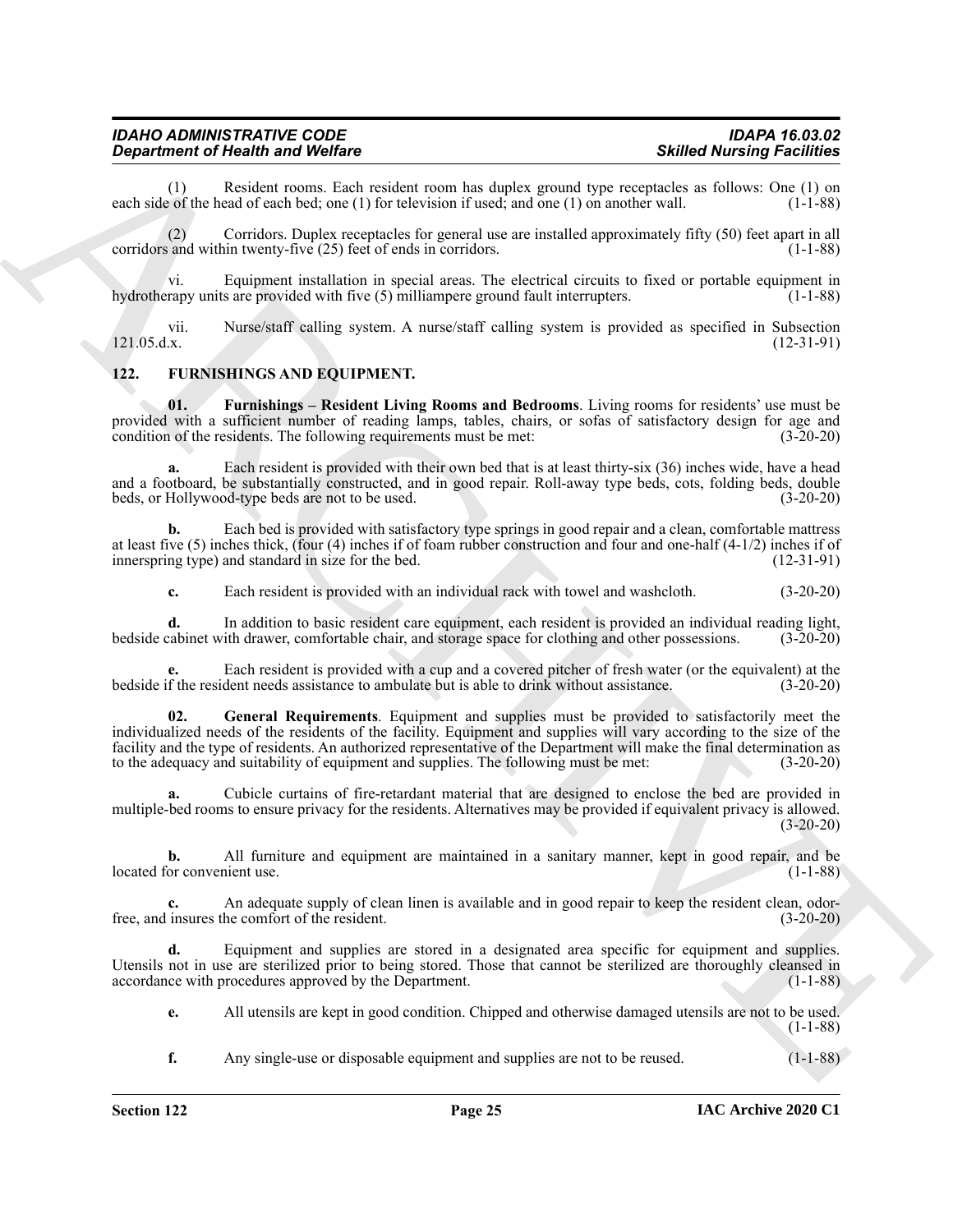| <b>IDAHO ADMINISTRATIVE CODE</b>        | <b>IDAPA 16.03.02</b>             |
|-----------------------------------------|-----------------------------------|
| <b>Department of Health and Welfare</b> | <b>Skilled Nursing Facilities</b> |

(1) Resident rooms. Each resident room has duplex ground type receptacles as follows: One (1) on e of the head of each bed; one (1) for television if used; and one (1) on another wall.  $(1-1-88)$ each side of the head of each bed; one  $(1)$  for television if used; and one  $(1)$  on another wall.

(2) Corridors. Duplex receptacles for general use are installed approximately fifty (50) feet apart in all corridors and within twenty-five (25) feet of ends in corridors. (1-1-88)

vi. Equipment installation in special areas. The electrical circuits to fixed or portable equipment in hydrotherapy units are provided with five (5) milliampere ground fault interrupters. (1-1-88)

vii. Nurse/staff calling system. A nurse/staff calling system is provided as specified in Subsection 121.05.d.x. (12-31-91)

#### <span id="page-24-1"></span><span id="page-24-0"></span>**122. FURNISHINGS AND EQUIPMENT.**

<span id="page-24-2"></span>**01. Furnishings – Resident Living Rooms and Bedrooms**. Living rooms for residents' use must be provided with a sufficient number of reading lamps, tables, chairs, or sofas of satisfactory design for age and condition of the residents. The following requirements must be met: (3-20-20)

**a.** Each resident is provided with their own bed that is at least thirty-six (36) inches wide, have a head and a footboard, be substantially constructed, and in good repair. Roll-away type beds, cots, folding beds, double beds, or Hollywood-type beds are not to be used. (3-20-20)

**b.** Each bed is provided with satisfactory type springs in good repair and a clean, comfortable mattress at least five (5) inches thick, (four (4) inches if of foam rubber construction and four and one-half (4-1/2) inches if of innerspring type) and standard in size for the bed. (12-31-91)

**c.** Each resident is provided with an individual rack with towel and washcloth. (3-20-20)

**d.** In addition to basic resident care equipment, each resident is provided an individual reading light, bedside cabinet with drawer, comfortable chair, and storage space for clothing and other possessions. (3-20-20)

<span id="page-24-3"></span>**e.** Each resident is provided with a cup and a covered pitcher of fresh water (or the equivalent) at the bedside if the resident needs assistance to ambulate but is able to drink without assistance. (3-20-20)

**Equation of Nearly and Wellers**<br> **Example 2008** and Wellers Constant Proposed by Pays and SMR of Nearly 1960<br>
and the same of the same of the same of the same of the same of the same of the same of the same of the same o **02. General Requirements**. Equipment and supplies must be provided to satisfactorily meet the individualized needs of the residents of the facility. Equipment and supplies will vary according to the size of the facility and the type of residents. An authorized representative of the Department will make the final determination as to the adequacy and suitability of equipment and supplies. The following must be met: (3-20-20)

**a.** Cubicle curtains of fire-retardant material that are designed to enclose the bed are provided in multiple-bed rooms to ensure privacy for the residents. Alternatives may be provided if equivalent privacy is allowed.  $(3-20-20)$ 

**b.** All furniture and equipment are maintained in a sanitary manner, kept in good repair, and be located for convenient use. (1-1-88)

**c.** An adequate supply of clean linen is available and in good repair to keep the resident clean, odorfree, and insures the comfort of the resident. (3-20-20)

**d.** Equipment and supplies are stored in a designated area specific for equipment and supplies. Utensils not in use are sterilized prior to being stored. Those that cannot be sterilized are thoroughly cleansed in accordance with procedures approved by the Department. (1-1-88)

**e.** All utensils are kept in good condition. Chipped and otherwise damaged utensils are not to be used. (1-1-88)

**f.** Any single-use or disposable equipment and supplies are not to be reused.  $(1-1-88)$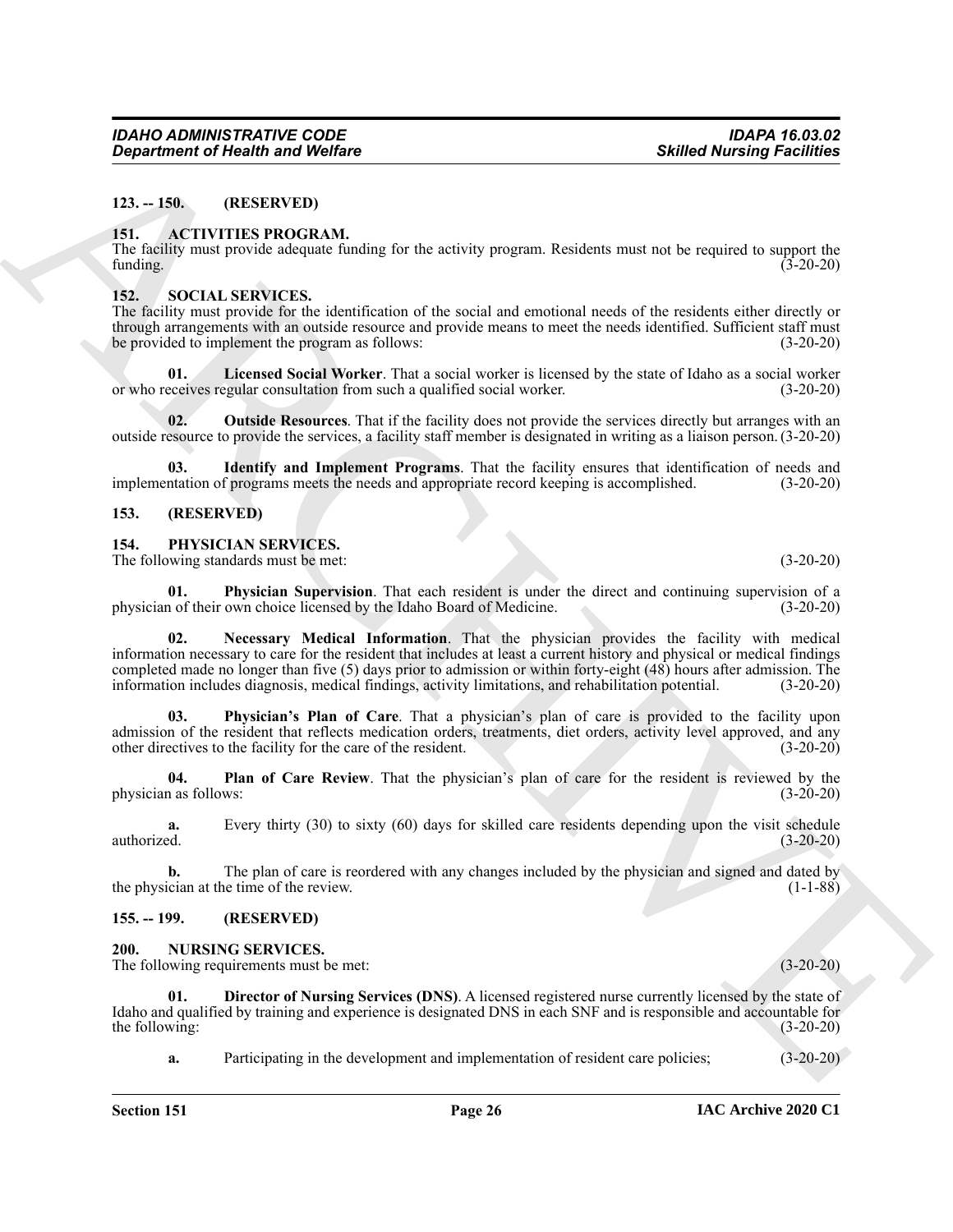#### <span id="page-25-0"></span>**123. -- 150. (RESERVED)**

#### <span id="page-25-7"></span><span id="page-25-1"></span>**151. ACTIVITIES PROGRAM.**

The facility must provide adequate funding for the activity program. Residents must not be required to support the funding.  $(3-20-20)$ 

#### <span id="page-25-15"></span><span id="page-25-2"></span>**152. SOCIAL SERVICES.**

The facility must provide for the identification of the social and emotional needs of the residents either directly or through arrangements with an outside resource and provide means to meet the needs identified. Sufficient staff must be provided to implement the program as follows: (3-20-20)

**01. Licensed Social Worker**. That a social worker is licensed by the state of Idaho as a social worker or who receives regular consultation from such a qualified social worker. (3-20-20)

**02.** Outside Resources. That if the facility does not provide the services directly but arranges with an outside resource to provide the services, a facility staff member is designated in writing as a liaison person. (3-20-20)

**03. Identify and Implement Programs**. That the facility ensures that identification of needs and implementation of programs meets the needs and appropriate record keeping is accomplished. (3-20-20)

#### <span id="page-25-3"></span>**153. (RESERVED)**

#### <span id="page-25-10"></span><span id="page-25-4"></span>**154. PHYSICIAN SERVICES.**

The following standards must be met: (3-20-20)

<span id="page-25-12"></span><span id="page-25-11"></span>**01. Physician Supervision**. That each resident is under the direct and continuing supervision of a n of their own choice licensed by the Idaho Board of Medicine. (3-20-20) physician of their own choice licensed by the Idaho Board of Medicine.

**Expansion of Newton Wolfres**<br>
13. 1.9. **CONSECTION CONFIDENTIES INTO CHANNEL INTERFERICATION** IS the second of the second of the second of the second of the second of the second of the second of the second of the second **02. Necessary Medical Information**. That the physician provides the facility with medical information necessary to care for the resident that includes at least a current history and physical or medical findings completed made no longer than five (5) days prior to admission or within forty-eight (48) hours after admission. The information includes diagnosis, medical findings, activity limitations, and rehabilitation potential. (3-20-20)

<span id="page-25-13"></span>**03. Physician's Plan of Care**. That a physician's plan of care is provided to the facility upon admission of the resident that reflects medication orders, treatments, diet orders, activity level approved, and any other directives to the facility for the care of the resident. (3-20-20) other directives to the facility for the care of the resident.

<span id="page-25-14"></span>**04.** Plan of Care Review. That the physician's plan of care for the resident is reviewed by the 1 as follows: (3-20-20) physician as follows:

**a.** Every thirty (30) to sixty (60) days for skilled care residents depending upon the visit schedule authorized. (3-20-20)

**b.** The plan of care is reordered with any changes included by the physician and signed and dated by ician at the time of the review. (1-1-88) the physician at the time of the review.

#### <span id="page-25-5"></span>**155. -- 199. (RESERVED)**

#### <span id="page-25-8"></span><span id="page-25-6"></span>**200. NURSING SERVICES.**

The following requirements must be met: (3-20-20)

**01. Director of Nursing Services (DNS)**. A licensed registered nurse currently licensed by the state of Idaho and qualified by training and experience is designated DNS in each SNF and is responsible and accountable for the following: (3-20-20) the following:

<span id="page-25-9"></span>**a.** Participating in the development and implementation of resident care policies; (3-20-20)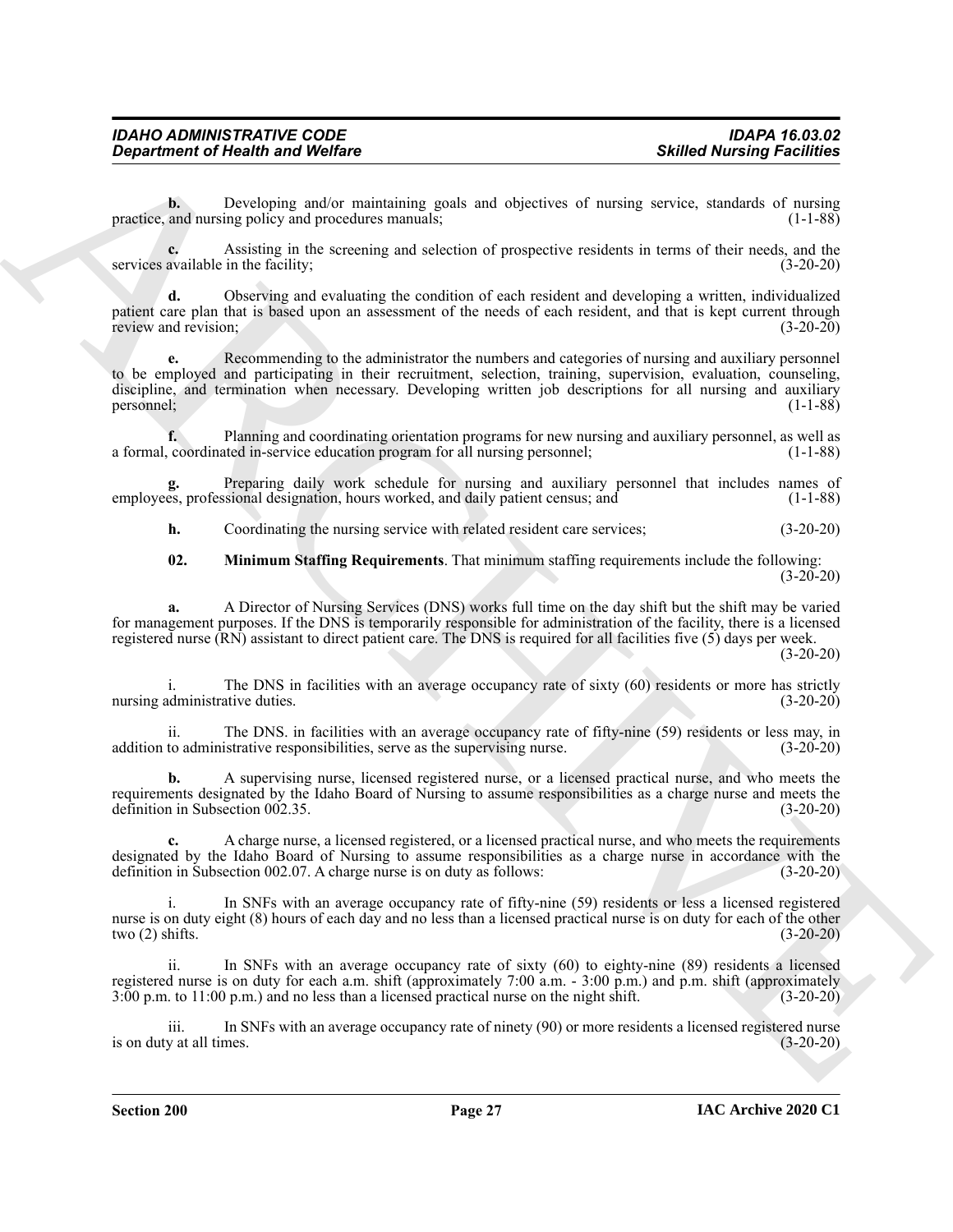**b.** Developing and/or maintaining goals and objectives of nursing service, standards of nursing practice, and nursing policy and procedures manuals; (1-1-88) (1-1-88)

**c.** Assisting in the screening and selection of prospective residents in terms of their needs, and the services available in the facility; (3-20-20)

**d.** Observing and evaluating the condition of each resident and developing a written, individualized patient care plan that is based upon an assessment of the needs of each resident, and that is kept current through review and revision; (3-20-20)

*Great tried this interior behind the United States of the Contents of the Contents of the Contents of the Contents of the Contents of the Contents of the Contents of the Contents of the Contents of the Contents of the C* **e.** Recommending to the administrator the numbers and categories of nursing and auxiliary personnel to be employed and participating in their recruitment, selection, training, supervision, evaluation, counseling, discipline, and termination when necessary. Developing written job descriptions for all nursing and auxiliary personnel; (1-1-88)

**f.** Planning and coordinating orientation programs for new nursing and auxiliary personnel, as well as a formal, coordinated in-service education program for all nursing personnel; (1-1-88)

**g.** Preparing daily work schedule for nursing and auxiliary personnel that includes names of employees, professional designation, hours worked, and daily patient census; and (1-1-88)

**h.** Coordinating the nursing service with related resident care services; (3-20-20)

<span id="page-26-0"></span>**02. Minimum Staffing Requirements**. That minimum staffing requirements include the following:  $(3-20-20)$ 

**a.** A Director of Nursing Services (DNS) works full time on the day shift but the shift may be varied for management purposes. If the DNS is temporarily responsible for administration of the facility, there is a licensed registered nurse (RN) assistant to direct patient care. The DNS is required for all facilities five (5) days per week.

 $(3-20-20)$ 

The DNS in facilities with an average occupancy rate of sixty (60) residents or more has strictly nursing administrative duties. (3-20-20)

ii. The DNS. in facilities with an average occupancy rate of fifty-nine (59) residents or less may, in to administrative responsibilities, serve as the supervising nurse. (3-20-20) addition to administrative responsibilities, serve as the supervising nurse.

**b.** A supervising nurse, licensed registered nurse, or a licensed practical nurse, and who meets the requirements designated by the Idaho Board of Nursing to assume responsibilities as a charge nurse and meets the definition in Subsection 002.35. (3-20-20)

**c.** A charge nurse, a licensed registered, or a licensed practical nurse, and who meets the requirements designated by the Idaho Board of Nursing to assume responsibilities as a charge nurse in accordance with the definition in Subsection 002.07. A charge nurse is on duty as follows: (3-20-20)

In SNFs with an average occupancy rate of fifty-nine (59) residents or less a licensed registered nurse is on duty eight (8) hours of each day and no less than a licensed practical nurse is on duty for each of the other two (2) shifts. (3-20-20)

ii. In SNFs with an average occupancy rate of sixty (60) to eighty-nine (89) residents a licensed registered nurse is on duty for each a.m. shift (approximately 7:00 a.m. - 3:00 p.m.) and p.m. shift (approximately 3:00 p.m. to 11:00 p.m.) and no less than a licensed practical nurse on the night shift. (3-20-20)

iii. In SNFs with an average occupancy rate of ninety (90) or more residents a licensed registered nurse is on duty at all times.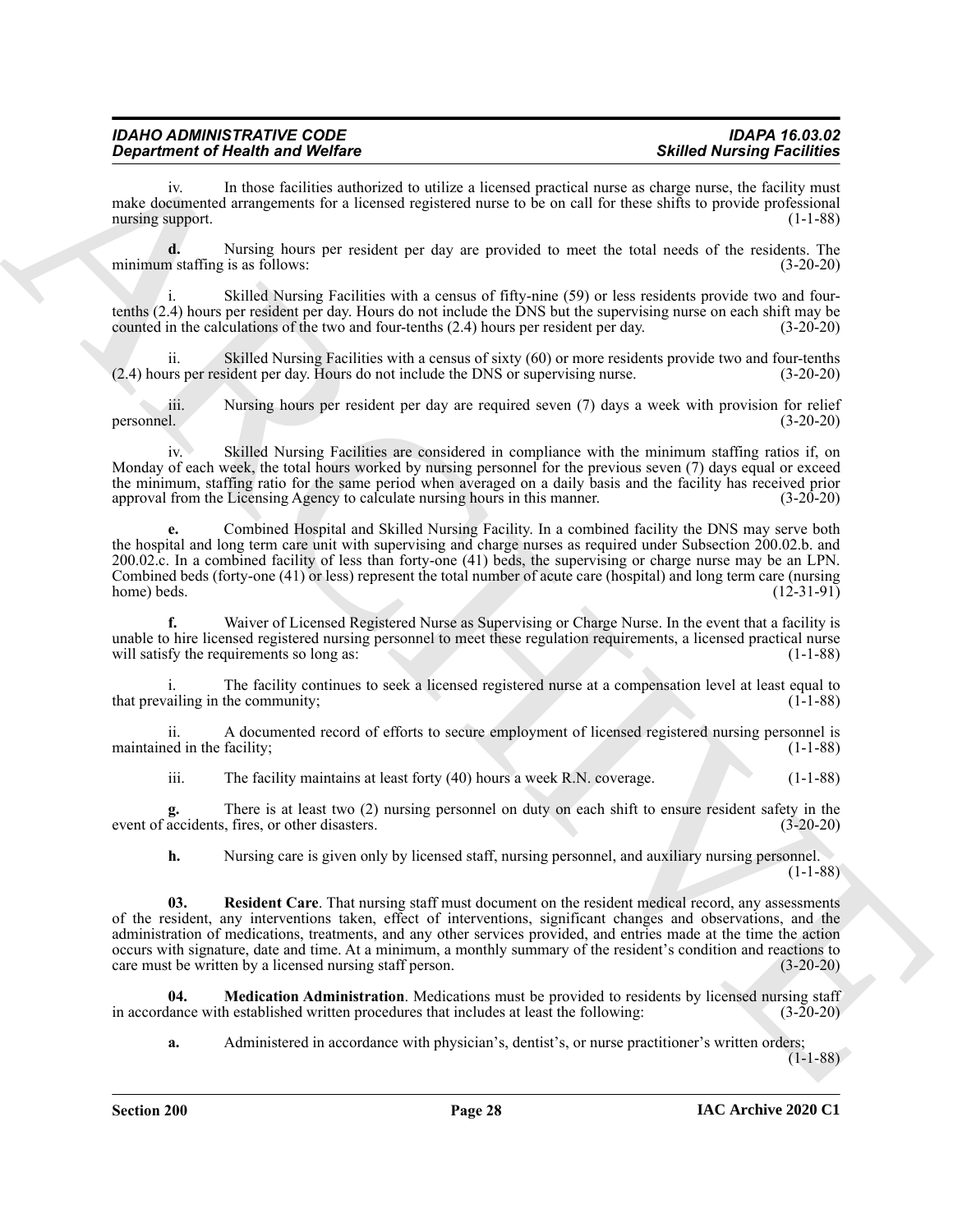| <b>IDAHO ADMINISTRATIVE CODE</b> | <b>IDAPA 16.03.02</b>             |
|----------------------------------|-----------------------------------|
| Department of Health and Welfare | <b>Skilled Nursing Facilities</b> |

iv. In those facilities authorized to utilize a licensed practical nurse as charge nurse, the facility must make documented arrangements for a licensed registered nurse to be on call for these shifts to provide professional nursing support. (1-1-88)

**d.** Nursing hours per resident per day are provided to meet the total needs of the residents. The minimum staffing is as follows: (3-20-20)

i. Skilled Nursing Facilities with a census of fifty-nine (59) or less residents provide two and fourtenths (2.4) hours per resident per day. Hours do not include the DNS but the supervising nurse on each shift may be counted in the calculations of the two and four-tenths (2.4) hours per resident per day. (3-20-20)

ii. Skilled Nursing Facilities with a census of sixty (60) or more residents provide two and four-tenths urs per resident per day. Hours do not include the DNS or supervising nurse. (3-20-20)  $(2.4)$  hours per resident per day. Hours do not include the DNS or supervising nurse.

iii. Nursing hours per resident per day are required seven (7) days a week with provision for relief personnel. (3-20-20)

iv. Skilled Nursing Facilities are considered in compliance with the minimum staffing ratios if, on Monday of each week, the total hours worked by nursing personnel for the previous seven (7) days equal or exceed the minimum, staffing ratio for the same period when averaged on a daily basis and the facility has received prior approval from the Licensing Agency to calculate nursing hours in this manner. (3-20-20)

**e.** Combined Hospital and Skilled Nursing Facility. In a combined facility the DNS may serve both the hospital and long term care unit with supervising and charge nurses as required under Subsection 200.02.b. and 200.02.c. In a combined facility of less than forty-one (41) beds, the supervising or charge nurse may be an LPN. Combined beds (forty-one (41) or less) represent the total number of acute care (hospital) and long term care (nursing home) beds.  $(12-31-91)$ 

**f.** Waiver of Licensed Registered Nurse as Supervising or Charge Nurse. In the event that a facility is unable to hire licensed registered nursing personnel to meet these regulation requirements, a licensed practical nurse will satisfy the requirements so long as: (1-1-88) will satisfy the requirements so long as:

The facility continues to seek a licensed registered nurse at a compensation level at least equal to that prevailing in the community; (1-1-88)

ii. A documented record of efforts to secure employment of licensed registered nursing personnel is maintained in the facility; (1-1-88)

iii. The facility maintains at least forty (40) hours a week R.N. coverage. (1-1-88)

**g.** There is at least two (2) nursing personnel on duty on each shift to ensure resident safety in the event of accidents, fires, or other disasters. (3-20-20)

**h.** Nursing care is given only by licensed staff, nursing personnel, and auxiliary nursing personnel. (1-1-88)

**Expansion of New York Construction** of Wilder Sincessi periodic and the state New York Construction of New York Construction of New York Construction of New York Construction of New York Construction of New York Construc **03. Resident Care**. That nursing staff must document on the resident medical record, any assessments of the resident, any interventions taken, effect of interventions, significant changes and observations, and the administration of medications, treatments, and any other services provided, and entries made at the time the action occurs with signature, date and time. At a minimum, a monthly summary of the resident's condition and reactions to care must be written by a licensed nursing staff person. (3-20-20)

**04. Medication Administration**. Medications must be provided to residents by licensed nursing staff in accordance with established written procedures that includes at least the following: (3-20-20)

<span id="page-27-0"></span>**a.** Administered in accordance with physician's, dentist's, or nurse practitioner's written orders;

 $(1-1-88)$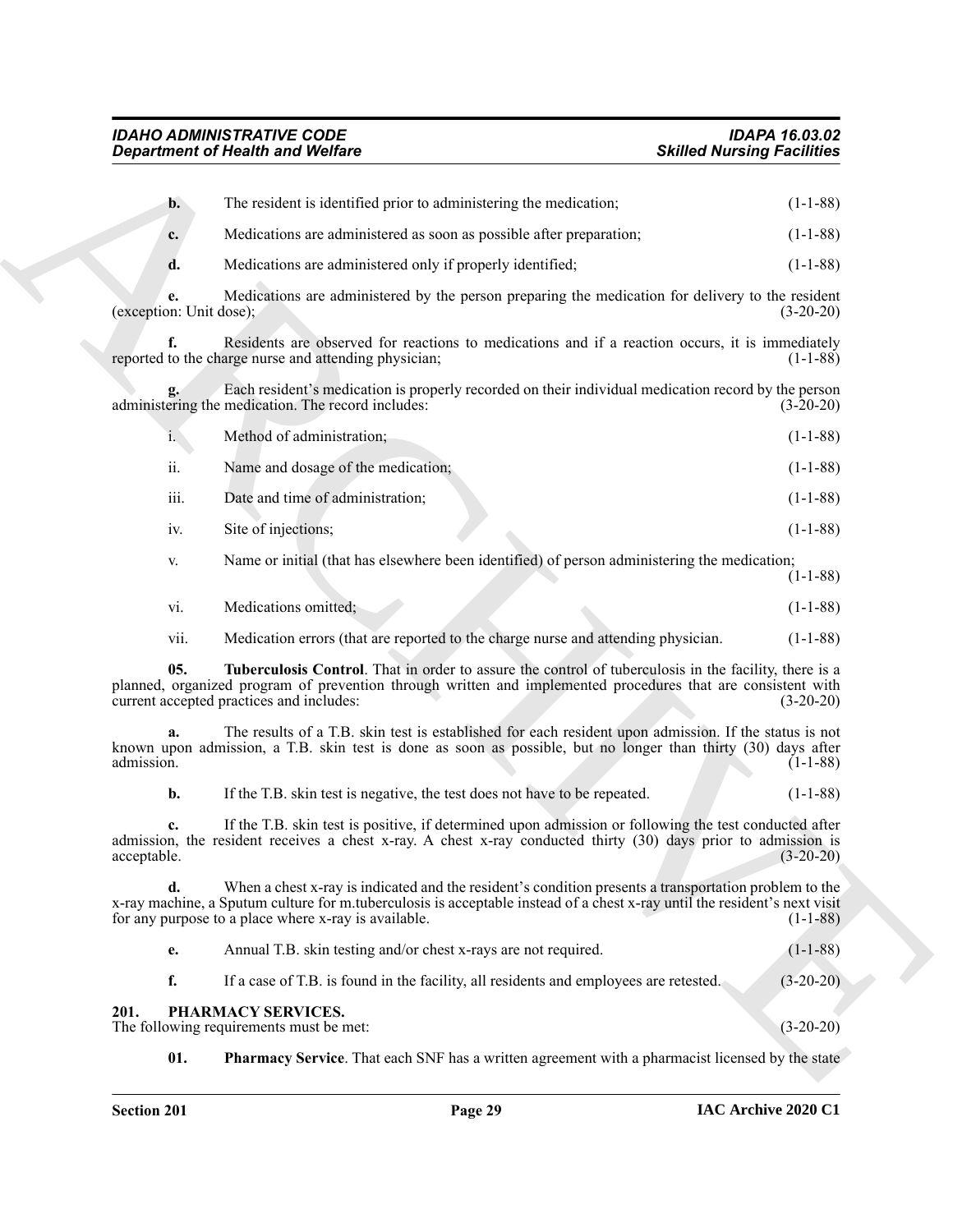<span id="page-28-3"></span><span id="page-28-2"></span><span id="page-28-1"></span><span id="page-28-0"></span>

|                         | <b>Department of Health and Welfare</b>                                                                                                                                                                                                                                                    | <b>Skilled Nursing Facilities</b> |
|-------------------------|--------------------------------------------------------------------------------------------------------------------------------------------------------------------------------------------------------------------------------------------------------------------------------------------|-----------------------------------|
| $\mathbf{b}$ .          | The resident is identified prior to administering the medication;                                                                                                                                                                                                                          | $(1-1-88)$                        |
| c.                      | Medications are administered as soon as possible after preparation;                                                                                                                                                                                                                        | $(1-1-88)$                        |
| d.                      | Medications are administered only if properly identified;                                                                                                                                                                                                                                  | $(1-1-88)$                        |
| (exception: Unit dose); | Medications are administered by the person preparing the medication for delivery to the resident                                                                                                                                                                                           | $(3-20-20)$                       |
| f.                      | Residents are observed for reactions to medications and if a reaction occurs, it is immediately<br>reported to the charge nurse and attending physician;                                                                                                                                   | $(1-1-88)$                        |
|                         | Each resident's medication is properly recorded on their individual medication record by the person<br>administering the medication. The record includes:                                                                                                                                  | $(3-20-20)$                       |
| i.                      | Method of administration;                                                                                                                                                                                                                                                                  | $(1-1-88)$                        |
| ii.                     | Name and dosage of the medication;                                                                                                                                                                                                                                                         | $(1-1-88)$                        |
| iii.                    | Date and time of administration;                                                                                                                                                                                                                                                           | $(1-1-88)$                        |
| iv.                     | Site of injections;                                                                                                                                                                                                                                                                        | $(1-1-88)$                        |
| V.                      | Name or initial (that has elsewhere been identified) of person administering the medication;                                                                                                                                                                                               | $(1-1-88)$                        |
| vi.                     | Medications omitted;                                                                                                                                                                                                                                                                       | $(1-1-88)$                        |
| vii.                    | Medication errors (that are reported to the charge nurse and attending physician.                                                                                                                                                                                                          | $(1-1-88)$                        |
| 05.                     | Tuberculosis Control. That in order to assure the control of tuberculosis in the facility, there is a<br>planned, organized program of prevention through written and implemented procedures that are consistent with<br>current accepted practices and includes:                          | $(3-20-20)$                       |
| a.<br>admission.        | The results of a T.B. skin test is established for each resident upon admission. If the status is not<br>known upon admission, a T.B. skin test is done as soon as possible, but no longer than thirty (30) days after                                                                     | $(1-1-88)$                        |
| b.                      | If the T.B. skin test is negative, the test does not have to be repeated.                                                                                                                                                                                                                  | $(1-1-88)$                        |
| c.<br>acceptable.       | If the T.B. skin test is positive, if determined upon admission or following the test conducted after<br>admission, the resident receives a chest x-ray. A chest x-ray conducted thirty (30) days prior to admission is                                                                    | $(3-20-20)$                       |
| d.                      | When a chest x-ray is indicated and the resident's condition presents a transportation problem to the<br>x-ray machine, a Sputum culture for m.tuberculosis is acceptable instead of a chest x-ray until the resident's next visit<br>for any purpose to a place where x-ray is available. | $(1-1-88)$                        |
| e.                      | Annual T.B. skin testing and/or chest x-rays are not required.                                                                                                                                                                                                                             | $(1-1-88)$                        |
| f.                      | If a case of T.B. is found in the facility, all residents and employees are retested.                                                                                                                                                                                                      | $(3-20-20)$                       |
| 201.                    | PHARMACY SERVICES.<br>The following requirements must be met:                                                                                                                                                                                                                              | $(3-20-20)$                       |
| 01.                     | <b>Pharmacy Service.</b> That each SNF has a written agreement with a pharmacist licensed by the state                                                                                                                                                                                     |                                   |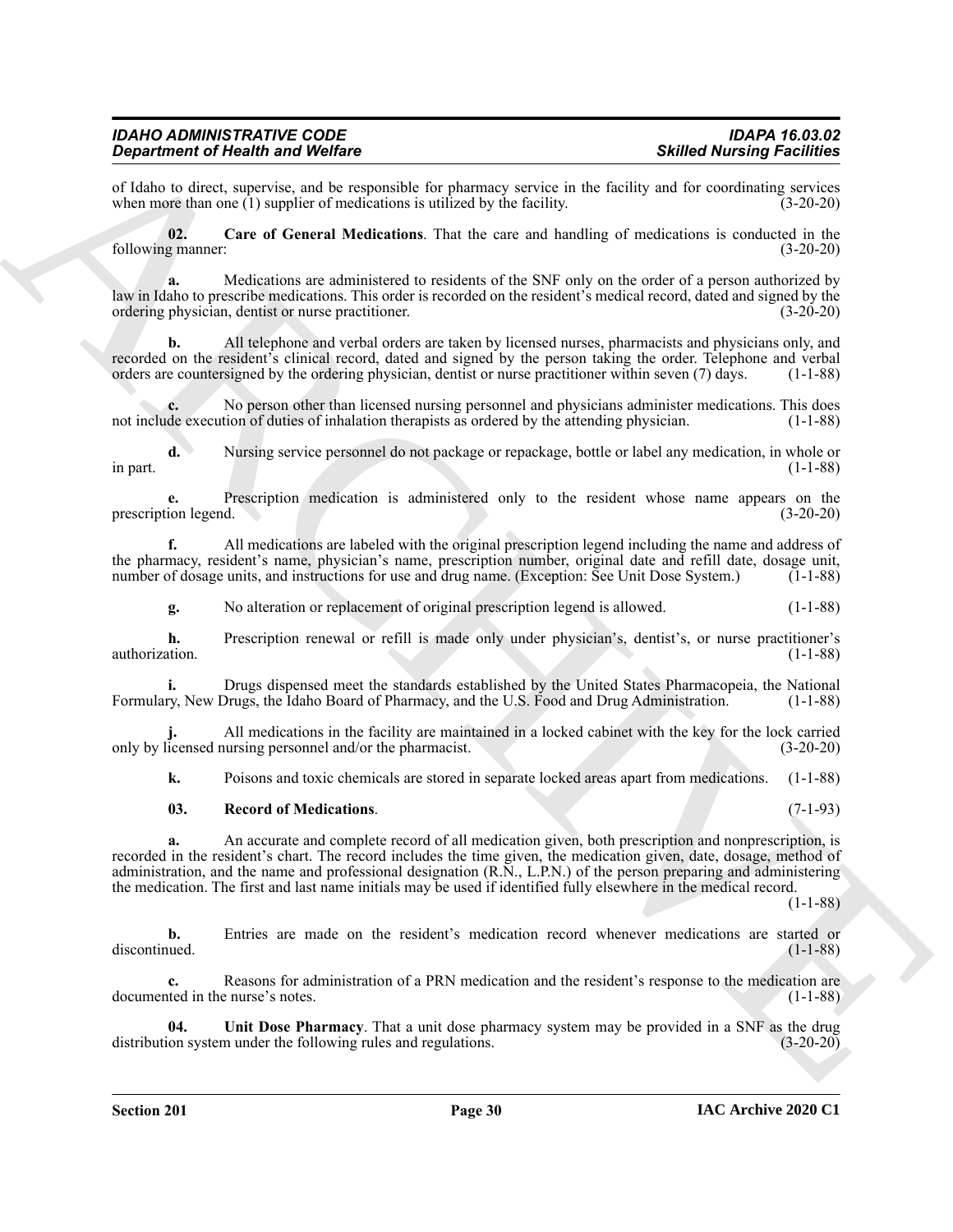of Idaho to direct, supervise, and be responsible for pharmacy service in the facility and for coordinating services when more than one (1) supplier of medications is utilized by the facility. (3-20-20) when more than one  $(1)$  supplier of medications is utilized by the facility.

<span id="page-29-0"></span>**02. Care of General Medications**. That the care and handling of medications is conducted in the following manner: (3-20-20)

**a.** Medications are administered to residents of the SNF only on the order of a person authorized by law in Idaho to prescribe medications. This order is recorded on the resident's medical record, dated and signed by the ordering physician, dentist or nurse practitioner. (3-20-20)

**b.** All telephone and verbal orders are taken by licensed nurses, pharmacists and physicians only, and recorded on the resident's clinical record, dated and signed by the person taking the order. Telephone and verbal orders are countersigned by the ordering physician, dentist or nurse practitioner within seven (7) days. (1orders are countersigned by the ordering physician, dentist or nurse practitioner within seven (7) days.

**c.** No person other than licensed nursing personnel and physicians administer medications. This does not include execution of duties of inhalation therapists as ordered by the attending physician. (1-1-88)

**d.** Nursing service personnel do not package or repackage, bottle or label any medication, in whole or in part. (1-1-88)

**e.** Prescription medication is administered only to the resident whose name appears on the prescription legend.

**f.** All medications are labeled with the original prescription legend including the name and address of the pharmacy, resident's name, physician's name, prescription number, original date and refill date, dosage unit, number of dosage units, and instructions for use and drug name. (Exception: See Unit Dose System.) (1-1-88)

**g.** No alteration or replacement of original prescription legend is allowed. (1-1-88)

**h.** Prescription renewal or refill is made only under physician's, dentist's, or nurse practitioner's authorization. (1-1-88)

**i.** Drugs dispensed meet the standards established by the United States Pharmacopeia, the National Formulary, New Drugs, the Idaho Board of Pharmacy, and the U.S. Food and Drug Administration. (1-1-88)

**j.** All medications in the facility are maintained in a locked cabinet with the key for the lock carried only by licensed nursing personnel and/or the pharmacist. (3-20-20)

**k.** Poisons and toxic chemicals are stored in separate locked areas apart from medications. (1-1-88)

#### <span id="page-29-1"></span>**03. Record of Medications**. (7-1-93)

**Sincering in Westlin Warding Street Distribution**<br> **Contribution Control in Westlin Street Experimental** the guidenpote parties in the second of the second stress of the second stress of the second stress of the second **a.** An accurate and complete record of all medication given, both prescription and nonprescription, is recorded in the resident's chart. The record includes the time given, the medication given, date, dosage, method of administration, and the name and professional designation (R.N., L.P.N.) of the person preparing and administering the medication. The first and last name initials may be used if identified fully elsewhere in the medical record.

(1-1-88)

**b.** Entries are made on the resident's medication record whenever medications are started or discontinued. (1-1-88) discontinued. (1-1-88)

**c.** Reasons for administration of a PRN medication and the resident's response to the medication are documented in the nurse's notes. (1-1-88)

<span id="page-29-2"></span>**04.** Unit Dose Pharmacy. That a unit dose pharmacy system may be provided in a SNF as the drug on system under the following rules and regulations. (3-20-20) distribution system under the following rules and regulations.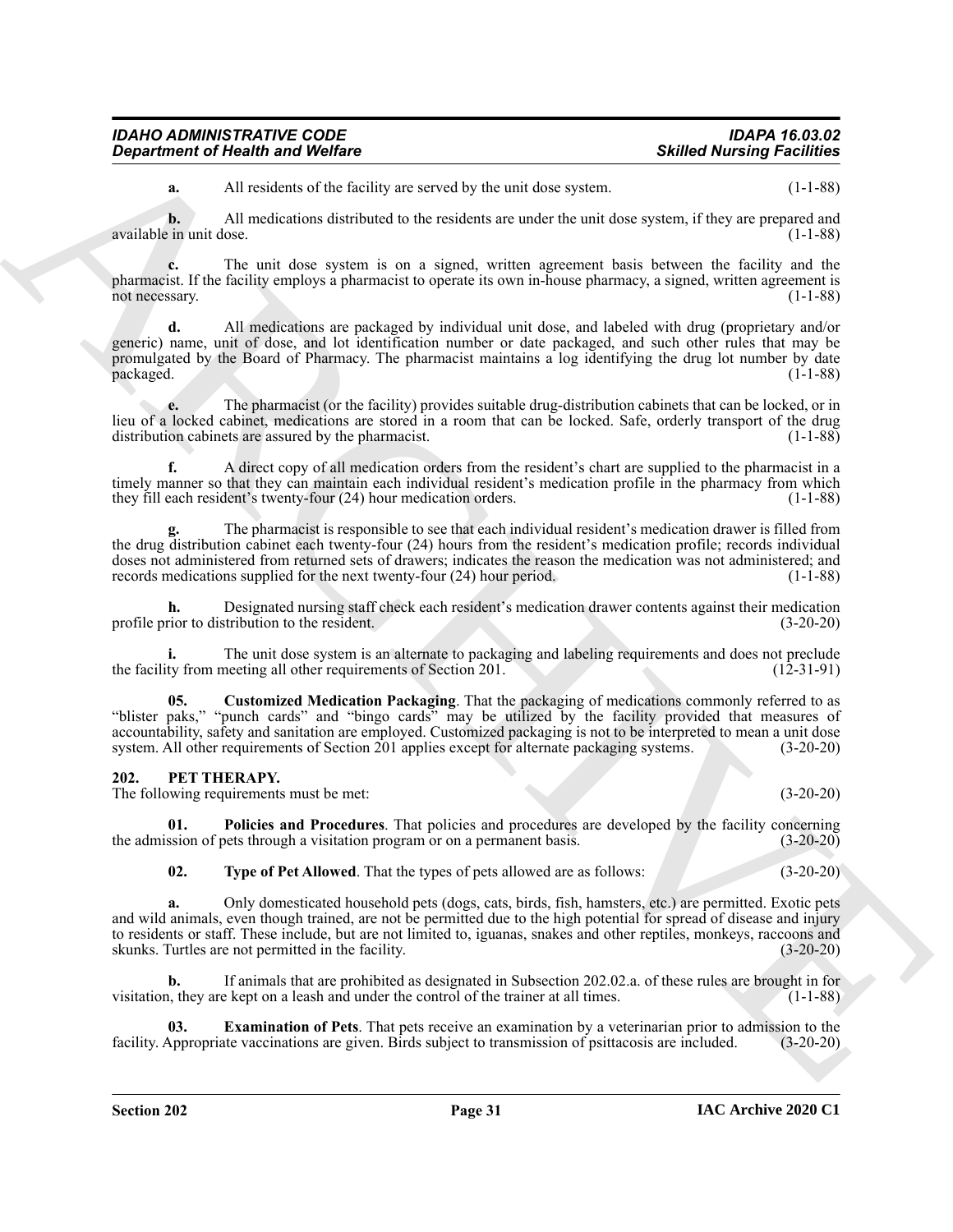| <b>IDAHO ADMINISTRATIVE CODE</b> | <b>IDAPA 16.03.02</b>             |
|----------------------------------|-----------------------------------|
| Department of Health and Welfare | <b>Skilled Nursing Facilities</b> |

**a.** All residents of the facility are served by the unit dose system. (1-1-88)

**b.** All medications distributed to the residents are under the unit dose system, if they are prepared and available in unit dose. (1-1-88)

**c.** The unit dose system is on a signed, written agreement basis between the facility and the pharmacist. If the facility employs a pharmacist to operate its own in-house pharmacy, a signed, written agreement is not necessary. (1-1-88)

**Exparament of Newth wave Wolfing**<br>
A A model and Wolfing Section 2 at the control by the sunt does system.<br>
A M model and the first the control of the stationary of the system.<br>
A model and the stationary of the stationa **d.** All medications are packaged by individual unit dose, and labeled with drug (proprietary and/or generic) name, unit of dose, and lot identification number or date packaged, and such other rules that may be promulgated by the Board of Pharmacy. The pharmacist maintains a log identifying the drug lot number by date packaged. (1-1-88) (1-1-88)

**e.** The pharmacist (or the facility) provides suitable drug-distribution cabinets that can be locked, or in lieu of a locked cabinet, medications are stored in a room that can be locked. Safe, orderly transport of the drug distribution cabinets are assured by the pharmacist.

**f.** A direct copy of all medication orders from the resident's chart are supplied to the pharmacist in a timely manner so that they can maintain each individual resident's medication profile in the pharmacy from which they fill each resident's twenty-four (24) hour medication orders. (1-1-88)

**g.** The pharmacist is responsible to see that each individual resident's medication drawer is filled from the drug distribution cabinet each twenty-four (24) hours from the resident's medication profile; records individual doses not administered from returned sets of drawers; indicates the reason the medication was not administered; and records medications supplied for the next twenty-four (24) hour period. (1-1-88) records medications supplied for the next twenty-four  $(24)$  hour period.

**h.** Designated nursing staff check each resident's medication drawer contents against their medication profile prior to distribution to the resident. (3-20-20)

**i.** The unit dose system is an alternate to packaging and labeling requirements and does not preclude ty from meeting all other requirements of Section 201. (12-31-91) the facility from meeting all other requirements of Section 201.

<span id="page-30-5"></span>**05. Customized Medication Packaging**. That the packaging of medications commonly referred to as "blister paks," "punch cards" and "bingo cards" may be utilized by the facility provided that measures of accountability, safety and sanitation are employed. Customized packaging is not to be interpreted to mean a unit dose system. All other requirements of Section 201 applies except for alternate packaging systems. (3-20-20)

#### <span id="page-30-1"></span><span id="page-30-0"></span>**202. PET THERAPY.**

The following requirements must be met: (3-20-20)

**01. Policies and Procedures**. That policies and procedures are developed by the facility concerning the admission of pets through a visitation program or on a permanent basis. (3-20-20)

<span id="page-30-4"></span><span id="page-30-3"></span>**02. Type of Pet Allowed**. That the types of pets allowed are as follows: (3-20-20)

**a.** Only domesticated household pets (dogs, cats, birds, fish, hamsters, etc.) are permitted. Exotic pets and wild animals, even though trained, are not be permitted due to the high potential for spread of disease and injury to residents or staff. These include, but are not limited to, iguanas, snakes and other reptiles, monkeys, raccoons and skunks. Turtles are not permitted in the facility. (3-20-20) skunks. Turtles are not permitted in the facility.

**b.** If animals that are prohibited as designated in Subsection 202.02.a. of these rules are brought in for visitation, they are kept on a leash and under the control of the trainer at all times. (1-1-88)

<span id="page-30-2"></span>**03. Examination of Pets**. That pets receive an examination by a veterinarian prior to admission to the facility. Appropriate vaccinations are given. Birds subject to transmission of psittacosis are included. (3-20-20)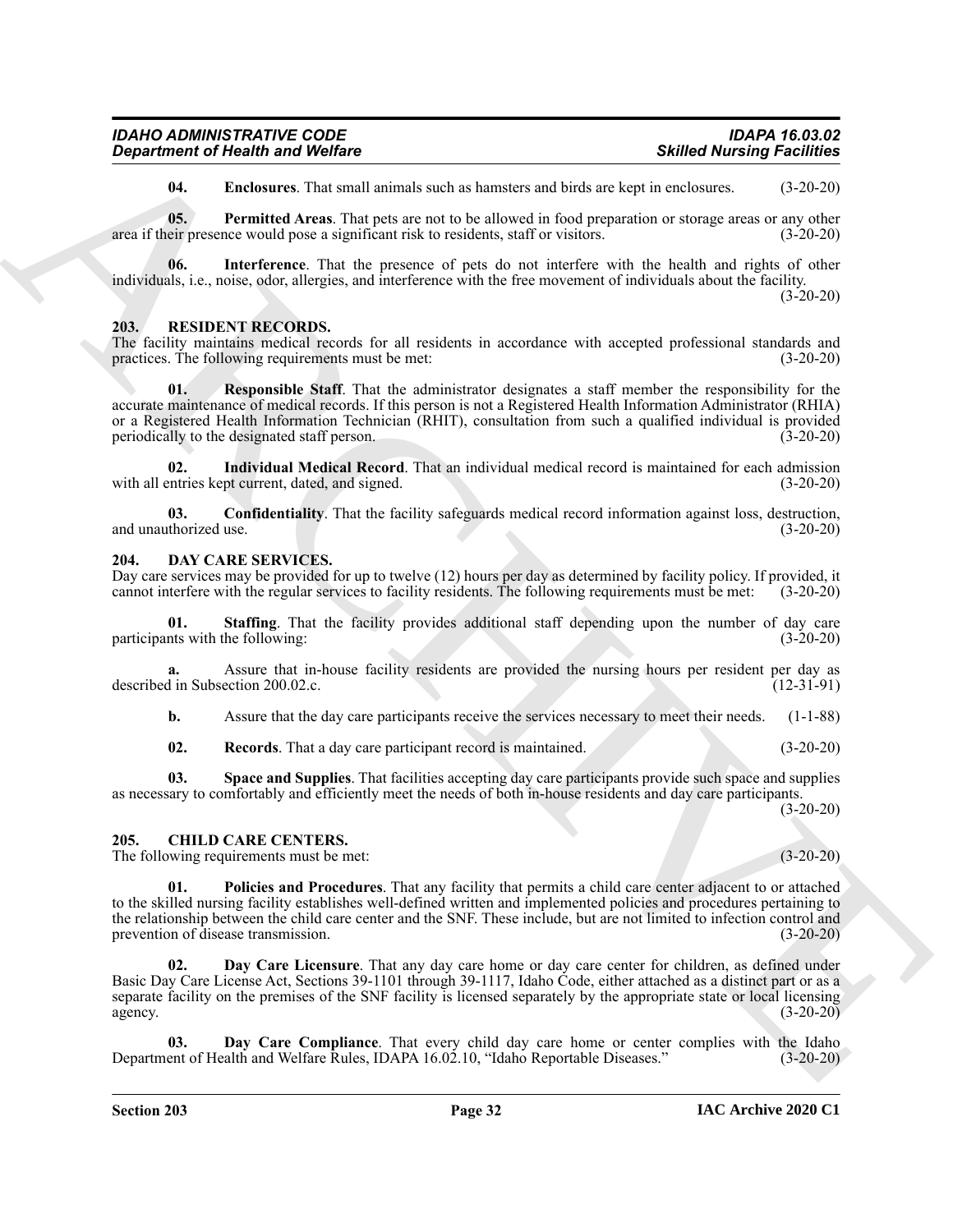| <b>IDAHO ADMINISTRATIVE CODE</b>        | <b>IDAPA 16.03.02</b>             |
|-----------------------------------------|-----------------------------------|
| <b>Department of Health and Welfare</b> | <b>Skilled Nursing Facilities</b> |

<span id="page-31-13"></span><span id="page-31-12"></span><span id="page-31-11"></span>**04. Enclosures**. That small animals such as hamsters and birds are kept in enclosures. (3-20-20)

**05. Permitted Areas**. That pets are not to be allowed in food preparation or storage areas or any other area if their presence would pose a significant risk to residents, staff or visitors. (3-20-20)

**06. Interference**. That the presence of pets do not interfere with the health and rights of other individuals, i.e., noise, odor, allergies, and interference with the free movement of individuals about the facility.  $(3-20-20)$ 

#### <span id="page-31-14"></span><span id="page-31-0"></span>**203. RESIDENT RECORDS.**

The facility maintains medical records for all residents in accordance with accepted professional standards and practices. The following requirements must be met: (3-20-20)

**Expansion of Newtown Models**<br>
Using the Chinara Chinara Chinara Chinara Chinara Chinara Chinara Chinara Chinara Chinara Chinara Chinara Chinara Chinara Chinara Chinara Chinara Chinara Chinara Chinara Chinara Chinara Chin **Responsible Staff.** That the administrator designates a staff member the responsibility for the accurate maintenance of medical records. If this person is not a Registered Health Information Administrator (RHIA) or a Registered Health Information Technician (RHIT), consultation from such a qualified individual is provided<br>periodically to the designated staff person. (3-20-20) periodically to the designated staff person.

**02. Individual Medical Record**. That an individual medical record is maintained for each admission with all entries kept current, dated, and signed. (3-20-20)

**03.** Confidentiality. That the facility safeguards medical record information against loss, destruction, thorized use. (3-20-20) and unauthorized use.

#### <span id="page-31-7"></span><span id="page-31-1"></span>**204. DAY CARE SERVICES.**

Day care services may be provided for up to twelve (12) hours per day as determined by facility policy. If provided, it cannot interfere with the regular services to facility residents. The following requirements must be met: (3-20-20)

<span id="page-31-10"></span>**01. Staffing**. That the facility provides additional staff depending upon the number of day care participants with the following: (3-20-20)

**a.** Assure that in-house facility residents are provided the nursing hours per resident per day as described in Subsection 200.02.c. (12-31-91)

**b.** Assure that the day care participants receive the services necessary to meet their needs. (1-1-88)

<span id="page-31-9"></span><span id="page-31-8"></span>**02. Records**. That a day care participant record is maintained. (3-20-20)

**03. Space and Supplies**. That facilities accepting day care participants provide such space and supplies as necessary to comfortably and efficiently meet the needs of both in-house residents and day care participants. (3-20-20)

#### <span id="page-31-3"></span><span id="page-31-2"></span>**205. CHILD CARE CENTERS.**

The following requirements must be met: (3-20-20)

<span id="page-31-6"></span>**01. Policies and Procedures**. That any facility that permits a child care center adjacent to or attached to the skilled nursing facility establishes well-defined written and implemented policies and procedures pertaining to the relationship between the child care center and the SNF. These include, but are not limited to infection control and prevention of disease transmission. (3-20-20)

<span id="page-31-5"></span>**02. Day Care Licensure**. That any day care home or day care center for children, as defined under Basic Day Care License Act, Sections 39-1101 through 39-1117, Idaho Code, either attached as a distinct part or as a separate facility on the premises of the SNF facility is licensed separately by the appropriate state or local licensing agency. (3-20-20)

<span id="page-31-4"></span>Day Care Compliance. That every child day care home or center complies with the Idaho Department of Health and Welfare Rules, IDAPA 16.02.10, "Idaho Reportable Diseases." (3-20-20)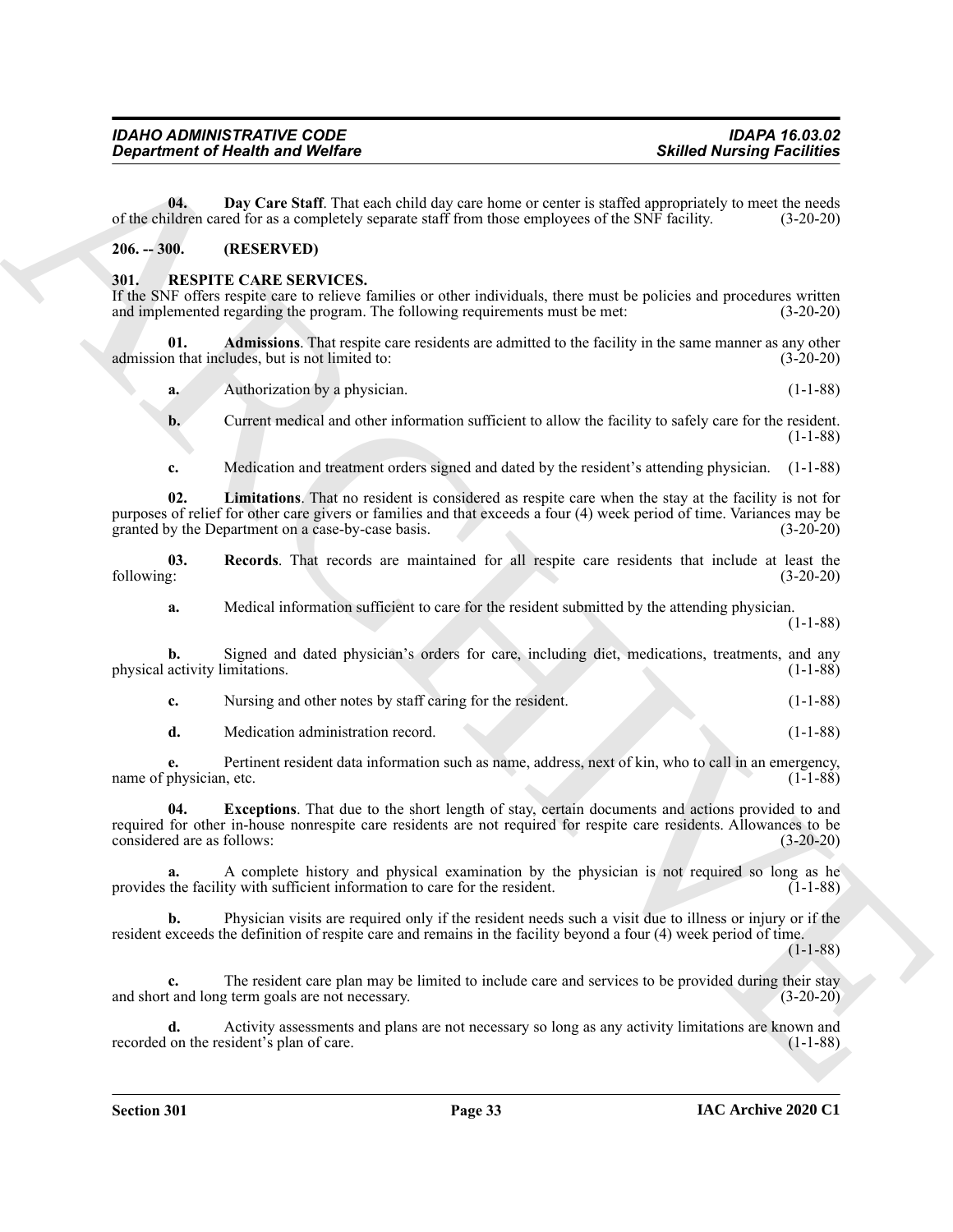|  |  | $IAC$ Archive 2020 $C1$ |  |
|--|--|-------------------------|--|

<span id="page-32-2"></span>**04.** Day Care Staff. That each child day care home or center is staffed appropriately to meet the needs of the children cared for as a completely separate staff from those employees of the SNF facility. (3-20-20)

## <span id="page-32-0"></span>**206. -- 300. (RESERVED)**

### <span id="page-32-3"></span><span id="page-32-1"></span>**301. RESPITE CARE SERVICES.**

If the SNF offers respite care to relieve families or other individuals, there must be policies and procedures written and implemented regarding the program. The following requirements must be met: (3-20-20)

**01. Admissions**. That respite care residents are admitted to the facility in the same manner as any other admission that includes, but is not limited to: (3-20-20)

<span id="page-32-4"></span>**a.** Authorization by a physician. (1-1-88)

**b.** Current medical and other information sufficient to allow the facility to safely care for the resident. (1-1-88)

<span id="page-32-6"></span>**c.** Medication and treatment orders signed and dated by the resident's attending physician. (1-1-88)

**Exparament of Newth wave Wolfing Constant West Constant Constant Constant Constant Constant Constant Constant Constant Constant Constant Constant Constant Constant Constant Constant Constant Constant Constant Constant Co 02. Limitations**. That no resident is considered as respite care when the stay at the facility is not for purposes of relief for other care givers or families and that exceeds a four (4) week period of time. Variances may be granted by the Department on a case-by-case basis. (3-20-20) granted by the Department on a case-by-case basis.

**03.** Records. That records are maintained for all respite care residents that include at least the following:  $(3-20-20)$ following: (3-20-20)

<span id="page-32-7"></span>**a.** Medical information sufficient to care for the resident submitted by the attending physician. (1-1-88)

**b.** Signed and dated physician's orders for care, including diet, medications, treatments, and any physical activity limitations. (1-1-88)

**c.** Nursing and other notes by staff caring for the resident. (1-1-88)

<span id="page-32-5"></span>**d.** Medication administration record. (1-1-88)

**e.** Pertinent resident data information such as name, address, next of kin, who to call in an emergency, name of physician, etc. (1-1-88)

**04. Exceptions**. That due to the short length of stay, certain documents and actions provided to and required for other in-house nonrespite care residents are not required for respite care residents. Allowances to be considered are as follows: (3-20-20)

**a.** A complete history and physical examination by the physician is not required so long as he the facility with sufficient information to care for the resident. (1-1-88) provides the facility with sufficient information to care for the resident.

**b.** Physician visits are required only if the resident needs such a visit due to illness or injury or if the resident exceeds the definition of respite care and remains in the facility beyond a four (4) week period of time.

 $(1-1-88)$ 

**c.** The resident care plan may be limited to include care and services to be provided during their stay and short and long term goals are not necessary. (3-20-20)

**d.** Activity assessments and plans are not necessary so long as any activity limitations are known and on the resident's plan of care. (1-1-88) recorded on the resident's plan of care.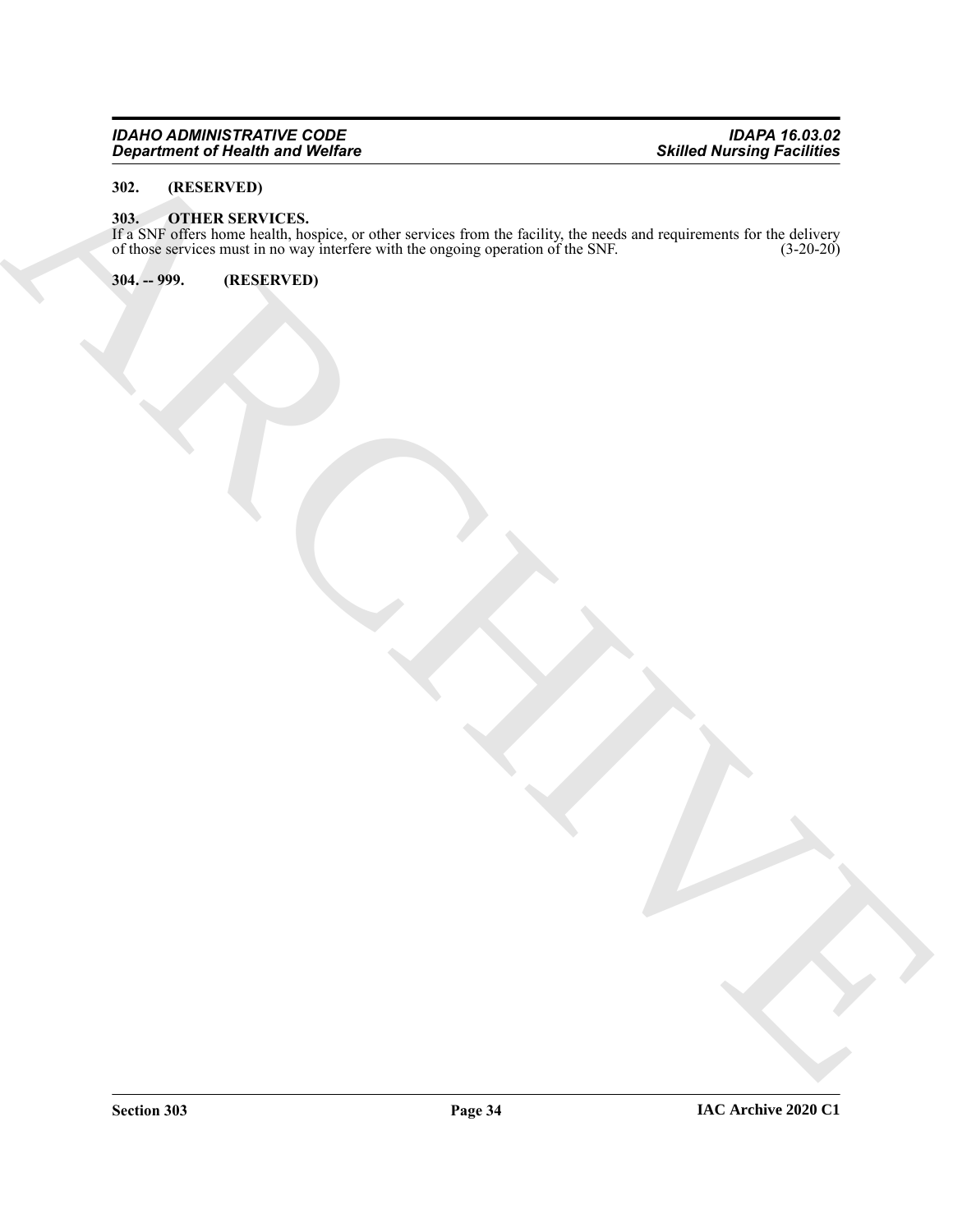#### *IDAHO ADMINISTRATIVE CODE IDAPA 16.03.02 Department of Health and Welfare Skilled Nursing Facilities*

# <span id="page-33-0"></span>**302. (RESERVED)**

#### <span id="page-33-3"></span><span id="page-33-1"></span>**303. OTHER SERVICES.**

ARCHIVE If a SNF offers home health, hospice, or other services from the facility, the needs and requirements for the delivery of those services must in no way interfere with the ongoing operation of the SNF. (3-20-20)

<span id="page-33-2"></span>**304. -- 999. (RESERVED)**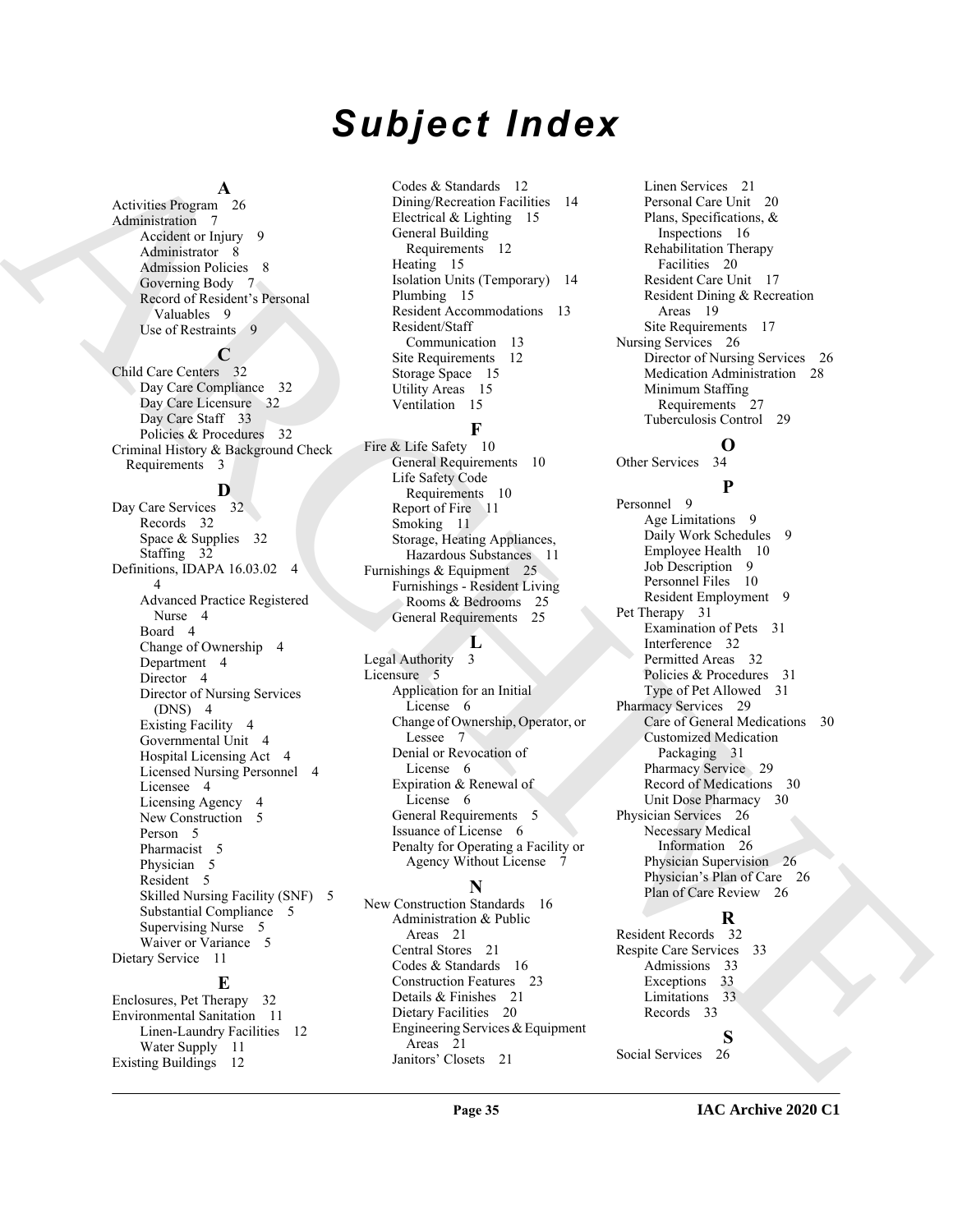# *Subject Index*

#### **A**

Activities Program 26 Administration 7 Accident or Injury 9 Administrator 8 Admission Policies 8 Governing Body 7 Record of Resident's Personal Valuables 9 Use of Restraints 9

## **C**

Child Care Centers 32 Day Care Compliance 32 Day Care Licensure 32 Day Care Staff 33 Policies & Procedures 32 Criminal History & Background Check Requirements 3

#### **D**

Archives David 2011 (Andreas David Standards David Standards David [C](#page-9-3)ontrol (Andreas David Standards David Standards David Standards David Standards David Standards David Standards David Standards David Standards David Sta Day Care Services 32 Records 32 Space & Supplies 32 Staffing 32 Definitions, IDAPA 16.03.02 4 4 Advanced Practice Registered Nurse 4 Board 4 Change of Ownership 4 Department 4 Director 4 Director of Nursing Services (DNS) 4 Existing Facility 4 Governmental Unit 4 Hospital Licensing Act 4 Licensed Nursing Personnel 4 Licensee 4 Licensing Agency 4 New Construction 5 Person<sub>5</sub> Pharmacist 5 Physician 5 Resident 5 Skilled Nursing Facility (SNF) 5 Substantial Compliance 5 Supervising Nurse 5 Waiver or Variance 5 Dietary Service 11 **E** Enclosures, Pet Therapy 32

Environmental Sanitation 11 Linen-Laundry Facilities 12 Water Supply 11 Existing Buildings 12

Codes & Standards 12 Dining/Recreation Facilities 14 Electrical & Lighting 15 General Building Requirements 12 Heating 15 Isolation Units (Temporary) 14 Plumbing 15 Resident Accommodations 13 Resident/Staff Communication 13 Site Requirements 12 Storage Space 15 Utility Areas 15 Ventilation 15

### **F**

Fire & Life Safety 10 General Requirements 10 Life Safety Code Requirements 10 Report of Fire 11 Smoking 11 Storage, Heating Appliances, Hazardous Substances 11 Furnishings & Equipment 25 Furnishings - Resident Living Rooms & Bedrooms 25 General Requirements 25

#### **L**

Legal Authority 3 Licensure 5 Application for an Initial License 6 Change of Ownership, Operator, or Lessee 7 Denial or Revocation of License 6 Expiration & Renewal of License 6 General Requirements 5 Issuance of License 6 Penalty for Operating a Facility or Agency Without License 7

#### **N**

New Construction Standards 16 Administration & Public Areas 21 Central Stores 21 Codes & Standards 16 Construction Features 23 Details & Finishes 21 Dietary Facilities 20 Engineering Services & Equipment Areas 21 Janitors' Closets 21

Linen Services 21 Personal Care Unit 20 Plans, Specifications, & Inspections 16 Rehabilitation Therapy Facilities 20 Resident Care Unit 17 Resident Dining & Recreation Areas 19 Site Requirements 17 Nursing Services 26 Director of Nursing Services 26 Medication Administration 28 Minimum Staffing Requirements 27 Tuberculosis Control 29

# **O**

**P**

Other Services 34

Personnel 9 Age Limitations 9 Daily Work Schedules 9 Employee Health 10 Job Description 9 Personnel Files 10 Resident Employment 9 Pet Therapy 31 Examination of Pets 31 Interference 32 Permitted Areas 32 Policies & Procedures 31 Type of Pet Allowed 31 Pharmacy Services 29 Care of General Medications 30 Customized Medication Packaging 31 Pharmacy Service 29 Record of Medications 30 Unit Dose Pharmacy 30 Physician Services 26 Necessary Medical Information 26 Physician Supervision 26 Physician's Plan of Care 26 Plan of Care Review 26

# **R**

Resident Records 32 Respite Care Services 33 Admissions 33 Exceptions 33 Limitations 33 Records 33

**S**

Social Services 26